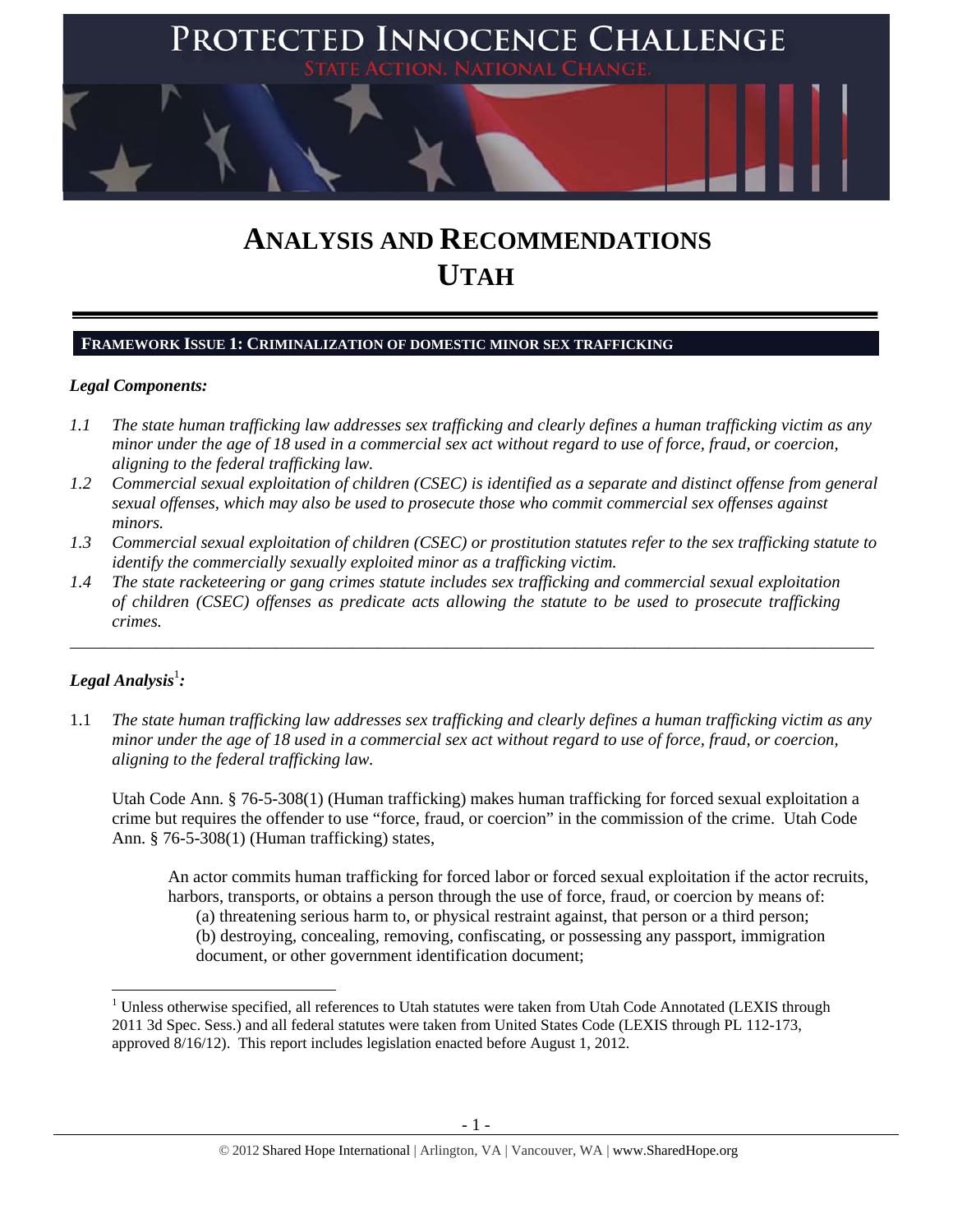

# **ANALYSIS AND RECOMMENDATIONS UTAH**

# **FRAMEWORK ISSUE 1: CRIMINALIZATION OF DOMESTIC MINOR SEX TRAFFICKING**

### *Legal Components:*

- *1.1 The state human trafficking law addresses sex trafficking and clearly defines a human trafficking victim as any minor under the age of 18 used in a commercial sex act without regard to use of force, fraud, or coercion, aligning to the federal trafficking law.*
- *1.2 Commercial sexual exploitation of children (CSEC) is identified as a separate and distinct offense from general sexual offenses, which may also be used to prosecute those who commit commercial sex offenses against minors.*
- *1.3 Commercial sexual exploitation of children (CSEC) or prostitution statutes refer to the sex trafficking statute to identify the commercially sexually exploited minor as a trafficking victim.*

\_\_\_\_\_\_\_\_\_\_\_\_\_\_\_\_\_\_\_\_\_\_\_\_\_\_\_\_\_\_\_\_\_\_\_\_\_\_\_\_\_\_\_\_\_\_\_\_\_\_\_\_\_\_\_\_\_\_\_\_\_\_\_\_\_\_\_\_\_\_\_\_\_\_\_\_\_\_\_\_\_\_\_\_\_\_\_\_\_\_\_\_\_\_

*1.4 The state racketeering or gang crimes statute includes sex trafficking and commercial sexual exploitation of children (CSEC) offenses as predicate acts allowing the statute to be used to prosecute trafficking crimes.* 

# $\bm{\mathit{Legal\, Analysis^{\text{!}}:}}$

1.1 *The state human trafficking law addresses sex trafficking and clearly defines a human trafficking victim as any minor under the age of 18 used in a commercial sex act without regard to use of force, fraud, or coercion, aligning to the federal trafficking law.*

Utah Code Ann. § 76-5-308(1) (Human trafficking) makes human trafficking for forced sexual exploitation a crime but requires the offender to use "force, fraud, or coercion" in the commission of the crime. Utah Code Ann. § 76-5-308(1) (Human trafficking) states,

An actor commits human trafficking for forced labor or forced sexual exploitation if the actor recruits, harbors, transports, or obtains a person through the use of force, fraud, or coercion by means of: (a) threatening serious harm to, or physical restraint against, that person or a third person; (b) destroying, concealing, removing, confiscating, or possessing any passport, immigration document, or other government identification document;

<sup>&</sup>lt;sup>1</sup> Unless otherwise specified, all references to Utah statutes were taken from Utah Code Annotated (LEXIS through 2011 3d Spec. Sess.) and all federal statutes were taken from United States Code (LEXIS through PL 112-173, approved 8/16/12). This report includes legislation enacted before August 1, 2012.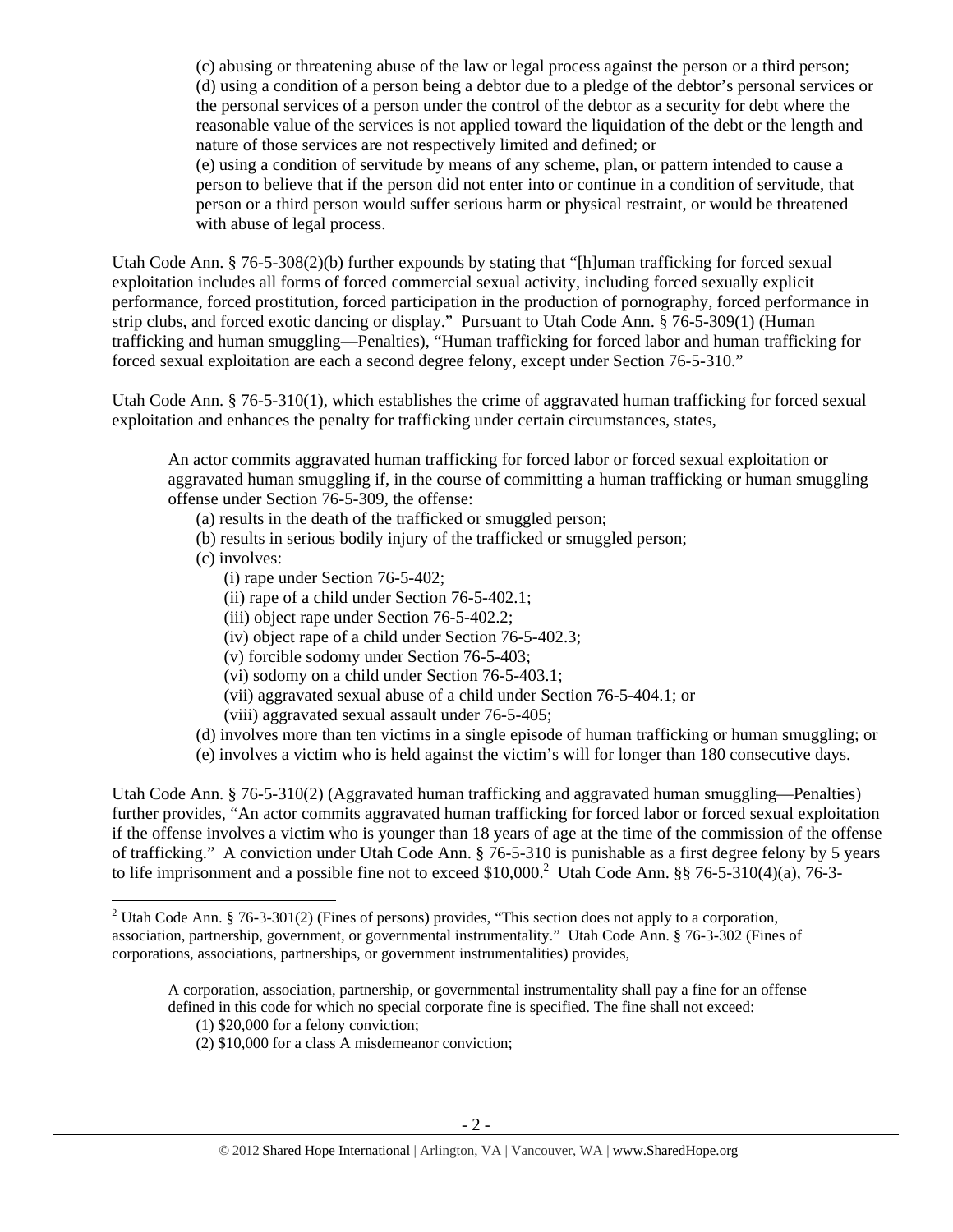(c) abusing or threatening abuse of the law or legal process against the person or a third person; (d) using a condition of a person being a debtor due to a pledge of the debtor's personal services or the personal services of a person under the control of the debtor as a security for debt where the reasonable value of the services is not applied toward the liquidation of the debt or the length and nature of those services are not respectively limited and defined; or

(e) using a condition of servitude by means of any scheme, plan, or pattern intended to cause a person to believe that if the person did not enter into or continue in a condition of servitude, that person or a third person would suffer serious harm or physical restraint, or would be threatened with abuse of legal process.

Utah Code Ann. § 76-5-308(2)(b) further expounds by stating that "[h]uman trafficking for forced sexual exploitation includes all forms of forced commercial sexual activity, including forced sexually explicit performance, forced prostitution, forced participation in the production of pornography, forced performance in strip clubs, and forced exotic dancing or display." Pursuant to Utah Code Ann. § 76-5-309(1) (Human trafficking and human smuggling—Penalties), "Human trafficking for forced labor and human trafficking for forced sexual exploitation are each a second degree felony, except under Section 76-5-310."

Utah Code Ann. § 76-5-310(1), which establishes the crime of aggravated human trafficking for forced sexual exploitation and enhances the penalty for trafficking under certain circumstances, states,

An actor commits aggravated human trafficking for forced labor or forced sexual exploitation or aggravated human smuggling if, in the course of committing a human trafficking or human smuggling offense under Section 76-5-309, the offense:

- (a) results in the death of the trafficked or smuggled person;
- (b) results in serious bodily injury of the trafficked or smuggled person;
- (c) involves:

- (i) rape under Section 76-5-402;
- (ii) rape of a child under Section 76-5-402.1;
- (iii) object rape under Section 76-5-402.2;
- (iv) object rape of a child under Section 76-5-402.3;
- (v) forcible sodomy under Section 76-5-403;
- (vi) sodomy on a child under Section 76-5-403.1;
- (vii) aggravated sexual abuse of a child under Section 76-5-404.1; or
- (viii) aggravated sexual assault under 76-5-405;
- (d) involves more than ten victims in a single episode of human trafficking or human smuggling; or

(e) involves a victim who is held against the victim's will for longer than 180 consecutive days.

Utah Code Ann. § 76-5-310(2) (Aggravated human trafficking and aggravated human smuggling—Penalties) further provides, "An actor commits aggravated human trafficking for forced labor or forced sexual exploitation if the offense involves a victim who is younger than 18 years of age at the time of the commission of the offense of trafficking." A conviction under Utah Code Ann. § 76-5-310 is punishable as a first degree felony by 5 years to life imprisonment and a possible fine not to exceed \$10,000.<sup>2</sup> Utah Code Ann. §§ 76-5-310(4)(a), 76-3-

- (1) \$20,000 for a felony conviction;
- (2) \$10,000 for a class A misdemeanor conviction;

<sup>&</sup>lt;sup>2</sup> Utah Code Ann. § 76-3-301(2) (Fines of persons) provides, "This section does not apply to a corporation, association, partnership, government, or governmental instrumentality." Utah Code Ann. § 76-3-302 (Fines of corporations, associations, partnerships, or government instrumentalities) provides,

A corporation, association, partnership, or governmental instrumentality shall pay a fine for an offense defined in this code for which no special corporate fine is specified. The fine shall not exceed: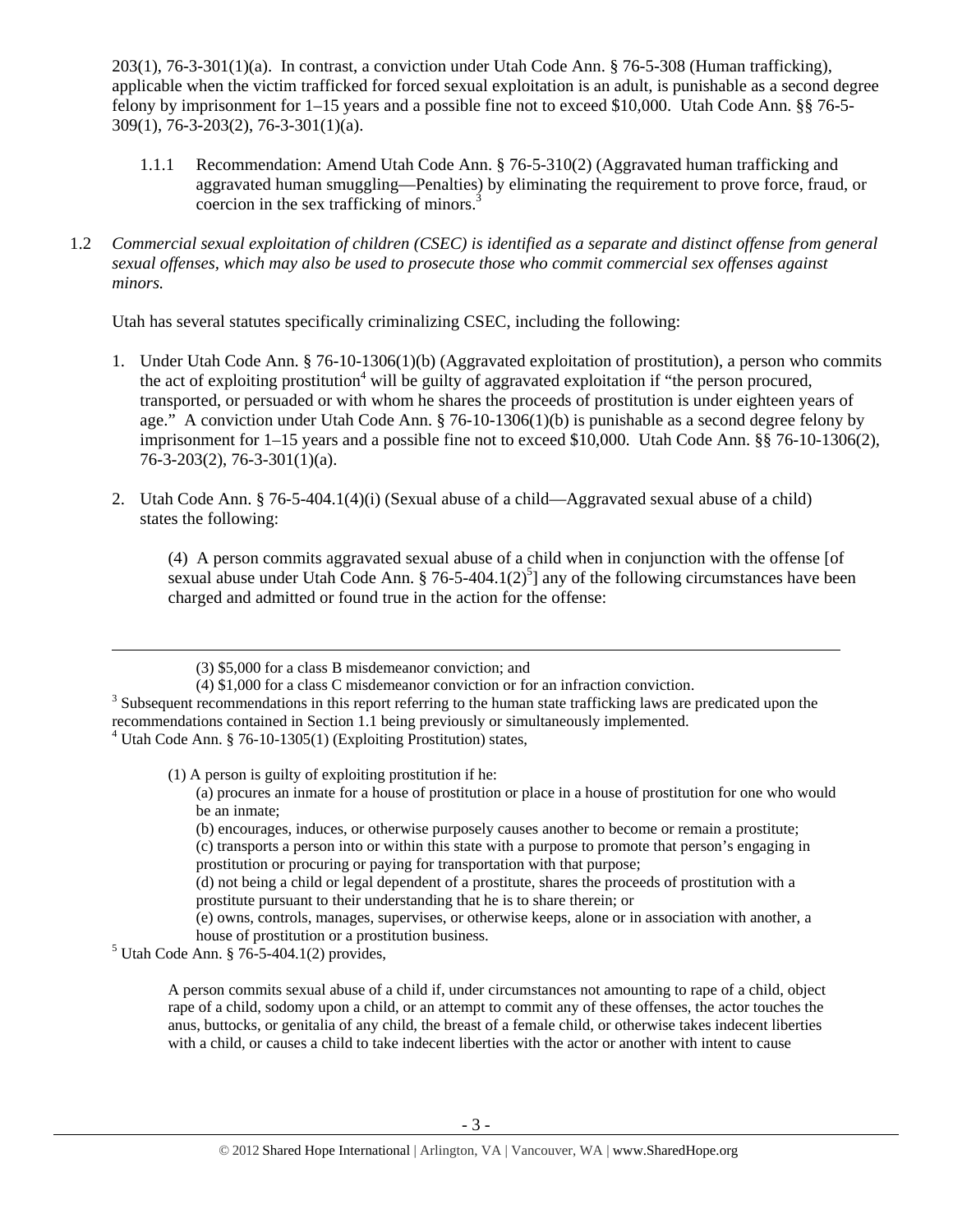203(1), 76-3-301(1)(a). In contrast, a conviction under Utah Code Ann. § 76-5-308 (Human trafficking), applicable when the victim trafficked for forced sexual exploitation is an adult, is punishable as a second degree felony by imprisonment for 1–15 years and a possible fine not to exceed \$10,000. Utah Code Ann. §§ 76-5- 309(1), 76-3-203(2), 76-3-301(1)(a).

- 1.1.1 Recommendation: Amend Utah Code Ann. § 76-5-310(2) (Aggravated human trafficking and aggravated human smuggling—Penalties) by eliminating the requirement to prove force, fraud, or coercion in the sex trafficking of minors.<sup>3</sup>
- 1.2 *Commercial sexual exploitation of children (CSEC) is identified as a separate and distinct offense from general sexual offenses, which may also be used to prosecute those who commit commercial sex offenses against minors.*

Utah has several statutes specifically criminalizing CSEC, including the following:

- 1. Under Utah Code Ann. § 76-10-1306(1)(b) (Aggravated exploitation of prostitution), a person who commits the act of exploiting prostitution<sup>4</sup> will be guilty of aggravated exploitation if "the person procured, transported, or persuaded or with whom he shares the proceeds of prostitution is under eighteen years of age." A conviction under Utah Code Ann. § 76-10-1306(1)(b) is punishable as a second degree felony by imprisonment for 1–15 years and a possible fine not to exceed \$10,000. Utah Code Ann. §§ 76-10-1306(2), 76-3-203(2), 76-3-301(1)(a).
- 2. Utah Code Ann. § 76-5-404.1(4)(i) (Sexual abuse of a child—Aggravated sexual abuse of a child) states the following:

(4) A person commits aggravated sexual abuse of a child when in conjunction with the offense [of sexual abuse under Utah Code Ann. § 76-5-404.1(2)<sup>5</sup>] any of the following circumstances have been charged and admitted or found true in the action for the offense:

<u> Andreas Andreas Andreas Andreas Andreas Andreas Andreas Andreas Andreas Andreas Andreas Andreas Andreas Andr</u>

4 Utah Code Ann. § 76-10-1305(1) (Exploiting Prostitution) states,

(1) A person is guilty of exploiting prostitution if he: (a) procures an inmate for a house of prostitution or place in a house of prostitution for one who would

be an inmate;

(c) transports a person into or within this state with a purpose to promote that person's engaging in prostitution or procuring or paying for transportation with that purpose;

(d) not being a child or legal dependent of a prostitute, shares the proceeds of prostitution with a prostitute pursuant to their understanding that he is to share therein; or

(e) owns, controls, manages, supervises, or otherwise keeps, alone or in association with another, a house of prostitution or a prostitution business. 5

 $5$  Utah Code Ann. § 76-5-404.1(2) provides,

A person commits sexual abuse of a child if, under circumstances not amounting to rape of a child, object rape of a child, sodomy upon a child, or an attempt to commit any of these offenses, the actor touches the anus, buttocks, or genitalia of any child, the breast of a female child, or otherwise takes indecent liberties with a child, or causes a child to take indecent liberties with the actor or another with intent to cause

<sup>(3) \$5,000</sup> for a class B misdemeanor conviction; and

<sup>(4) \$1,000</sup> for a class C misdemeanor conviction or for an infraction conviction. 3

 $3$  Subsequent recommendations in this report referring to the human state trafficking laws are predicated upon the recommendations contained in Section 1.1 being previously or simultaneously implemented.

<sup>(</sup>b) encourages, induces, or otherwise purposely causes another to become or remain a prostitute;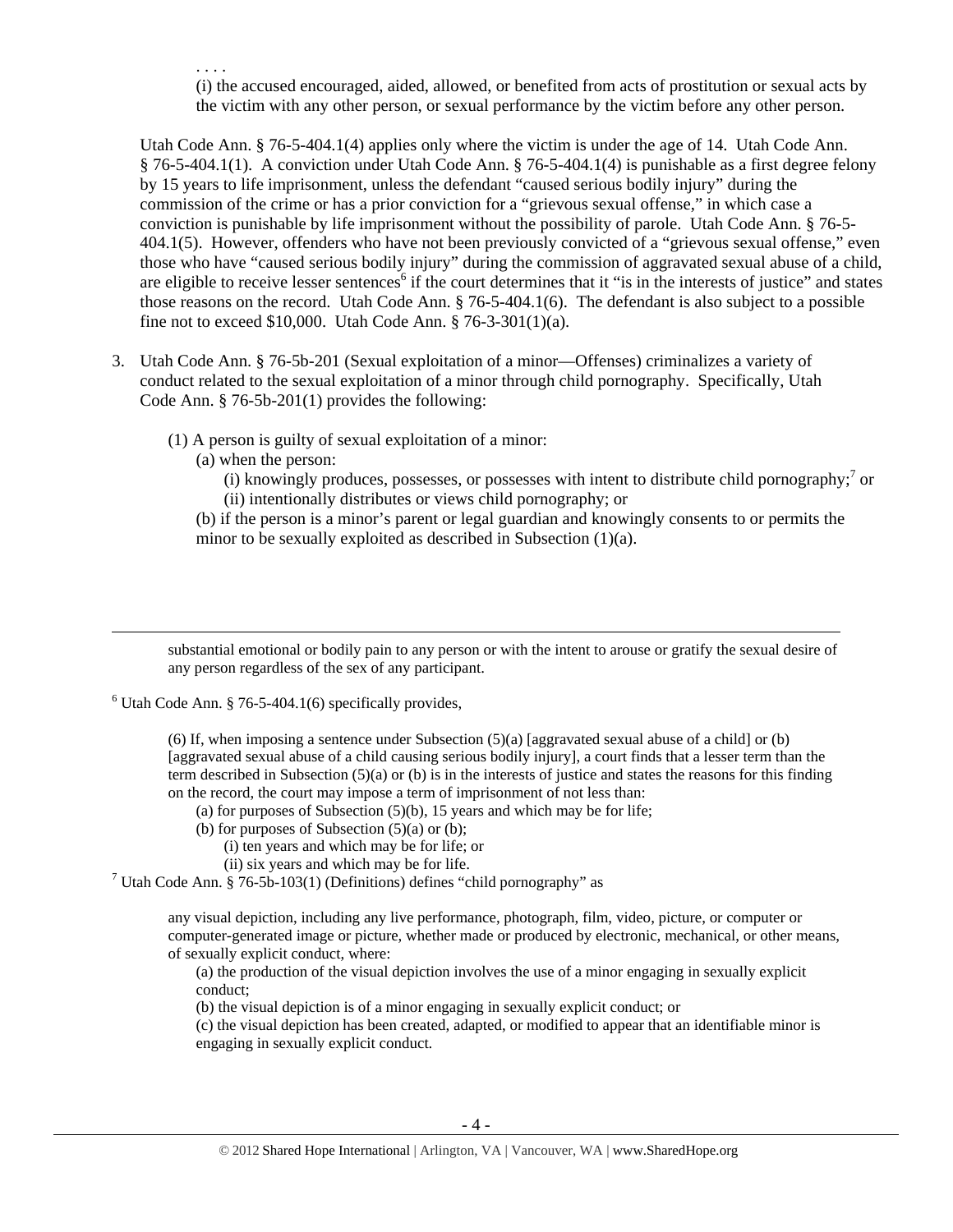. . . . (i) the accused encouraged, aided, allowed, or benefited from acts of prostitution or sexual acts by the victim with any other person, or sexual performance by the victim before any other person.

Utah Code Ann. § 76-5-404.1(4) applies only where the victim is under the age of 14. Utah Code Ann. § 76-5-404.1(1). A conviction under Utah Code Ann. § 76-5-404.1(4) is punishable as a first degree felony by 15 years to life imprisonment, unless the defendant "caused serious bodily injury" during the commission of the crime or has a prior conviction for a "grievous sexual offense," in which case a conviction is punishable by life imprisonment without the possibility of parole. Utah Code Ann. § 76-5- 404.1(5). However, offenders who have not been previously convicted of a "grievous sexual offense," even those who have "caused serious bodily injury" during the commission of aggravated sexual abuse of a child, are eligible to receive lesser sentences<sup>6</sup> if the court determines that it "is in the interests of justice" and states those reasons on the record. Utah Code Ann. § 76-5-404.1(6). The defendant is also subject to a possible fine not to exceed \$10,000. Utah Code Ann. § 76-3-301(1)(a).

- 3. Utah Code Ann. § 76-5b-201 (Sexual exploitation of a minor—Offenses) criminalizes a variety of conduct related to the sexual exploitation of a minor through child pornography. Specifically, Utah Code Ann. § 76-5b-201(1) provides the following:
	- (1) A person is guilty of sexual exploitation of a minor:
		- (a) when the person:
			- $(i)$  knowingly produces, possesses, or possesses with intent to distribute child pornography;<sup>7</sup> or (ii) intentionally distributes or views child pornography; or

(b) if the person is a minor's parent or legal guardian and knowingly consents to or permits the minor to be sexually exploited as described in Subsection (1)(a).

substantial emotional or bodily pain to any person or with the intent to arouse or gratify the sexual desire of any person regardless of the sex of any participant.

<u> Andrewski politika (za obrazu pod predsjednika u predsjednika u predsjednika u predsjednika (za obrazu pod p</u>

 $6$  Utah Code Ann. § 76-5-404.1(6) specifically provides,

(6) If, when imposing a sentence under Subsection  $(5)(a)$  [aggravated sexual abuse of a child] or (b) [aggravated sexual abuse of a child causing serious bodily injury], a court finds that a lesser term than the term described in Subsection  $(5)(a)$  or (b) is in the interests of justice and states the reasons for this finding on the record, the court may impose a term of imprisonment of not less than:

(a) for purposes of Subsection  $(5)(b)$ , 15 years and which may be for life;

- (b) for purposes of Subsection  $(5)(a)$  or  $(b)$ ;
	- (i) ten years and which may be for life; or
	- (ii) six years and which may be for life.

<sup>7</sup> Utah Code Ann. § 76-5b-103(1) (Definitions) defines "child pornography" as

any visual depiction, including any live performance, photograph, film, video, picture, or computer or computer-generated image or picture, whether made or produced by electronic, mechanical, or other means, of sexually explicit conduct, where:

(a) the production of the visual depiction involves the use of a minor engaging in sexually explicit conduct;

(b) the visual depiction is of a minor engaging in sexually explicit conduct; or

(c) the visual depiction has been created, adapted, or modified to appear that an identifiable minor is engaging in sexually explicit conduct.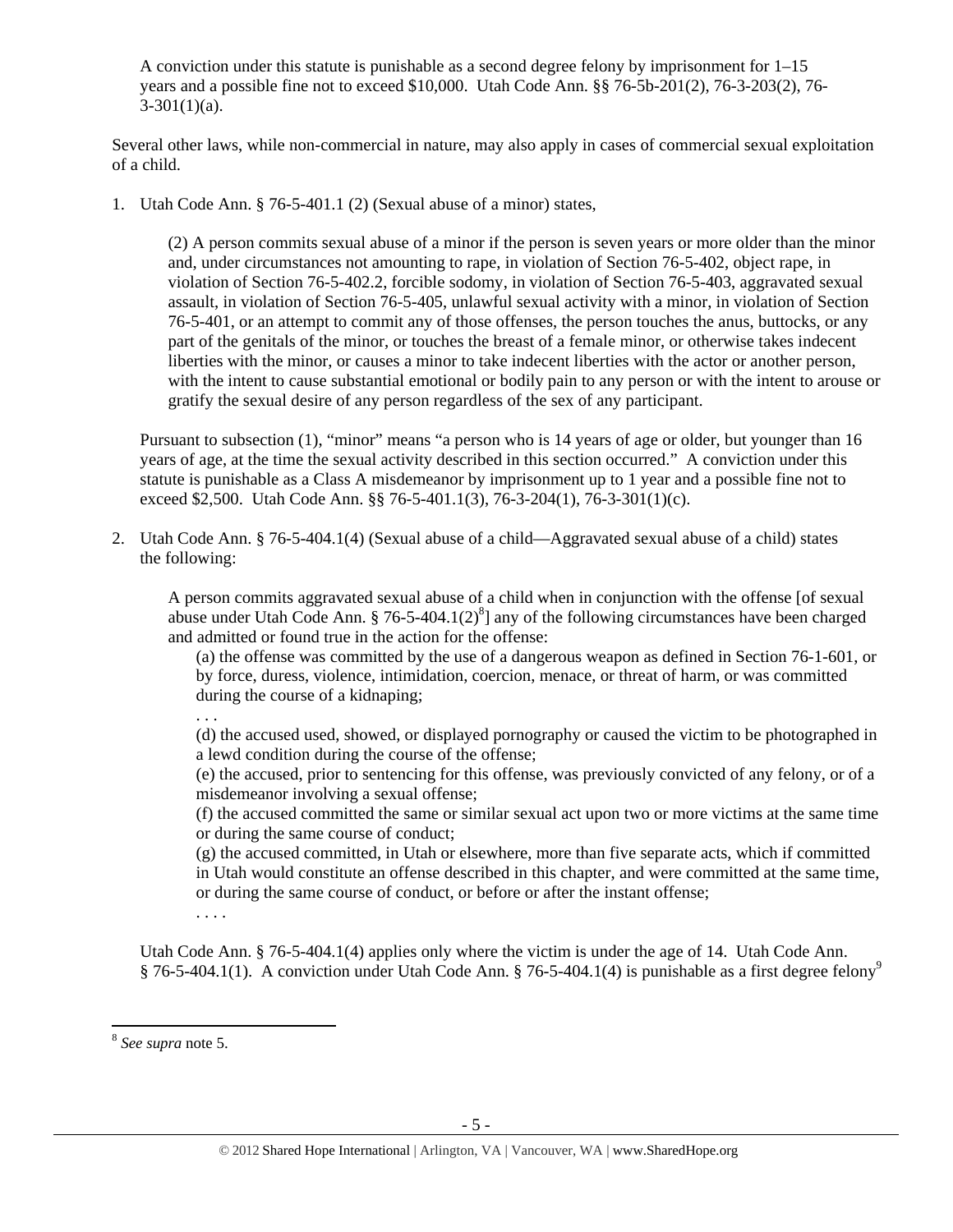A conviction under this statute is punishable as a second degree felony by imprisonment for 1–15 years and a possible fine not to exceed \$10,000. Utah Code Ann. §§ 76-5b-201(2), 76-3-203(2), 76-  $3-301(1)(a)$ .

Several other laws, while non-commercial in nature, may also apply in cases of commercial sexual exploitation of a child.

1. Utah Code Ann. § 76-5-401.1 (2) (Sexual abuse of a minor) states,

(2) A person commits sexual abuse of a minor if the person is seven years or more older than the minor and, under circumstances not amounting to rape, in violation of Section 76-5-402, object rape, in violation of Section 76-5-402.2, forcible sodomy, in violation of Section 76-5-403, aggravated sexual assault, in violation of Section 76-5-405, unlawful sexual activity with a minor, in violation of Section 76-5-401, or an attempt to commit any of those offenses, the person touches the anus, buttocks, or any part of the genitals of the minor, or touches the breast of a female minor, or otherwise takes indecent liberties with the minor, or causes a minor to take indecent liberties with the actor or another person, with the intent to cause substantial emotional or bodily pain to any person or with the intent to arouse or gratify the sexual desire of any person regardless of the sex of any participant.

Pursuant to subsection (1), "minor" means "a person who is 14 years of age or older, but younger than 16 years of age, at the time the sexual activity described in this section occurred." A conviction under this statute is punishable as a Class A misdemeanor by imprisonment up to 1 year and a possible fine not to exceed \$2,500. Utah Code Ann. §§ 76-5-401.1(3), 76-3-204(1), 76-3-301(1)(c).

2. Utah Code Ann. § 76-5-404.1(4) (Sexual abuse of a child—Aggravated sexual abuse of a child) states the following:

A person commits aggravated sexual abuse of a child when in conjunction with the offense [of sexual abuse under Utah Code Ann. § 76-5-404.1(2) $^{8}$ ] any of the following circumstances have been charged and admitted or found true in the action for the offense:

(a) the offense was committed by the use of a dangerous weapon as defined in Section 76-1-601, or by force, duress, violence, intimidation, coercion, menace, or threat of harm, or was committed during the course of a kidnaping;

. . .

(d) the accused used, showed, or displayed pornography or caused the victim to be photographed in a lewd condition during the course of the offense;

(e) the accused, prior to sentencing for this offense, was previously convicted of any felony, or of a misdemeanor involving a sexual offense;

(f) the accused committed the same or similar sexual act upon two or more victims at the same time or during the same course of conduct;

(g) the accused committed, in Utah or elsewhere, more than five separate acts, which if committed in Utah would constitute an offense described in this chapter, and were committed at the same time, or during the same course of conduct, or before or after the instant offense;

. . . .

Utah Code Ann. § 76-5-404.1(4) applies only where the victim is under the age of 14. Utah Code Ann. § 76-5-404.1(1). A conviction under Utah Code Ann. § 76-5-404.1(4) is punishable as a first degree felony<sup>9</sup>

<sup>8</sup>  *See supra* note 5.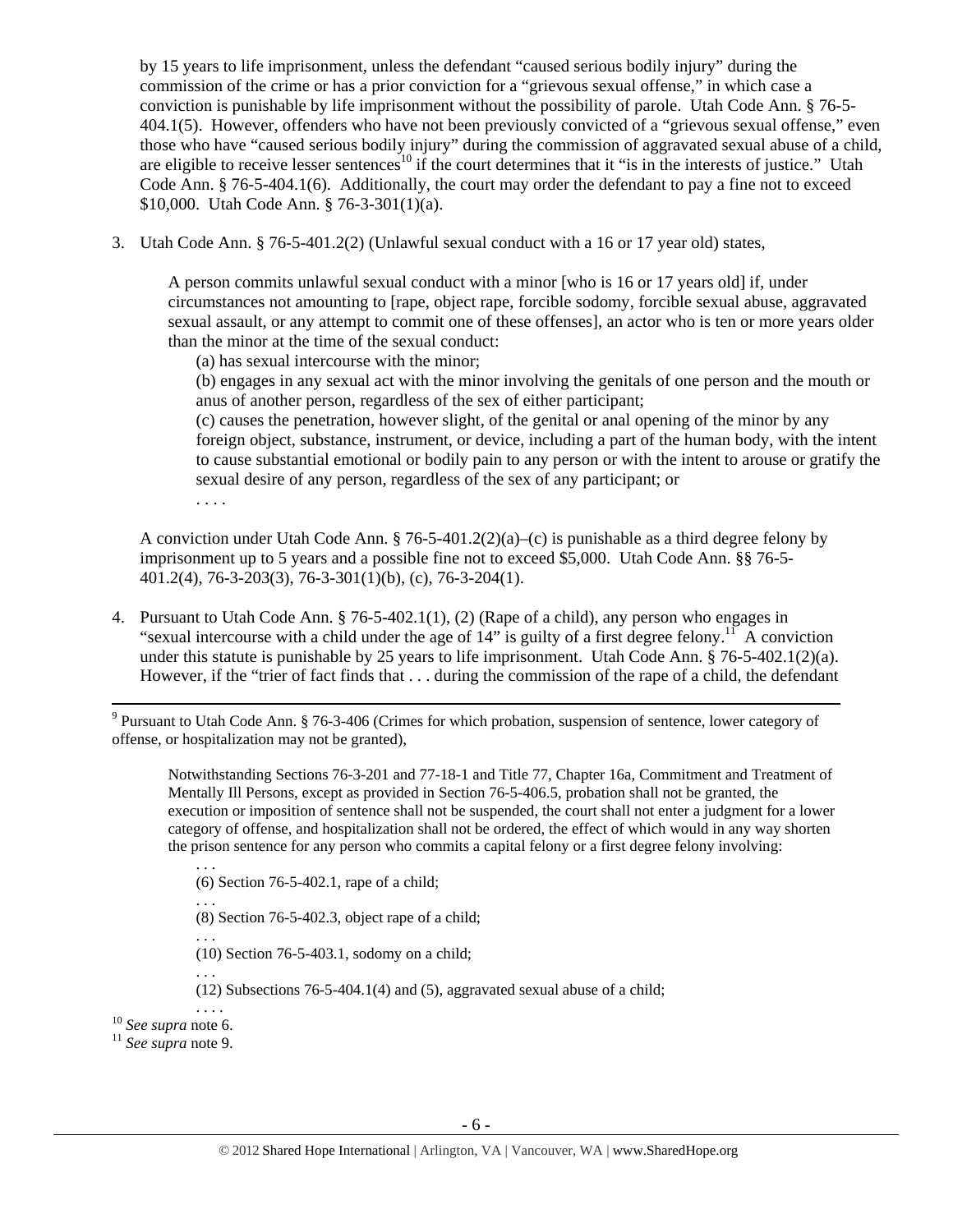by 15 years to life imprisonment, unless the defendant "caused serious bodily injury" during the commission of the crime or has a prior conviction for a "grievous sexual offense," in which case a conviction is punishable by life imprisonment without the possibility of parole. Utah Code Ann. § 76-5- 404.1(5). However, offenders who have not been previously convicted of a "grievous sexual offense," even those who have "caused serious bodily injury" during the commission of aggravated sexual abuse of a child, are eligible to receive lesser sentences<sup>10</sup> if the court determines that it "is in the interests of justice." Utah Code Ann. § 76-5-404.1(6). Additionally, the court may order the defendant to pay a fine not to exceed \$10,000. Utah Code Ann. § 76-3-301(1)(a).

3. Utah Code Ann. § 76-5-401.2(2) (Unlawful sexual conduct with a 16 or 17 year old) states,

A person commits unlawful sexual conduct with a minor [who is 16 or 17 years old] if, under circumstances not amounting to [rape, object rape, forcible sodomy, forcible sexual abuse, aggravated sexual assault, or any attempt to commit one of these offenses], an actor who is ten or more years older than the minor at the time of the sexual conduct:

(a) has sexual intercourse with the minor;

(b) engages in any sexual act with the minor involving the genitals of one person and the mouth or anus of another person, regardless of the sex of either participant;

(c) causes the penetration, however slight, of the genital or anal opening of the minor by any foreign object, substance, instrument, or device, including a part of the human body, with the intent to cause substantial emotional or bodily pain to any person or with the intent to arouse or gratify the sexual desire of any person, regardless of the sex of any participant; or

. . . .

A conviction under Utah Code Ann.  $\S 76-5-401.2(2)(a)$ –(c) is punishable as a third degree felony by imprisonment up to 5 years and a possible fine not to exceed \$5,000. Utah Code Ann. §§ 76-5- 401.2(4), 76-3-203(3), 76-3-301(1)(b), (c), 76-3-204(1).

4. Pursuant to Utah Code Ann. § 76-5-402.1(1), (2) (Rape of a child), any person who engages in "sexual intercourse with a child under the age of  $14$ " is guilty of a first degree felony.<sup>11</sup> A conviction under this statute is punishable by 25 years to life imprisonment. Utah Code Ann. § 76-5-402.1(2)(a). However, if the "trier of fact finds that . . . during the commission of the rape of a child, the defendant

 <sup>9</sup> Pursuant to Utah Code Ann. § 76-3-406 (Crimes for which probation, suspension of sentence, lower category of offense, or hospitalization may not be granted),

Notwithstanding Sections 76-3-201 and 77-18-1 and Title 77, Chapter 16a, Commitment and Treatment of Mentally Ill Persons, except as provided in Section 76-5-406.5, probation shall not be granted, the execution or imposition of sentence shall not be suspended, the court shall not enter a judgment for a lower category of offense, and hospitalization shall not be ordered, the effect of which would in any way shorten the prison sentence for any person who commits a capital felony or a first degree felony involving:

- . . . (6) Section 76-5-402.1, rape of a child;
- . . . (8) Section 76-5-402.3, object rape of a child;
- 
- (10) Section 76-5-403.1, sodomy on a child; . . .
- (12) Subsections 76-5-404.1(4) and (5), aggravated sexual abuse of a child;

. . . . 10 *See supra* note 6. 11 *See supra* note 9.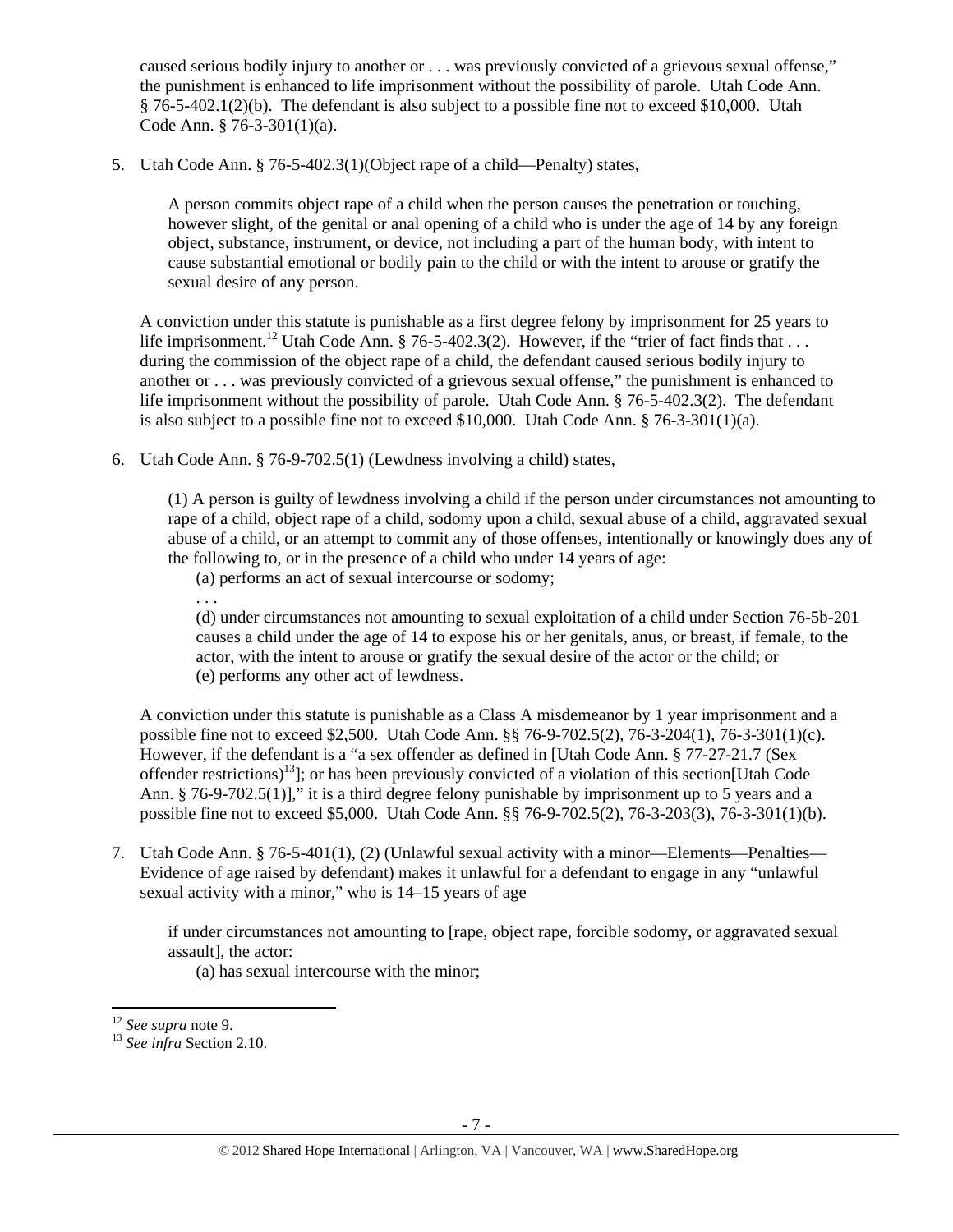caused serious bodily injury to another or . . . was previously convicted of a grievous sexual offense," the punishment is enhanced to life imprisonment without the possibility of parole. Utah Code Ann. § 76-5-402.1(2)(b). The defendant is also subject to a possible fine not to exceed \$10,000. Utah Code Ann. § 76-3-301(1)(a).

5. Utah Code Ann. § 76-5-402.3(1)(Object rape of a child—Penalty) states,

A person commits object rape of a child when the person causes the penetration or touching, however slight, of the genital or anal opening of a child who is under the age of 14 by any foreign object, substance, instrument, or device, not including a part of the human body, with intent to cause substantial emotional or bodily pain to the child or with the intent to arouse or gratify the sexual desire of any person.

A conviction under this statute is punishable as a first degree felony by imprisonment for 25 years to life imprisonment.<sup>12</sup> Utah Code Ann. § 76-5-402.3(2). However, if the "trier of fact finds that ... during the commission of the object rape of a child, the defendant caused serious bodily injury to another or . . . was previously convicted of a grievous sexual offense," the punishment is enhanced to life imprisonment without the possibility of parole. Utah Code Ann. § 76-5-402.3(2). The defendant is also subject to a possible fine not to exceed \$10,000. Utah Code Ann.  $\S$  76-3-301(1)(a).

6. Utah Code Ann. § 76-9-702.5(1) (Lewdness involving a child) states,

(1) A person is guilty of lewdness involving a child if the person under circumstances not amounting to rape of a child, object rape of a child, sodomy upon a child, sexual abuse of a child, aggravated sexual abuse of a child, or an attempt to commit any of those offenses, intentionally or knowingly does any of the following to, or in the presence of a child who under 14 years of age:

(a) performs an act of sexual intercourse or sodomy;

(d) under circumstances not amounting to sexual exploitation of a child under Section 76-5b-201 causes a child under the age of 14 to expose his or her genitals, anus, or breast, if female, to the actor, with the intent to arouse or gratify the sexual desire of the actor or the child; or (e) performs any other act of lewdness.

A conviction under this statute is punishable as a Class A misdemeanor by 1 year imprisonment and a possible fine not to exceed \$2,500. Utah Code Ann. §§ 76-9-702.5(2), 76-3-204(1), 76-3-301(1)(c). However, if the defendant is a "a sex offender as defined in [Utah Code Ann. § 77-27-21.7 (Sex offender restrictions)<sup>13</sup>]; or has been previously convicted of a violation of this section[Utah Code Ann. § 76-9-702.5(1)]," it is a third degree felony punishable by imprisonment up to 5 years and a possible fine not to exceed \$5,000. Utah Code Ann. §§ 76-9-702.5(2), 76-3-203(3), 76-3-301(1)(b).

7. Utah Code Ann. § 76-5-401(1), (2) (Unlawful sexual activity with a minor—Elements—Penalties— Evidence of age raised by defendant) makes it unlawful for a defendant to engage in any "unlawful sexual activity with a minor," who is 14–15 years of age

if under circumstances not amounting to [rape, object rape, forcible sodomy, or aggravated sexual assault], the actor:

(a) has sexual intercourse with the minor;

. . .

 $12$  See supra note 9.

<sup>&</sup>lt;sup>13</sup> See infra Section 2.10.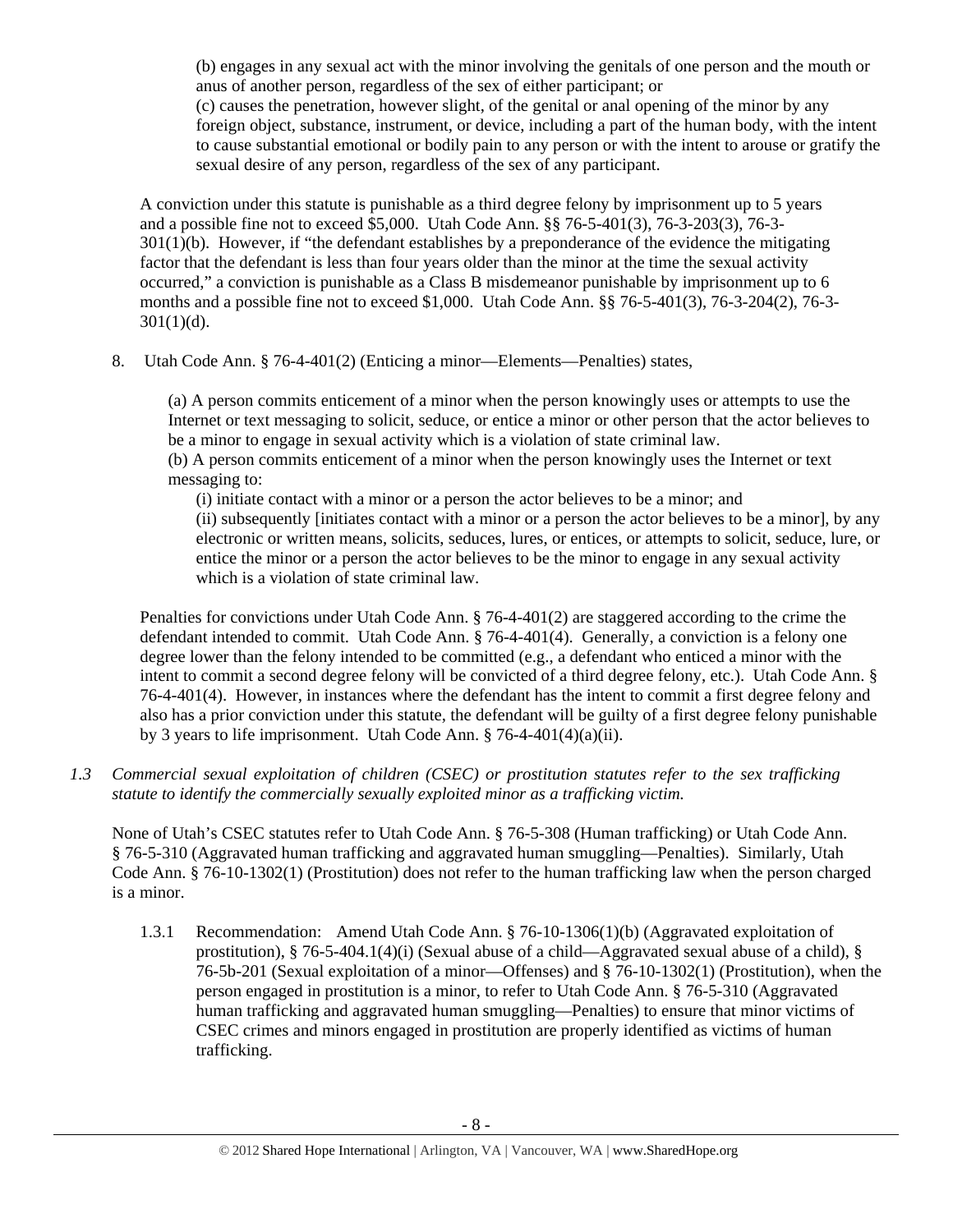(b) engages in any sexual act with the minor involving the genitals of one person and the mouth or anus of another person, regardless of the sex of either participant; or (c) causes the penetration, however slight, of the genital or anal opening of the minor by any foreign object, substance, instrument, or device, including a part of the human body, with the intent to cause substantial emotional or bodily pain to any person or with the intent to arouse or gratify the sexual desire of any person, regardless of the sex of any participant.

A conviction under this statute is punishable as a third degree felony by imprisonment up to 5 years and a possible fine not to exceed \$5,000. Utah Code Ann. §§ 76-5-401(3), 76-3-203(3), 76-3- 301(1)(b). However, if "the defendant establishes by a preponderance of the evidence the mitigating factor that the defendant is less than four years older than the minor at the time the sexual activity occurred," a conviction is punishable as a Class B misdemeanor punishable by imprisonment up to 6 months and a possible fine not to exceed \$1,000. Utah Code Ann. §§ 76-5-401(3), 76-3-204(2), 76-3-  $301(1)(d)$ .

8. Utah Code Ann. § 76-4-401(2) (Enticing a minor—Elements—Penalties) states,

(a) A person commits enticement of a minor when the person knowingly uses or attempts to use the Internet or text messaging to solicit, seduce, or entice a minor or other person that the actor believes to be a minor to engage in sexual activity which is a violation of state criminal law. (b) A person commits enticement of a minor when the person knowingly uses the Internet or text

messaging to:

(i) initiate contact with a minor or a person the actor believes to be a minor; and (ii) subsequently [initiates contact with a minor or a person the actor believes to be a minor], by any electronic or written means, solicits, seduces, lures, or entices, or attempts to solicit, seduce, lure, or entice the minor or a person the actor believes to be the minor to engage in any sexual activity which is a violation of state criminal law.

Penalties for convictions under Utah Code Ann. § 76-4-401(2) are staggered according to the crime the defendant intended to commit. Utah Code Ann. § 76-4-401(4). Generally, a conviction is a felony one degree lower than the felony intended to be committed (e.g., a defendant who enticed a minor with the intent to commit a second degree felony will be convicted of a third degree felony, etc.). Utah Code Ann. § 76-4-401(4). However, in instances where the defendant has the intent to commit a first degree felony and also has a prior conviction under this statute, the defendant will be guilty of a first degree felony punishable by 3 years to life imprisonment. Utah Code Ann.  $\S$  76-4-401(4)(a)(ii).

*1.3 Commercial sexual exploitation of children (CSEC) or prostitution statutes refer to the sex trafficking statute to identify the commercially sexually exploited minor as a trafficking victim.* 

None of Utah's CSEC statutes refer to Utah Code Ann. § 76-5-308 (Human trafficking) or Utah Code Ann. § 76-5-310 (Aggravated human trafficking and aggravated human smuggling—Penalties). Similarly, Utah Code Ann. § 76-10-1302(1) (Prostitution) does not refer to the human trafficking law when the person charged is a minor.

1.3.1 Recommendation: Amend Utah Code Ann. § 76-10-1306(1)(b) (Aggravated exploitation of prostitution),  $§ 76-5-404.1(4)(i)$  (Sexual abuse of a child—Aggravated sexual abuse of a child),  $§$ 76-5b-201 (Sexual exploitation of a minor—Offenses) and § 76-10-1302(1) (Prostitution), when the person engaged in prostitution is a minor, to refer to Utah Code Ann. § 76-5-310 (Aggravated human trafficking and aggravated human smuggling—Penalties) to ensure that minor victims of CSEC crimes and minors engaged in prostitution are properly identified as victims of human trafficking.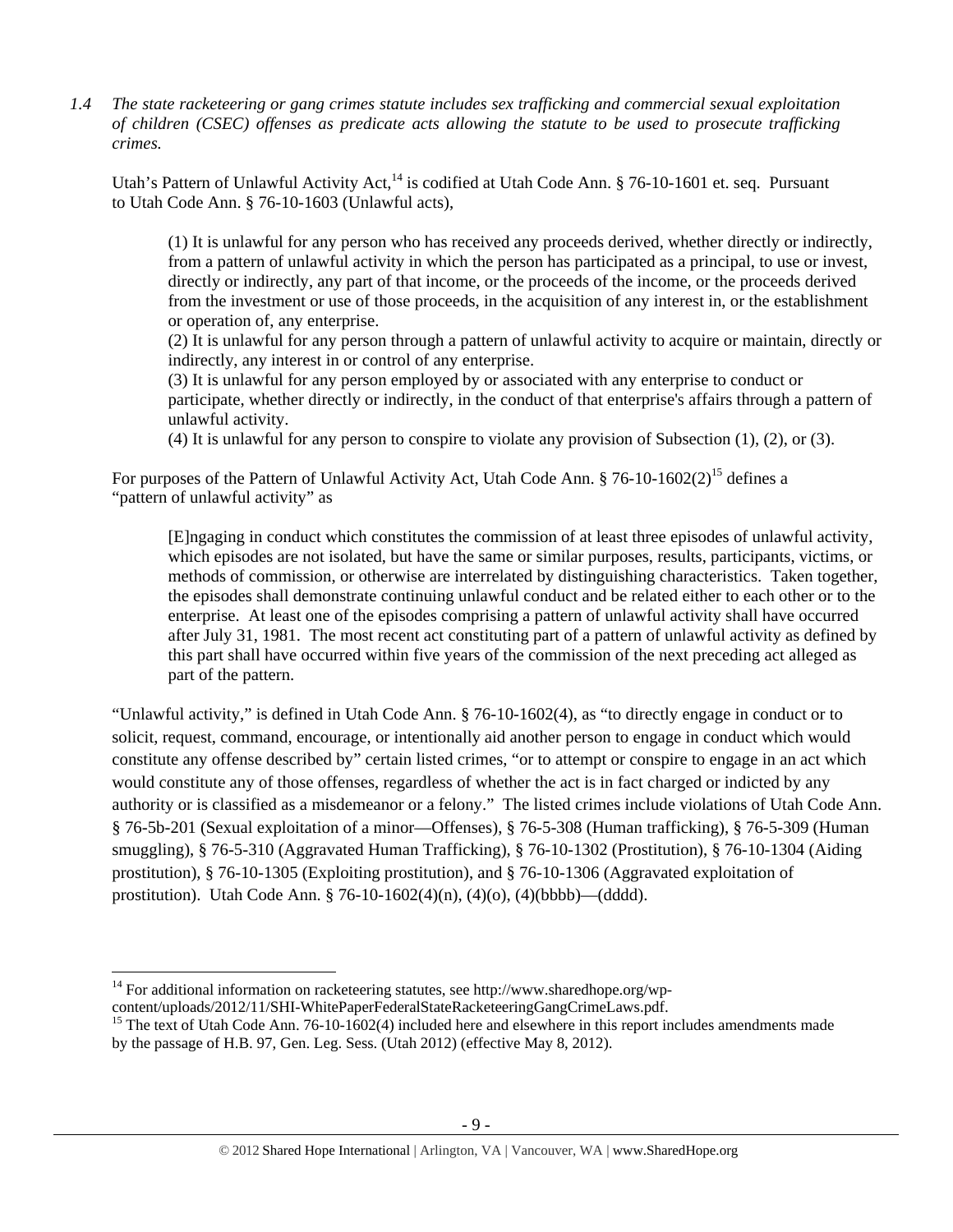*1.4 The state racketeering or gang crimes statute includes sex trafficking and commercial sexual exploitation of children (CSEC) offenses as predicate acts allowing the statute to be used to prosecute trafficking crimes.* 

Utah's Pattern of Unlawful Activity Act,<sup>14</sup> is codified at Utah Code Ann. § 76-10-1601 et. seq. Pursuant to Utah Code Ann. § 76-10-1603 (Unlawful acts),

(1) It is unlawful for any person who has received any proceeds derived, whether directly or indirectly, from a pattern of unlawful activity in which the person has participated as a principal, to use or invest, directly or indirectly, any part of that income, or the proceeds of the income, or the proceeds derived from the investment or use of those proceeds, in the acquisition of any interest in, or the establishment or operation of, any enterprise.

(2) It is unlawful for any person through a pattern of unlawful activity to acquire or maintain, directly or indirectly, any interest in or control of any enterprise.

(3) It is unlawful for any person employed by or associated with any enterprise to conduct or participate, whether directly or indirectly, in the conduct of that enterprise's affairs through a pattern of unlawful activity.

(4) It is unlawful for any person to conspire to violate any provision of Subsection (1), (2), or (3).

For purposes of the Pattern of Unlawful Activity Act, Utah Code Ann. § 76-10-1602(2)<sup>15</sup> defines a "pattern of unlawful activity" as

[E]ngaging in conduct which constitutes the commission of at least three episodes of unlawful activity, which episodes are not isolated, but have the same or similar purposes, results, participants, victims, or methods of commission, or otherwise are interrelated by distinguishing characteristics. Taken together, the episodes shall demonstrate continuing unlawful conduct and be related either to each other or to the enterprise. At least one of the episodes comprising a pattern of unlawful activity shall have occurred after July 31, 1981. The most recent act constituting part of a pattern of unlawful activity as defined by this part shall have occurred within five years of the commission of the next preceding act alleged as part of the pattern.

"Unlawful activity," is defined in Utah Code Ann. § 76-10-1602(4), as "to directly engage in conduct or to solicit, request, command, encourage, or intentionally aid another person to engage in conduct which would constitute any offense described by" certain listed crimes, "or to attempt or conspire to engage in an act which would constitute any of those offenses, regardless of whether the act is in fact charged or indicted by any authority or is classified as a misdemeanor or a felony." The listed crimes include violations of Utah Code Ann. § 76-5b-201 (Sexual exploitation of a minor—Offenses), § 76-5-308 (Human trafficking), § 76-5-309 (Human smuggling), § 76-5-310 (Aggravated Human Trafficking), § 76-10-1302 (Prostitution), § 76-10-1304 (Aiding prostitution), § 76-10-1305 (Exploiting prostitution), and § 76-10-1306 (Aggravated exploitation of prostitution). Utah Code Ann. § 76-10-1602(4)(n), (4)(o), (4)(bbbb)—(dddd).

<sup>&</sup>lt;sup>14</sup> For additional information on racketeering statutes, see http://www.sharedhope.org/wp-content/uploads/2012/11/SHI-WhitePaperFederalStateRacketeeringGangCrimeLaws.pdf.

<sup>&</sup>lt;sup>15</sup> The text of Utah Code Ann. 76-10-1602(4) included here and elsewhere in this report includes amendments made by the passage of H.B. 97, Gen. Leg. Sess. (Utah 2012) (effective May 8, 2012).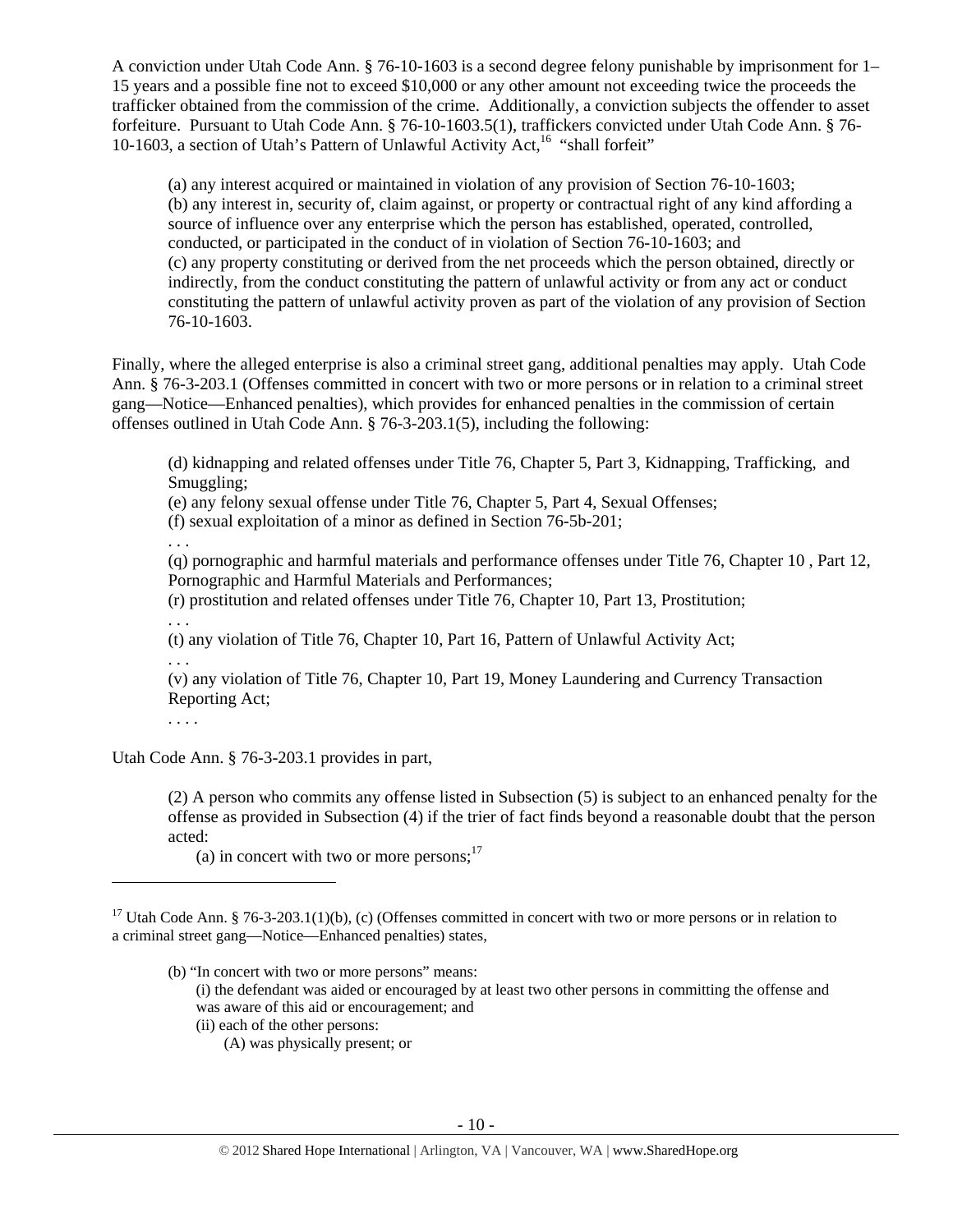A conviction under Utah Code Ann. § 76-10-1603 is a second degree felony punishable by imprisonment for 1– 15 years and a possible fine not to exceed \$10,000 or any other amount not exceeding twice the proceeds the trafficker obtained from the commission of the crime. Additionally, a conviction subjects the offender to asset forfeiture. Pursuant to Utah Code Ann. § 76-10-1603.5(1), traffickers convicted under Utah Code Ann. § 76- 10-1603, a section of Utah's Pattern of Unlawful Activity Act,<sup>16</sup> "shall forfeit"

(a) any interest acquired or maintained in violation of any provision of Section 76-10-1603; (b) any interest in, security of, claim against, or property or contractual right of any kind affording a source of influence over any enterprise which the person has established, operated, controlled, conducted, or participated in the conduct of in violation of Section 76-10-1603; and (c) any property constituting or derived from the net proceeds which the person obtained, directly or indirectly, from the conduct constituting the pattern of unlawful activity or from any act or conduct constituting the pattern of unlawful activity proven as part of the violation of any provision of Section 76-10-1603.

Finally, where the alleged enterprise is also a criminal street gang, additional penalties may apply. Utah Code Ann. § 76-3-203.1 (Offenses committed in concert with two or more persons or in relation to a criminal street gang—Notice—Enhanced penalties), which provides for enhanced penalties in the commission of certain offenses outlined in Utah Code Ann. § 76-3-203.1(5), including the following:

(d) kidnapping and related offenses under Title 76, Chapter 5, Part 3, Kidnapping, Trafficking, and Smuggling;

(e) any felony sexual offense under Title 76, Chapter 5, Part 4, Sexual Offenses;

(f) sexual exploitation of a minor as defined in Section 76-5b-201;

. . .

(q) pornographic and harmful materials and performance offenses under Title 76, Chapter 10 , Part 12, Pornographic and Harmful Materials and Performances;

(r) prostitution and related offenses under Title 76, Chapter 10, Part 13, Prostitution;

. . .

(t) any violation of Title 76, Chapter 10, Part 16, Pattern of Unlawful Activity Act;

. . .

(v) any violation of Title 76, Chapter 10, Part 19, Money Laundering and Currency Transaction Reporting Act;

. . . .

Utah Code Ann. § 76-3-203.1 provides in part,

(2) A person who commits any offense listed in Subsection (5) is subject to an enhanced penalty for the offense as provided in Subsection (4) if the trier of fact finds beyond a reasonable doubt that the person acted:

(a) in concert with two or more persons; $^{17}$ 

- (b) "In concert with two or more persons" means:
	- (i) the defendant was aided or encouraged by at least two other persons in committing the offense and was aware of this aid or encouragement; and

(ii) each of the other persons:

(A) was physically present; or

<sup>&</sup>lt;sup>17</sup> Utah Code Ann. § 76-3-203.1(1)(b), (c) (Offenses committed in concert with two or more persons or in relation to a criminal street gang—Notice—Enhanced penalties) states,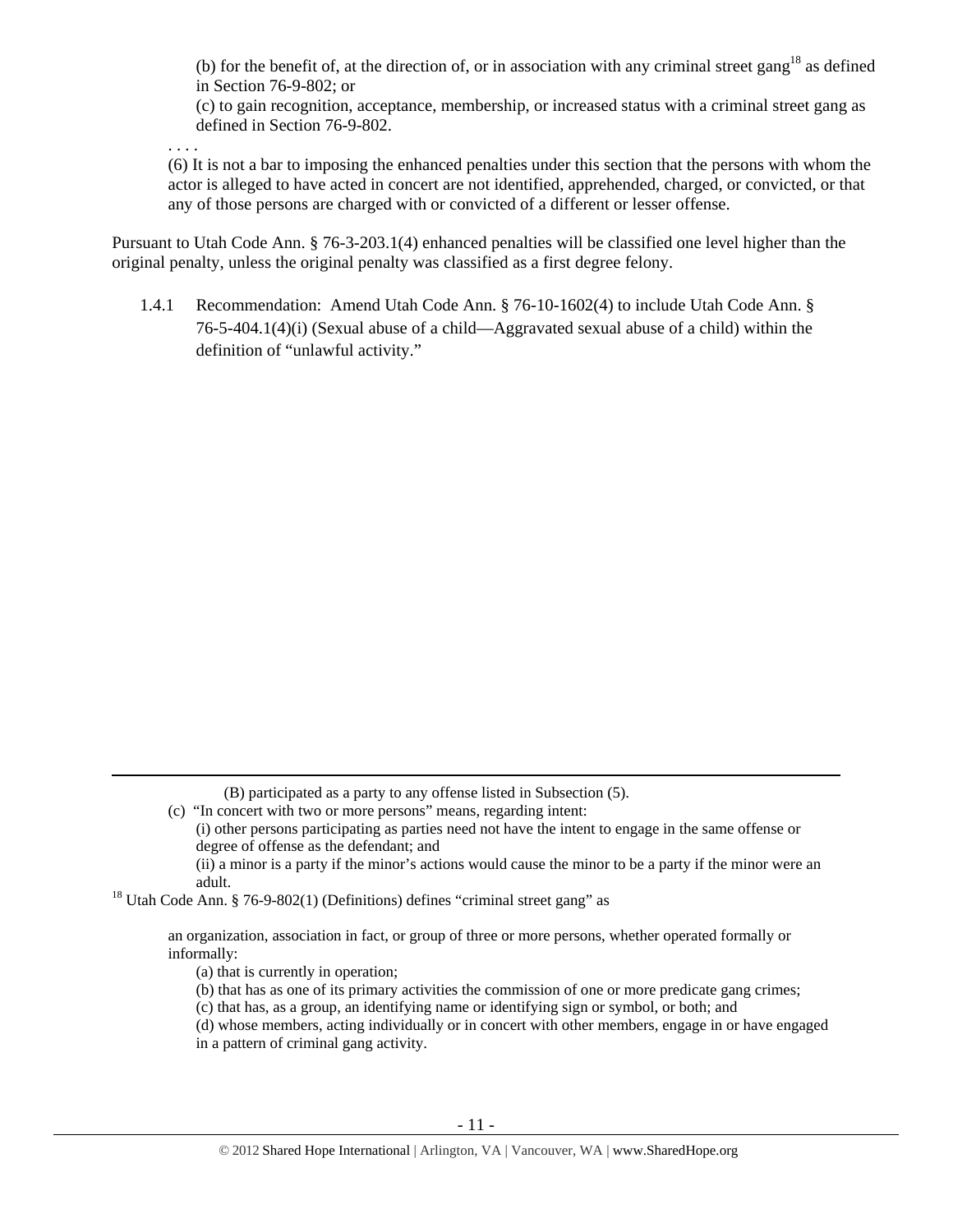(b) for the benefit of, at the direction of, or in association with any criminal street gang<sup>18</sup> as defined in Section 76-9-802; or

(c) to gain recognition, acceptance, membership, or increased status with a criminal street gang as defined in Section 76-9-802.

. . . .

(6) It is not a bar to imposing the enhanced penalties under this section that the persons with whom the actor is alleged to have acted in concert are not identified, apprehended, charged, or convicted, or that any of those persons are charged with or convicted of a different or lesser offense.

Pursuant to Utah Code Ann. § 76-3-203.1(4) enhanced penalties will be classified one level higher than the original penalty, unless the original penalty was classified as a first degree felony.

1.4.1 Recommendation: Amend Utah Code Ann. § 76-10-1602(4) to include Utah Code Ann. § 76-5-404.1(4)(i) (Sexual abuse of a child—Aggravated sexual abuse of a child) within the definition of "unlawful activity."

(B) participated as a party to any offense listed in Subsection (5).

(c) "In concert with two or more persons" means, regarding intent: (i) other persons participating as parties need not have the intent to engage in the same offense or degree of offense as the defendant; and (ii) a minor is a party if the minor's actions would cause the minor to be a party if the minor were an

<u> 1989 - Johann Stein, marwolaethau a gweledydd a ganlad y ganlad y ganlad y ganlad y ganlad y ganlad y ganlad</u>

adult.<br><sup>18</sup> Utah Code Ann. § 76-9-802(1) (Definitions) defines "criminal street gang" as

an organization, association in fact, or group of three or more persons, whether operated formally or informally:

(a) that is currently in operation;

- (b) that has as one of its primary activities the commission of one or more predicate gang crimes;
- (c) that has, as a group, an identifying name or identifying sign or symbol, or both; and

(d) whose members, acting individually or in concert with other members, engage in or have engaged

in a pattern of criminal gang activity.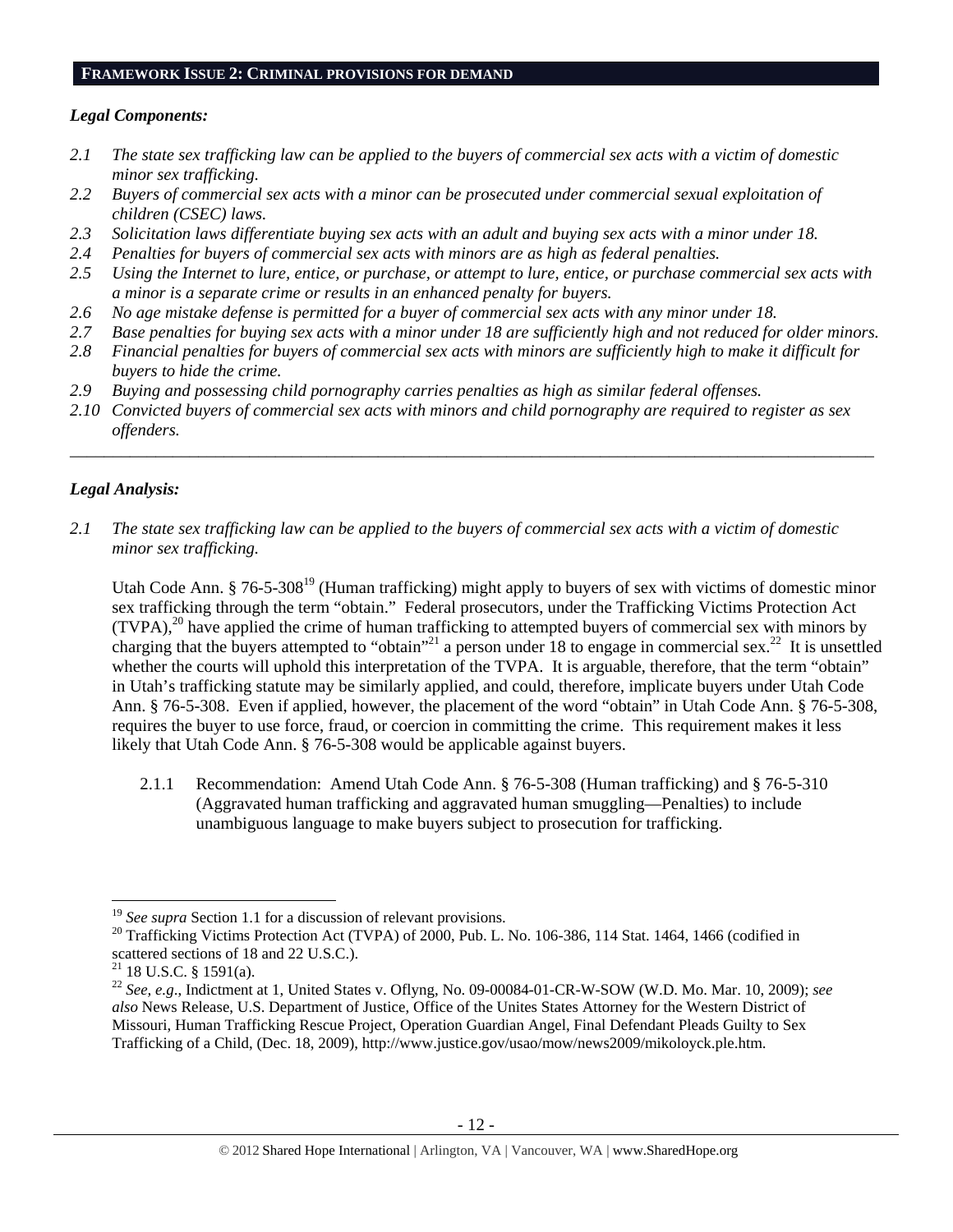#### **FRAMEWORK ISSUE 2: CRIMINAL PROVISIONS FOR DEMAND**

## *Legal Components:*

- *2.1 The state sex trafficking law can be applied to the buyers of commercial sex acts with a victim of domestic minor sex trafficking.*
- *2.2 Buyers of commercial sex acts with a minor can be prosecuted under commercial sexual exploitation of children (CSEC) laws.*
- *2.3 Solicitation laws differentiate buying sex acts with an adult and buying sex acts with a minor under 18.*
- *2.4 Penalties for buyers of commercial sex acts with minors are as high as federal penalties.*
- *2.5 Using the Internet to lure, entice, or purchase, or attempt to lure, entice, or purchase commercial sex acts with a minor is a separate crime or results in an enhanced penalty for buyers.*
- *2.6 No age mistake defense is permitted for a buyer of commercial sex acts with any minor under 18.*
- *2.7 Base penalties for buying sex acts with a minor under 18 are sufficiently high and not reduced for older minors.*
- *2.8 Financial penalties for buyers of commercial sex acts with minors are sufficiently high to make it difficult for buyers to hide the crime.*
- *2.9 Buying and possessing child pornography carries penalties as high as similar federal offenses.*
- *2.10 Convicted buyers of commercial sex acts with minors and child pornography are required to register as sex offenders.*

\_\_\_\_\_\_\_\_\_\_\_\_\_\_\_\_\_\_\_\_\_\_\_\_\_\_\_\_\_\_\_\_\_\_\_\_\_\_\_\_\_\_\_\_\_\_\_\_\_\_\_\_\_\_\_\_\_\_\_\_\_\_\_\_\_\_\_\_\_\_\_\_\_\_\_\_\_\_\_\_\_\_\_\_\_\_\_\_\_\_\_\_\_\_

# *Legal Analysis:*

*2.1 The state sex trafficking law can be applied to the buyers of commercial sex acts with a victim of domestic minor sex trafficking.*

Utah Code Ann. § 76-5-308<sup>19</sup> (Human trafficking) might apply to buyers of sex with victims of domestic minor sex trafficking through the term "obtain." Federal prosecutors, under the Trafficking Victims Protection Act (TVPA),20 have applied the crime of human trafficking to attempted buyers of commercial sex with minors by charging that the buyers attempted to "obtain"<sup>21</sup> a person under 18 to engage in commercial sex.<sup>22</sup> It is unsettled whether the courts will uphold this interpretation of the TVPA. It is arguable, therefore, that the term "obtain" in Utah's trafficking statute may be similarly applied, and could, therefore, implicate buyers under Utah Code Ann. § 76-5-308. Even if applied, however, the placement of the word "obtain" in Utah Code Ann. § 76-5-308, requires the buyer to use force, fraud, or coercion in committing the crime. This requirement makes it less likely that Utah Code Ann. § 76-5-308 would be applicable against buyers.

2.1.1 Recommendation: Amend Utah Code Ann. § 76-5-308 (Human trafficking) and § 76-5-310 (Aggravated human trafficking and aggravated human smuggling—Penalties) to include unambiguous language to make buyers subject to prosecution for trafficking.

 $19$  See supra Section 1.1 for a discussion of relevant provisions.

<sup>&</sup>lt;sup>20</sup> Trafficking Victims Protection Act (TVPA) of 2000, Pub. L. No. 106-386, 114 Stat. 1464, 1466 (codified in scattered sections of 18 and 22 U.S.C.).

 $21$  18 U.S.C. § 1591(a).

<sup>22</sup> *See, e.g*., Indictment at 1, United States v. Oflyng, No. 09-00084-01-CR-W-SOW (W.D. Mo. Mar. 10, 2009); *see also* News Release, U.S. Department of Justice, Office of the Unites States Attorney for the Western District of Missouri, Human Trafficking Rescue Project, Operation Guardian Angel, Final Defendant Pleads Guilty to Sex Trafficking of a Child, (Dec. 18, 2009), http://www.justice.gov/usao/mow/news2009/mikoloyck.ple.htm.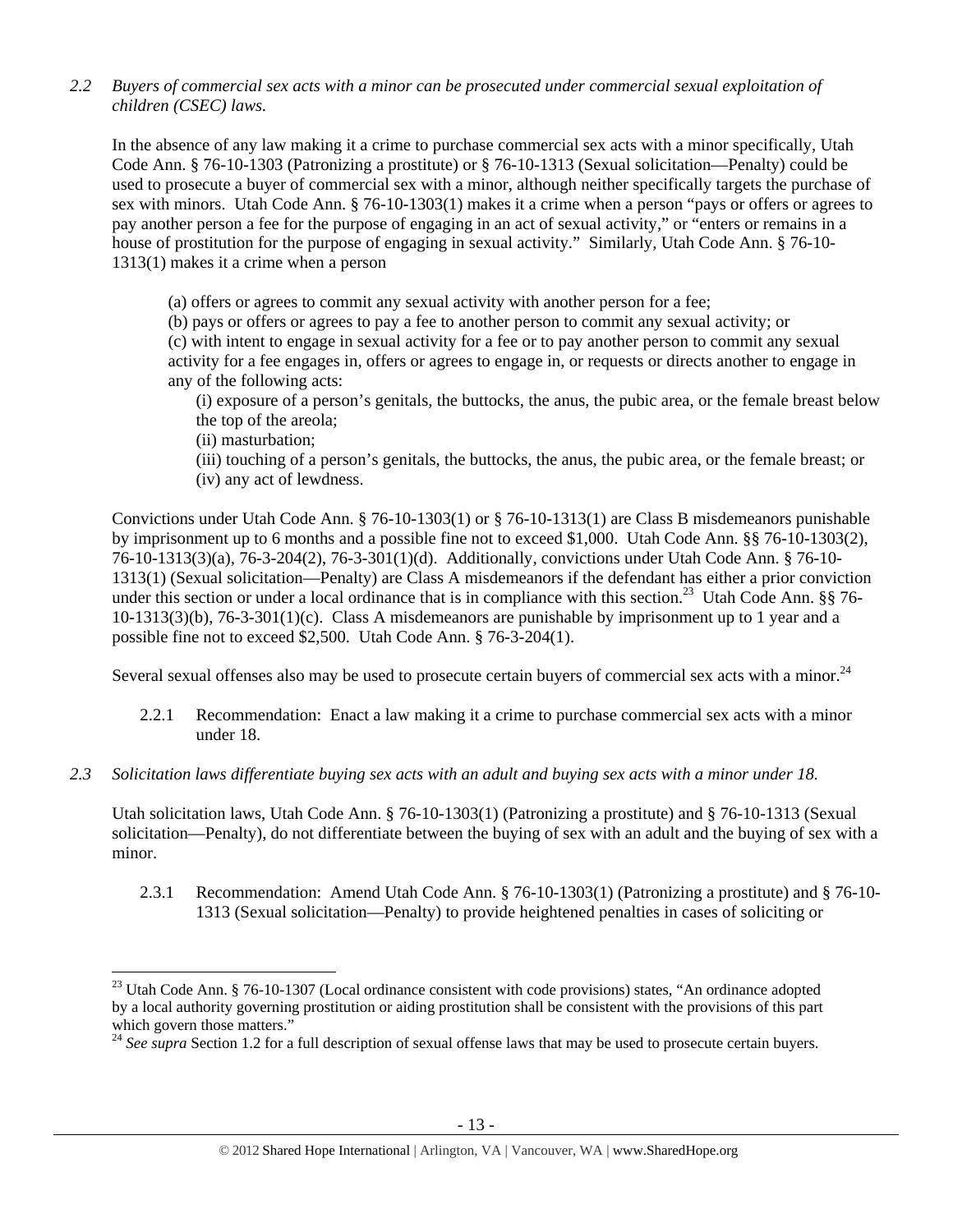*2.2 Buyers of commercial sex acts with a minor can be prosecuted under commercial sexual exploitation of children (CSEC) laws.* 

In the absence of any law making it a crime to purchase commercial sex acts with a minor specifically, Utah Code Ann. § 76-10-1303 (Patronizing a prostitute) or § 76-10-1313 (Sexual solicitation—Penalty) could be used to prosecute a buyer of commercial sex with a minor, although neither specifically targets the purchase of sex with minors. Utah Code Ann. § 76-10-1303(1) makes it a crime when a person "pays or offers or agrees to pay another person a fee for the purpose of engaging in an act of sexual activity," or "enters or remains in a house of prostitution for the purpose of engaging in sexual activity." Similarly, Utah Code Ann. § 76-10- 1313(1) makes it a crime when a person

(a) offers or agrees to commit any sexual activity with another person for a fee;

(b) pays or offers or agrees to pay a fee to another person to commit any sexual activity; or (c) with intent to engage in sexual activity for a fee or to pay another person to commit any sexual activity for a fee engages in, offers or agrees to engage in, or requests or directs another to engage in any of the following acts:

(i) exposure of a person's genitals, the buttocks, the anus, the pubic area, or the female breast below the top of the areola;

(ii) masturbation;

(iii) touching of a person's genitals, the buttocks, the anus, the pubic area, or the female breast; or (iv) any act of lewdness.

Convictions under Utah Code Ann. § 76-10-1303(1) or § 76-10-1313(1) are Class B misdemeanors punishable by imprisonment up to 6 months and a possible fine not to exceed \$1,000. Utah Code Ann. §§ 76-10-1303(2), 76-10-1313(3)(a), 76-3-204(2), 76-3-301(1)(d). Additionally, convictions under Utah Code Ann. § 76-10- 1313(1) (Sexual solicitation—Penalty) are Class A misdemeanors if the defendant has either a prior conviction under this section or under a local ordinance that is in compliance with this section.<sup>23</sup> Utah Code Ann. §§ 76-10-1313(3)(b), 76-3-301(1)(c). Class A misdemeanors are punishable by imprisonment up to 1 year and a possible fine not to exceed \$2,500. Utah Code Ann. § 76-3-204(1).

Several sexual offenses also may be used to prosecute certain buyers of commercial sex acts with a minor.<sup>24</sup>

- 2.2.1 Recommendation: Enact a law making it a crime to purchase commercial sex acts with a minor under 18.
- *2.3 Solicitation laws differentiate buying sex acts with an adult and buying sex acts with a minor under 18.*

Utah solicitation laws, Utah Code Ann. § 76-10-1303(1) (Patronizing a prostitute) and § 76-10-1313 (Sexual solicitation—Penalty), do not differentiate between the buying of sex with an adult and the buying of sex with a minor.

2.3.1 Recommendation: Amend Utah Code Ann. § 76-10-1303(1) (Patronizing a prostitute) and § 76-10- 1313 (Sexual solicitation—Penalty) to provide heightened penalties in cases of soliciting or

<sup>&</sup>lt;sup>23</sup> Utah Code Ann. § 76-10-1307 (Local ordinance consistent with code provisions) states, "An ordinance adopted by a local authority governing prostitution or aiding prostitution shall be consistent with the provisions of this part which govern those matters."

<sup>&</sup>lt;sup>24</sup> See supra Section 1.2 for a full description of sexual offense laws that may be used to prosecute certain buyers.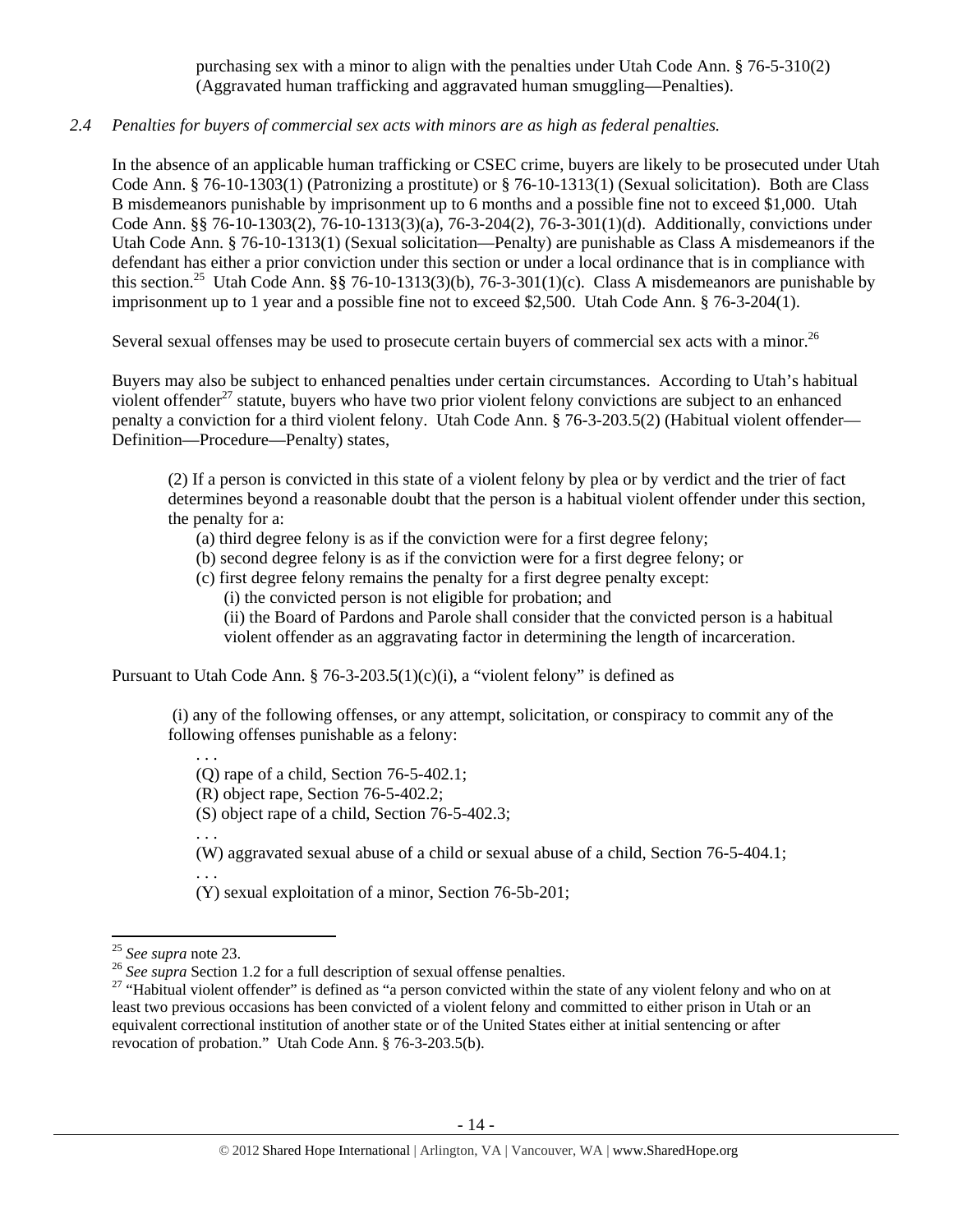purchasing sex with a minor to align with the penalties under Utah Code Ann. § 76-5-310(2) (Aggravated human trafficking and aggravated human smuggling—Penalties).

# *2.4 Penalties for buyers of commercial sex acts with minors are as high as federal penalties.*

In the absence of an applicable human trafficking or CSEC crime, buyers are likely to be prosecuted under Utah Code Ann. § 76-10-1303(1) (Patronizing a prostitute) or § 76-10-1313(1) (Sexual solicitation). Both are Class B misdemeanors punishable by imprisonment up to 6 months and a possible fine not to exceed \$1,000. Utah Code Ann. §§ 76-10-1303(2), 76-10-1313(3)(a), 76-3-204(2), 76-3-301(1)(d). Additionally, convictions under Utah Code Ann. § 76-10-1313(1) (Sexual solicitation—Penalty) are punishable as Class A misdemeanors if the defendant has either a prior conviction under this section or under a local ordinance that is in compliance with this section.<sup>25</sup> Utah Code Ann. §§ 76-10-1313(3)(b), 76-3-301(1)(c). Class A misdemeanors are punishable by imprisonment up to 1 year and a possible fine not to exceed \$2,500. Utah Code Ann. § 76-3-204(1).

Several sexual offenses may be used to prosecute certain buyers of commercial sex acts with a minor.<sup>26</sup>

Buyers may also be subject to enhanced penalties under certain circumstances. According to Utah's habitual violent offender<sup>27</sup> statute, buyers who have two prior violent felony convictions are subject to an enhanced penalty a conviction for a third violent felony. Utah Code Ann. § 76-3-203.5(2) (Habitual violent offender— Definition—Procedure—Penalty) states,

(2) If a person is convicted in this state of a violent felony by plea or by verdict and the trier of fact determines beyond a reasonable doubt that the person is a habitual violent offender under this section, the penalty for a:

(a) third degree felony is as if the conviction were for a first degree felony;

(b) second degree felony is as if the conviction were for a first degree felony; or

(c) first degree felony remains the penalty for a first degree penalty except:

(i) the convicted person is not eligible for probation; and

(ii) the Board of Pardons and Parole shall consider that the convicted person is a habitual violent offender as an aggravating factor in determining the length of incarceration.

Pursuant to Utah Code Ann. § 76-3-203.5(1)(c)(i), a "violent felony" is defined as

 (i) any of the following offenses, or any attempt, solicitation, or conspiracy to commit any of the following offenses punishable as a felony:

(Q) rape of a child, Section 76-5-402.1;

(R) object rape, Section 76-5-402.2;

(S) object rape of a child, Section 76-5-402.3;

. . .

. . .

(W) aggravated sexual abuse of a child or sexual abuse of a child, Section 76-5-404.1; . . .

(Y) sexual exploitation of a minor, Section 76-5b-201;

<sup>&</sup>lt;sup>25</sup> See supra note 23.<br><sup>26</sup> See supra Section 1.2 for a full description of sexual offense penalties.<br><sup>27</sup> "Habitual violent offender" is defined as "a person convicted within the state of any violent felony and who on a least two previous occasions has been convicted of a violent felony and committed to either prison in Utah or an equivalent correctional institution of another state or of the United States either at initial sentencing or after revocation of probation." Utah Code Ann. § 76-3-203.5(b).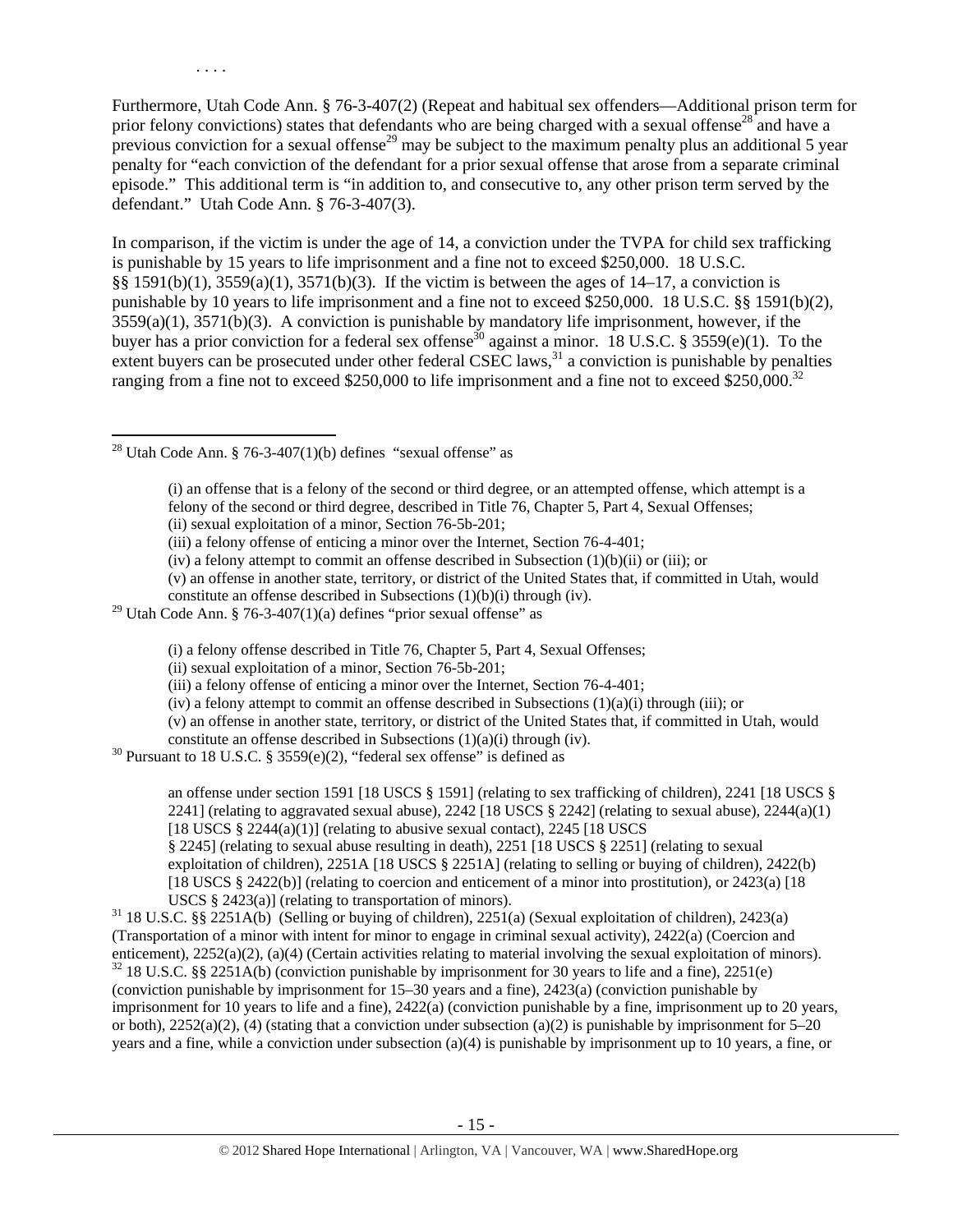Furthermore, Utah Code Ann. § 76-3-407(2) (Repeat and habitual sex offenders—Additional prison term for prior felony convictions) states that defendants who are being charged with a sexual offense<sup>28</sup> and have a previous conviction for a sexual offense<sup>29</sup> may be subject to the maximum penalty plus an additional 5 year penalty for "each conviction of the defendant for a prior sexual offense that arose from a separate criminal episode." This additional term is "in addition to, and consecutive to, any other prison term served by the defendant." Utah Code Ann. § 76-3-407(3).

In comparison, if the victim is under the age of 14, a conviction under the TVPA for child sex trafficking is punishable by 15 years to life imprisonment and a fine not to exceed \$250,000. 18 U.S.C. §§ 1591(b)(1), 3559(a)(1), 3571(b)(3). If the victim is between the ages of 14–17, a conviction is punishable by 10 years to life imprisonment and a fine not to exceed \$250,000. 18 U.S.C. §§ 1591(b)(2), 3559(a)(1), 3571(b)(3). A conviction is punishable by mandatory life imprisonment, however, if the buyer has a prior conviction for a federal sex offense<sup>30</sup> against a minor. 18 U.S.C. § 3559(e)(1). To the extent buyers can be prosecuted under other federal CSEC laws,  $31$  a conviction is punishable by penalties ranging from a fine not to exceed  $$250,000$  to life imprisonment and a fine not to exceed  $$250,000.<sup>32</sup>$ 

<sup>28</sup> Utah Code Ann. § 76-3-407(1)(b) defines "sexual offense" as

(i) an offense that is a felony of the second or third degree, or an attempted offense, which attempt is a felony of the second or third degree, described in Title 76, Chapter 5, Part 4, Sexual Offenses; (ii) sexual exploitation of a minor, Section 76-5b-201;

- (iv) a felony attempt to commit an offense described in Subsection  $(1)(b)(ii)$  or (iii); or
- (v) an offense in another state, territory, or district of the United States that, if committed in Utah, would constitute an offense described in Subsections (1)(b)(i) through (iv).
- <sup>29</sup> Utah Code Ann. § 76-3-407(1)(a) defines "prior sexual offense" as

(i) a felony offense described in Title 76, Chapter 5, Part 4, Sexual Offenses;

(v) an offense in another state, territory, or district of the United States that, if committed in Utah, would

constitute an offense described in Subsections (1)(a)(i) through (iv). <sup>30</sup> Pursuant to 18 U.S.C. § 3559(e)(2), "federal sex offense" is defined as

an offense under section 1591 [18 USCS § 1591] (relating to sex trafficking of children), 2241 [18 USCS § 2241] (relating to aggravated sexual abuse), 2242 [18 USCS  $\S$  2242] (relating to sexual abuse), 2244(a)(1) [18 USCS  $\S$  2244(a)(1)] (relating to abusive sexual contact), 2245 [18 USCS

§ 2245] (relating to sexual abuse resulting in death), 2251 [18 USCS § 2251] (relating to sexual exploitation of children), 2251A [18 USCS § 2251A] (relating to selling or buying of children), 2422(b) [18 USCS § 2422(b)] (relating to coercion and enticement of a minor into prostitution), or 2423(a) [18

USCS § 2423(a)] (relating to transportation of minors).<br><sup>31</sup> 18 U.S.C. §§ 2251A(b) (Selling or buying of children), 2251(a) (Sexual exploitation of children), 2423(a) (Transportation of a minor with intent for minor to engage in criminal sexual activity), 2422(a) (Coercion and enticement),  $2252(a)(2)$ ,  $(a)(4)$  (Certain activities relating to material involving the sexual exploitation of minors).<br><sup>32</sup> 18 U.S.C. §§ 2251A(b) (conviction punishable by imprisonment for 30 years to life and a fine), 22 (conviction punishable by imprisonment for 15–30 years and a fine), 2423(a) (conviction punishable by

imprisonment for 10 years to life and a fine), 2422(a) (conviction punishable by a fine, imprisonment up to 20 years, or both),  $2252(a)(2)$ , (4) (stating that a conviction under subsection (a)(2) is punishable by imprisonment for 5–20 years and a fine, while a conviction under subsection (a)(4) is punishable by imprisonment up to 10 years, a fine, or

<sup>(</sup>iii) a felony offense of enticing a minor over the Internet, Section 76-4-401;

<sup>(</sup>ii) sexual exploitation of a minor, Section 76-5b-201;

<sup>(</sup>iii) a felony offense of enticing a minor over the Internet, Section 76-4-401;

<sup>(</sup>iv) a felony attempt to commit an offense described in Subsections  $(1)(a)(i)$  through (iii); or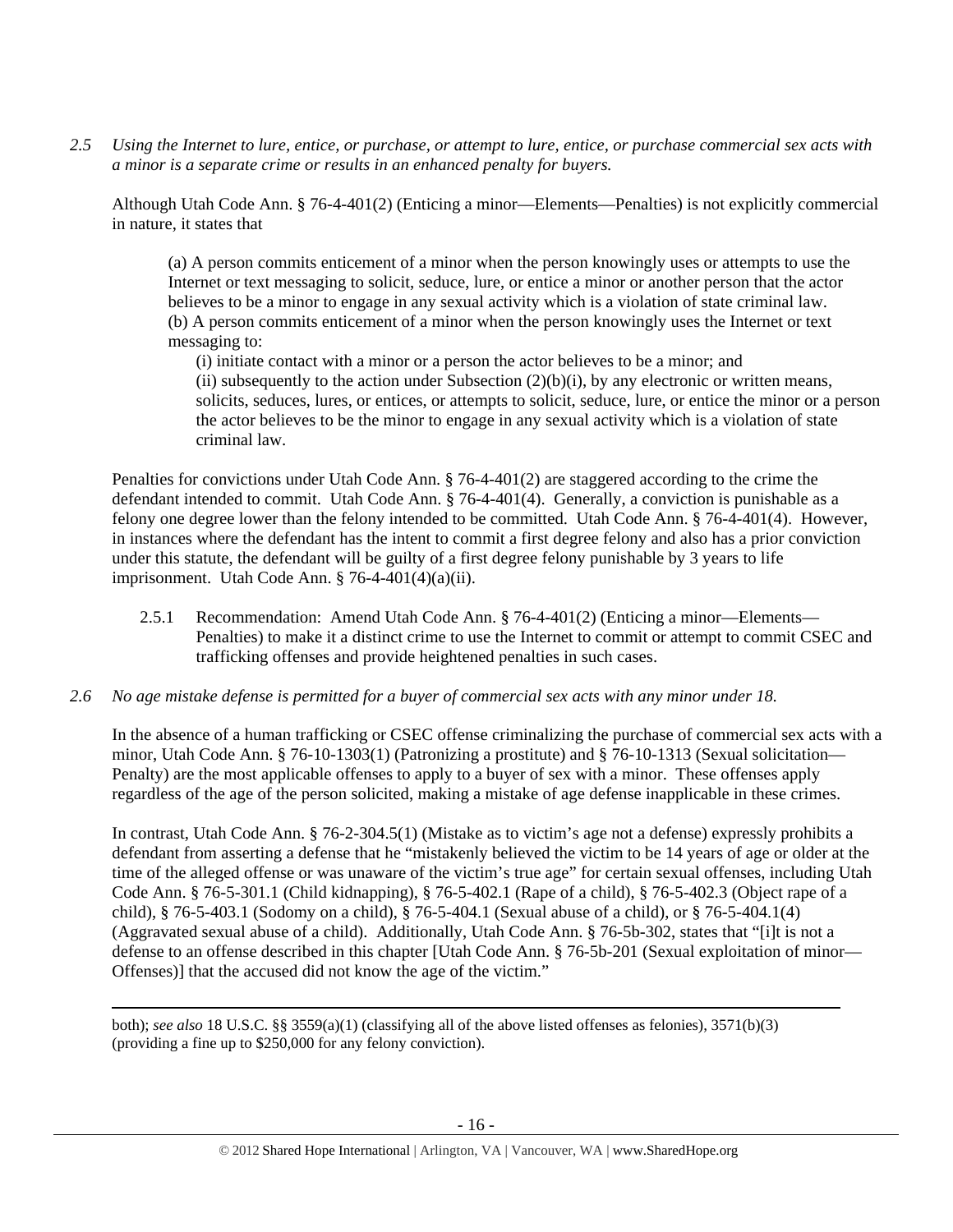*2.5 Using the Internet to lure, entice, or purchase, or attempt to lure, entice, or purchase commercial sex acts with a minor is a separate crime or results in an enhanced penalty for buyers.* 

Although Utah Code Ann. § 76-4-401(2) (Enticing a minor—Elements—Penalties) is not explicitly commercial in nature, it states that

(a) A person commits enticement of a minor when the person knowingly uses or attempts to use the Internet or text messaging to solicit, seduce, lure, or entice a minor or another person that the actor believes to be a minor to engage in any sexual activity which is a violation of state criminal law. (b) A person commits enticement of a minor when the person knowingly uses the Internet or text messaging to:

(i) initiate contact with a minor or a person the actor believes to be a minor; and (ii) subsequently to the action under Subsection  $(2)(b)(i)$ , by any electronic or written means, solicits, seduces, lures, or entices, or attempts to solicit, seduce, lure, or entice the minor or a person the actor believes to be the minor to engage in any sexual activity which is a violation of state criminal law.

Penalties for convictions under Utah Code Ann. § 76-4-401(2) are staggered according to the crime the defendant intended to commit. Utah Code Ann. § 76-4-401(4). Generally, a conviction is punishable as a felony one degree lower than the felony intended to be committed. Utah Code Ann. § 76-4-401(4). However, in instances where the defendant has the intent to commit a first degree felony and also has a prior conviction under this statute, the defendant will be guilty of a first degree felony punishable by 3 years to life imprisonment. Utah Code Ann.  $\S 76-4-401(4)(a)(ii)$ .

- 2.5.1 Recommendation: Amend Utah Code Ann. § 76-4-401(2) (Enticing a minor—Elements— Penalties) to make it a distinct crime to use the Internet to commit or attempt to commit CSEC and trafficking offenses and provide heightened penalties in such cases.
- *2.6 No age mistake defense is permitted for a buyer of commercial sex acts with any minor under 18.*

In the absence of a human trafficking or CSEC offense criminalizing the purchase of commercial sex acts with a minor, Utah Code Ann. § 76-10-1303(1) (Patronizing a prostitute) and § 76-10-1313 (Sexual solicitation— Penalty) are the most applicable offenses to apply to a buyer of sex with a minor. These offenses apply regardless of the age of the person solicited, making a mistake of age defense inapplicable in these crimes.

In contrast, Utah Code Ann. § 76-2-304.5(1) (Mistake as to victim's age not a defense) expressly prohibits a defendant from asserting a defense that he "mistakenly believed the victim to be 14 years of age or older at the time of the alleged offense or was unaware of the victim's true age" for certain sexual offenses, including Utah Code Ann. § 76-5-301.1 (Child kidnapping), § 76-5-402.1 (Rape of a child), § 76-5-402.3 (Object rape of a child), § 76-5-403.1 (Sodomy on a child), § 76-5-404.1 (Sexual abuse of a child), or § 76-5-404.1(4) (Aggravated sexual abuse of a child). Additionally, Utah Code Ann. § 76-5b-302, states that "[i]t is not a defense to an offense described in this chapter [Utah Code Ann. § 76-5b-201 (Sexual exploitation of minor— Offenses)] that the accused did not know the age of the victim."

both); *see also* 18 U.S.C. §§ 3559(a)(1) (classifying all of the above listed offenses as felonies), 3571(b)(3) (providing a fine up to \$250,000 for any felony conviction).

<u> Andrewski politika (za obrazu pod predsjednika u predsjednika u predsjednika u predsjednika (za obrazu pod p</u>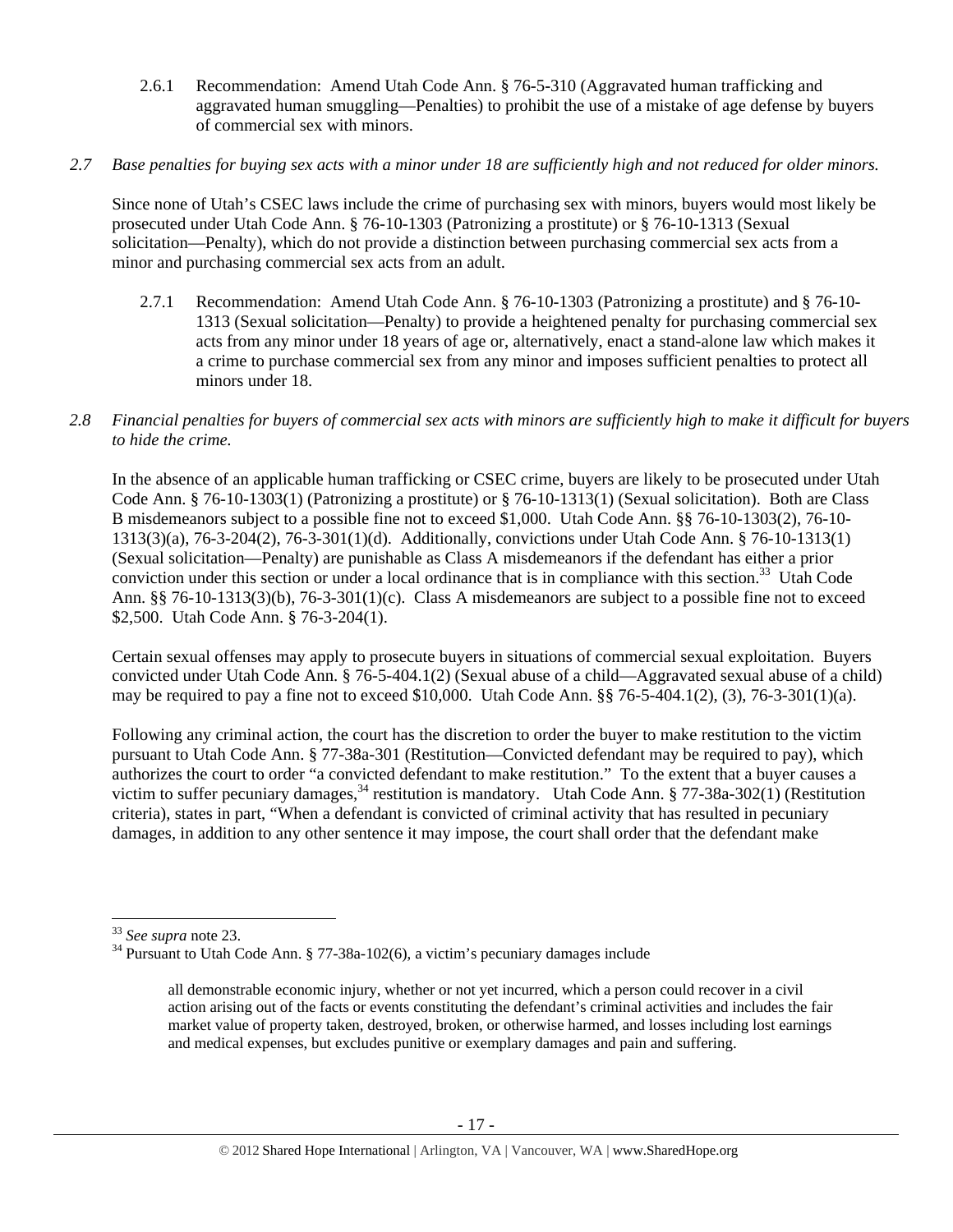- 2.6.1 Recommendation: Amend Utah Code Ann. § 76-5-310 (Aggravated human trafficking and aggravated human smuggling—Penalties) to prohibit the use of a mistake of age defense by buyers of commercial sex with minors.
- *2.7 Base penalties for buying sex acts with a minor under 18 are sufficiently high and not reduced for older minors.*

Since none of Utah's CSEC laws include the crime of purchasing sex with minors, buyers would most likely be prosecuted under Utah Code Ann. § 76-10-1303 (Patronizing a prostitute) or § 76-10-1313 (Sexual solicitation—Penalty), which do not provide a distinction between purchasing commercial sex acts from a minor and purchasing commercial sex acts from an adult.

- 2.7.1 Recommendation: Amend Utah Code Ann. § 76-10-1303 (Patronizing a prostitute) and § 76-10- 1313 (Sexual solicitation—Penalty) to provide a heightened penalty for purchasing commercial sex acts from any minor under 18 years of age or, alternatively, enact a stand-alone law which makes it a crime to purchase commercial sex from any minor and imposes sufficient penalties to protect all minors under 18.
- *2.8 Financial penalties for buyers of commercial sex acts with minors are sufficiently high to make it difficult for buyers to hide the crime.*

In the absence of an applicable human trafficking or CSEC crime, buyers are likely to be prosecuted under Utah Code Ann. § 76-10-1303(1) (Patronizing a prostitute) or § 76-10-1313(1) (Sexual solicitation). Both are Class B misdemeanors subject to a possible fine not to exceed \$1,000. Utah Code Ann. §§ 76-10-1303(2), 76-10- 1313(3)(a), 76-3-204(2), 76-3-301(1)(d). Additionally, convictions under Utah Code Ann. § 76-10-1313(1) (Sexual solicitation—Penalty) are punishable as Class A misdemeanors if the defendant has either a prior conviction under this section or under a local ordinance that is in compliance with this section.<sup>33</sup> Utah Code Ann. §§ 76-10-1313(3)(b), 76-3-301(1)(c). Class A misdemeanors are subject to a possible fine not to exceed \$2,500. Utah Code Ann. § 76-3-204(1).

Certain sexual offenses may apply to prosecute buyers in situations of commercial sexual exploitation. Buyers convicted under Utah Code Ann. § 76-5-404.1(2) (Sexual abuse of a child—Aggravated sexual abuse of a child) may be required to pay a fine not to exceed  $$10,000$ . Utah Code Ann.  $§$  76-5-404.1(2), (3), 76-3-301(1)(a).

Following any criminal action, the court has the discretion to order the buyer to make restitution to the victim pursuant to Utah Code Ann. § 77-38a-301 (Restitution—Convicted defendant may be required to pay), which authorizes the court to order "a convicted defendant to make restitution." To the extent that a buyer causes a victim to suffer pecuniary damages,<sup>34</sup> restitution is mandatory. Utah Code Ann. § 77-38a-302(1) (Restitution criteria), states in part, "When a defendant is convicted of criminal activity that has resulted in pecuniary damages, in addition to any other sentence it may impose, the court shall order that the defendant make

<sup>&</sup>lt;sup>33</sup> See supra note 23.<br><sup>34</sup> Pursuant to Utah Code Ann. § 77-38a-102(6), a victim's pecuniary damages include

all demonstrable economic injury, whether or not yet incurred, which a person could recover in a civil action arising out of the facts or events constituting the defendant's criminal activities and includes the fair market value of property taken, destroyed, broken, or otherwise harmed, and losses including lost earnings and medical expenses, but excludes punitive or exemplary damages and pain and suffering.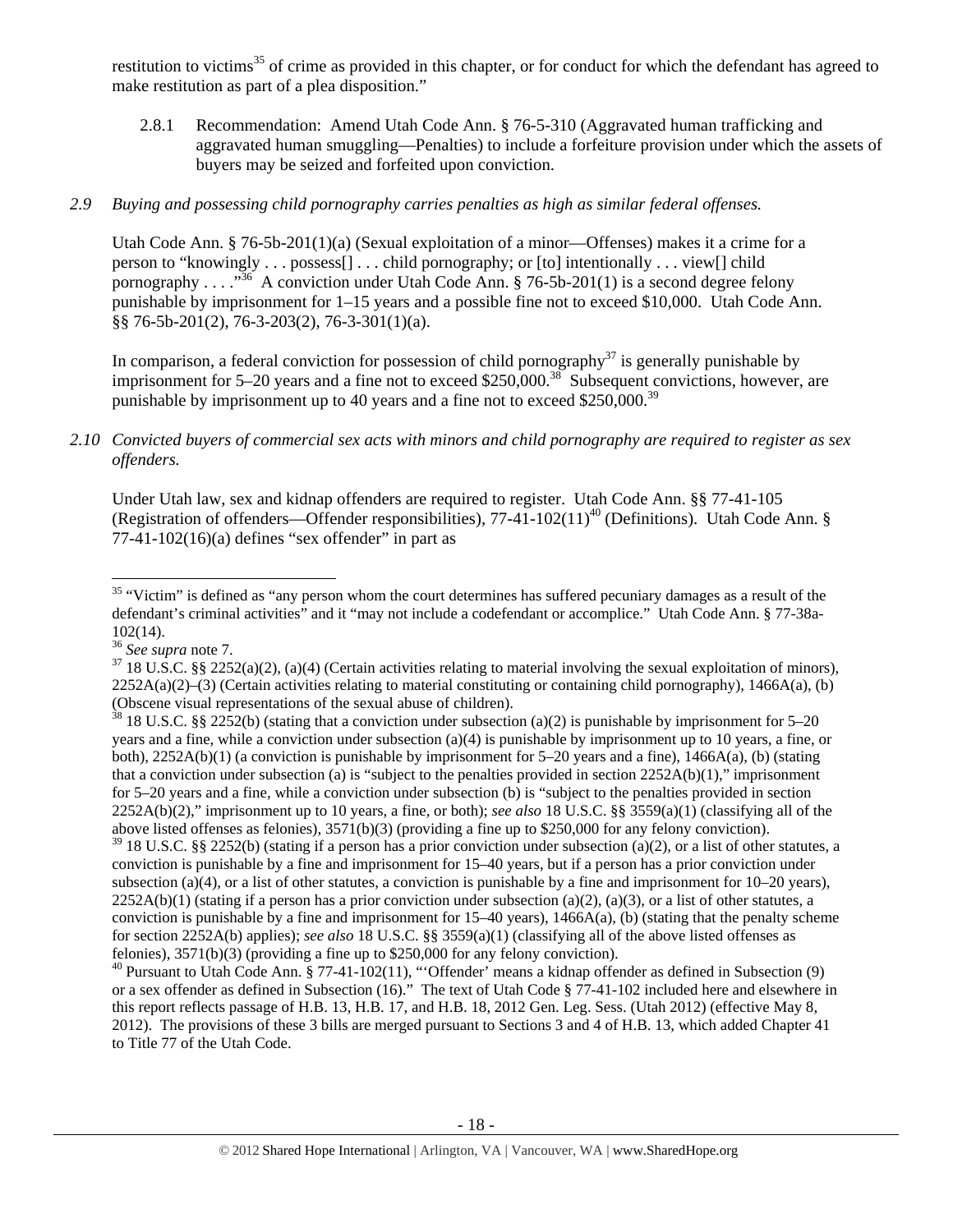restitution to victims<sup>35</sup> of crime as provided in this chapter, or for conduct for which the defendant has agreed to make restitution as part of a plea disposition."

2.8.1 Recommendation: Amend Utah Code Ann. § 76-5-310 (Aggravated human trafficking and aggravated human smuggling—Penalties) to include a forfeiture provision under which the assets of buyers may be seized and forfeited upon conviction.

# *2.9 Buying and possessing child pornography carries penalties as high as similar federal offenses.*

Utah Code Ann. § 76-5b-201(1)(a) (Sexual exploitation of a minor—Offenses) makes it a crime for a person to "knowingly . . . possess[] . . . child pornography; or [to] intentionally . . . view[] child pornography . . . . "<sup>36</sup> A conviction under Utah Code Ann. § 76-5b-201(1) is a second degree felony punishable by imprisonment for 1–15 years and a possible fine not to exceed \$10,000. Utah Code Ann. §§ 76-5b-201(2), 76-3-203(2), 76-3-301(1)(a).

In comparison, a federal conviction for possession of child pornography<sup>37</sup> is generally punishable by imprisonment for 5–20 years and a fine not to exceed \$250,000.<sup>38</sup> Subsequent convictions, however, are punishable by imprisonment up to 40 years and a fine not to exceed \$250,000.<sup>39</sup>

# *2.10 Convicted buyers of commercial sex acts with minors and child pornography are required to register as sex offenders.*

Under Utah law, sex and kidnap offenders are required to register. Utah Code Ann. §§ 77-41-105 (Registration of offenders—Offender responsibilities),  $77-41-102(11)^{40}$  (Definitions). Utah Code Ann. §  $77-41-102(16)(a)$  defines "sex offender" in part as

 $39$  18 U.S.C. §§ 2252(b) (stating if a person has a prior conviction under subsection (a)(2), or a list of other statutes, a conviction is punishable by a fine and imprisonment for 15–40 years, but if a person has a prior conviction under subsection (a)(4), or a list of other statutes, a conviction is punishable by a fine and imprisonment for  $10-20$  years),  $2252A(b)(1)$  (stating if a person has a prior conviction under subsection (a)(2), (a)(3), or a list of other statutes, a conviction is punishable by a fine and imprisonment for  $15-40$  years),  $1466A(a)$ , (b) (stating that the penalty scheme for section 2252A(b) applies); *see also* 18 U.S.C. §§ 3559(a)(1) (classifying all of the above listed offenses as felonies), 3571(b)(3) (providing a fine up to \$250,000 for any felony conviction).

<sup>40</sup> Pursuant to Utah Code Ann. § 77-41-102(11), "'Offender' means a kidnap offender as defined in Subsection (9) or a sex offender as defined in Subsection (16)." The text of Utah Code § 77-41-102 included here and elsewhere in this report reflects passage of H.B. 13, H.B. 17, and H.B. 18, 2012 Gen. Leg. Sess. (Utah 2012) (effective May 8, 2012). The provisions of these 3 bills are merged pursuant to Sections 3 and 4 of H.B. 13, which added Chapter 41 to Title 77 of the Utah Code.

  $35$  "Victim" is defined as "any person whom the court determines has suffered pecuniary damages as a result of the defendant's criminal activities" and it "may not include a codefendant or accomplice." Utah Code Ann. § 77-38a- $102(14)$ .<br><sup>36</sup> See supra note 7.

<sup>&</sup>lt;sup>37</sup> 18 U.S.C. §§ 2252(a)(2), (a)(4) (Certain activities relating to material involving the sexual exploitation of minors),  $2252A(a)(2)$ –(3) (Certain activities relating to material constituting or containing child pornography), 1466A(a), (b) (Obscene visual representations of the sexual abuse of children).

<sup>&</sup>lt;sup>38</sup> 18 U.S.C. §§ 2252(b) (stating that a conviction under subsection (a)(2) is punishable by imprisonment for 5–20 years and a fine, while a conviction under subsection (a)(4) is punishable by imprisonment up to 10 years, a fine, or both), 2252A(b)(1) (a conviction is punishable by imprisonment for 5–20 years and a fine), 1466A(a), (b) (stating that a conviction under subsection (a) is "subject to the penalties provided in section  $2252A(b)(1)$ ," imprisonment for 5–20 years and a fine, while a conviction under subsection (b) is "subject to the penalties provided in section 2252A(b)(2)," imprisonment up to 10 years, a fine, or both); *see also* 18 U.S.C. §§ 3559(a)(1) (classifying all of the above listed offenses as felonies), 3571(b)(3) (providing a fine up to \$250,000 for any felony conviction).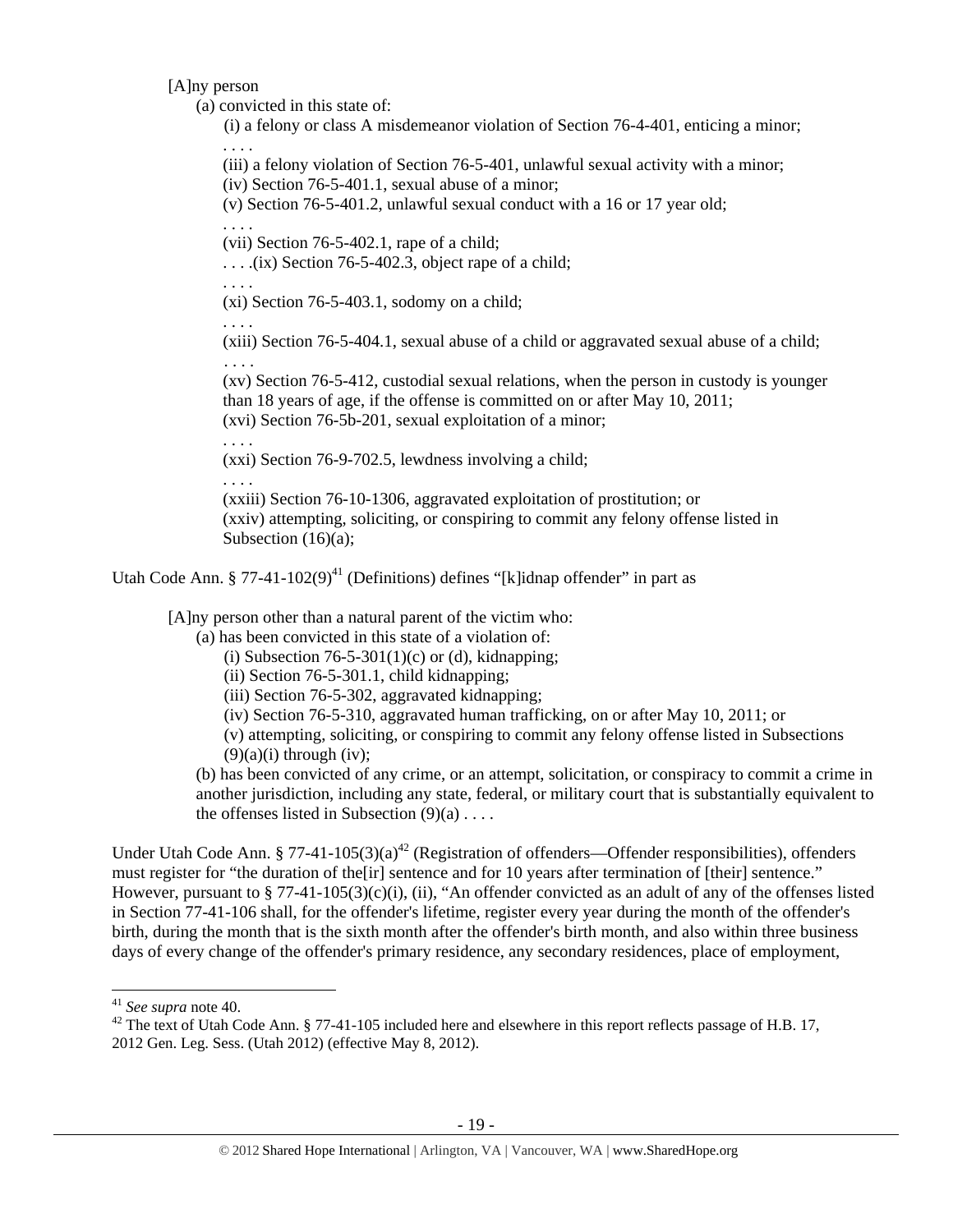[A]ny person

(a) convicted in this state of:

(i) a felony or class A misdemeanor violation of Section 76-4-401, enticing a minor; . . . .

(iii) a felony violation of Section 76-5-401, unlawful sexual activity with a minor;

(iv) Section 76-5-401.1, sexual abuse of a minor;

(v) Section 76-5-401.2, unlawful sexual conduct with a 16 or 17 year old;

(vii) Section 76-5-402.1, rape of a child;

. . . .(ix) Section 76-5-402.3, object rape of a child;

. . . .

. . . .

(xi) Section 76-5-403.1, sodomy on a child;

. . . .

(xiii) Section 76-5-404.1, sexual abuse of a child or aggravated sexual abuse of a child; . . . .

(xv) Section 76-5-412, custodial sexual relations, when the person in custody is younger than 18 years of age, if the offense is committed on or after May 10, 2011; (xvi) Section 76-5b-201, sexual exploitation of a minor;

. . . .

(xxi) Section 76-9-702.5, lewdness involving a child;

. . . . (xxiii) Section 76-10-1306, aggravated exploitation of prostitution; or (xxiv) attempting, soliciting, or conspiring to commit any felony offense listed in Subsection (16)(a);

Utah Code Ann. § 77-41-102(9)<sup>41</sup> (Definitions) defines "[k]idnap offender" in part as

[A]ny person other than a natural parent of the victim who:

(a) has been convicted in this state of a violation of:

- (i) Subsection  $76-5-301(1)(c)$  or (d), kidnapping;
- (ii) Section 76-5-301.1, child kidnapping;
- (iii) Section 76-5-302, aggravated kidnapping;
- (iv) Section 76-5-310, aggravated human trafficking, on or after May 10, 2011; or
- (v) attempting, soliciting, or conspiring to commit any felony offense listed in Subsections  $(9)(a)(i)$  through  $(iv)$ :

(b) has been convicted of any crime, or an attempt, solicitation, or conspiracy to commit a crime in another jurisdiction, including any state, federal, or military court that is substantially equivalent to the offenses listed in Subsection  $(9)(a)$ ...

Under Utah Code Ann. § 77-41-105(3)(a)<sup>42</sup> (Registration of offenders—Offender responsibilities), offenders must register for "the duration of the[ir] sentence and for 10 years after termination of [their] sentence." However, pursuant to § 77-41-105(3)(c)(i), (ii), "An offender convicted as an adult of any of the offenses listed in Section 77-41-106 shall, for the offender's lifetime, register every year during the month of the offender's birth, during the month that is the sixth month after the offender's birth month, and also within three business days of every change of the offender's primary residence, any secondary residences, place of employment,

<sup>&</sup>lt;sup>41</sup> *See supra* note 40.<br><sup>42</sup> The text of Utah Code Ann. § 77-41-105 included here and elsewhere in this report reflects passage of H.B. 17, 2012 Gen. Leg. Sess. (Utah 2012) (effective May 8, 2012).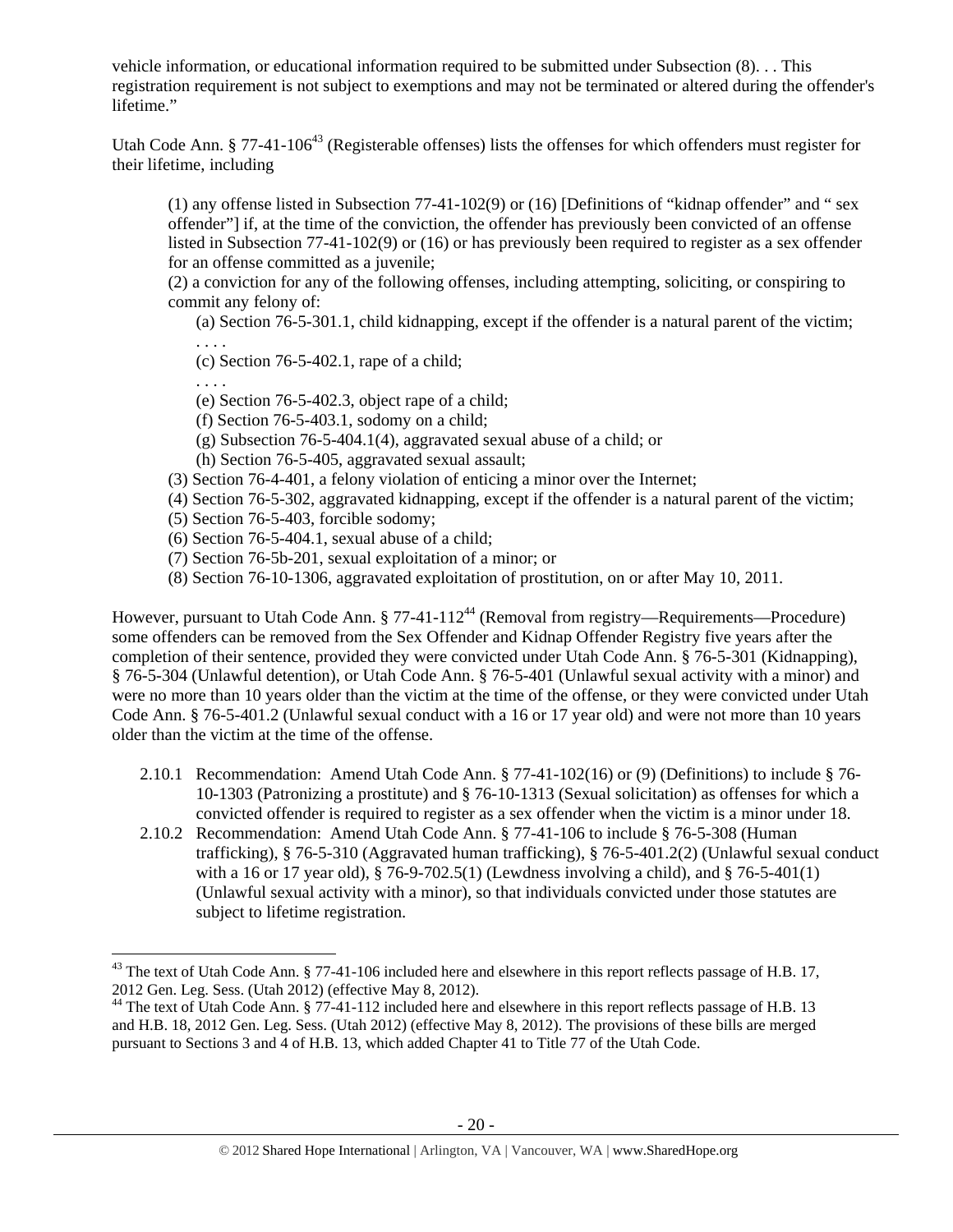vehicle information, or educational information required to be submitted under Subsection (8). . . This registration requirement is not subject to exemptions and may not be terminated or altered during the offender's lifetime."

Utah Code Ann. § 77-41-106<sup>43</sup> (Registerable offenses) lists the offenses for which offenders must register for their lifetime, including

(1) any offense listed in Subsection 77-41-102(9) or (16) [Definitions of "kidnap offender" and " sex offender"] if, at the time of the conviction, the offender has previously been convicted of an offense listed in Subsection 77-41-102(9) or (16) or has previously been required to register as a sex offender for an offense committed as a juvenile;

(2) a conviction for any of the following offenses, including attempting, soliciting, or conspiring to commit any felony of:

(a) Section 76-5-301.1, child kidnapping, except if the offender is a natural parent of the victim;

. . . . (c) Section 76-5-402.1, rape of a child;

. . . .

- (e) Section 76-5-402.3, object rape of a child;
- (f) Section 76-5-403.1, sodomy on a child;
- (g) Subsection 76-5-404.1(4), aggravated sexual abuse of a child; or
- (h) Section 76-5-405, aggravated sexual assault;
- (3) Section 76-4-401, a felony violation of enticing a minor over the Internet;
- (4) Section 76-5-302, aggravated kidnapping, except if the offender is a natural parent of the victim;
- (5) Section 76-5-403, forcible sodomy;
- (6) Section 76-5-404.1, sexual abuse of a child;
- (7) Section 76-5b-201, sexual exploitation of a minor; or
- (8) Section 76-10-1306, aggravated exploitation of prostitution, on or after May 10, 2011.

However, pursuant to Utah Code Ann.  $\S 77-41-112^{44}$  (Removal from registry—Requirements—Procedure) some offenders can be removed from the Sex Offender and Kidnap Offender Registry five years after the completion of their sentence, provided they were convicted under Utah Code Ann. § 76-5-301 (Kidnapping), § 76-5-304 (Unlawful detention), or Utah Code Ann. § 76-5-401 (Unlawful sexual activity with a minor) and were no more than 10 years older than the victim at the time of the offense, or they were convicted under Utah Code Ann. § 76-5-401.2 (Unlawful sexual conduct with a 16 or 17 year old) and were not more than 10 years older than the victim at the time of the offense.

- 2.10.1 Recommendation: Amend Utah Code Ann. § 77-41-102(16) or (9) (Definitions) to include § 76- 10-1303 (Patronizing a prostitute) and § 76-10-1313 (Sexual solicitation) as offenses for which a convicted offender is required to register as a sex offender when the victim is a minor under 18.
- 2.10.2 Recommendation: Amend Utah Code Ann. § 77-41-106 to include § 76-5-308 (Human trafficking), § 76-5-310 (Aggravated human trafficking), § 76-5-401.2(2) (Unlawful sexual conduct with a 16 or 17 year old), § 76-9-702.5(1) (Lewdness involving a child), and § 76-5-401(1) (Unlawful sexual activity with a minor), so that individuals convicted under those statutes are subject to lifetime registration.

 $^{43}$  The text of Utah Code Ann. § 77-41-106 included here and elsewhere in this report reflects passage of H.B. 17, 2012 Gen. Leg. Sess. (Utah 2012) (effective May 8, 2012).

<sup>&</sup>lt;sup>44</sup> The text of Utah Code Ann. § 77-41-112 included here and elsewhere in this report reflects passage of H.B. 13 and H.B. 18, 2012 Gen. Leg. Sess. (Utah 2012) (effective May 8, 2012). The provisions of these bills are merged pursuant to Sections 3 and 4 of H.B. 13, which added Chapter 41 to Title 77 of the Utah Code.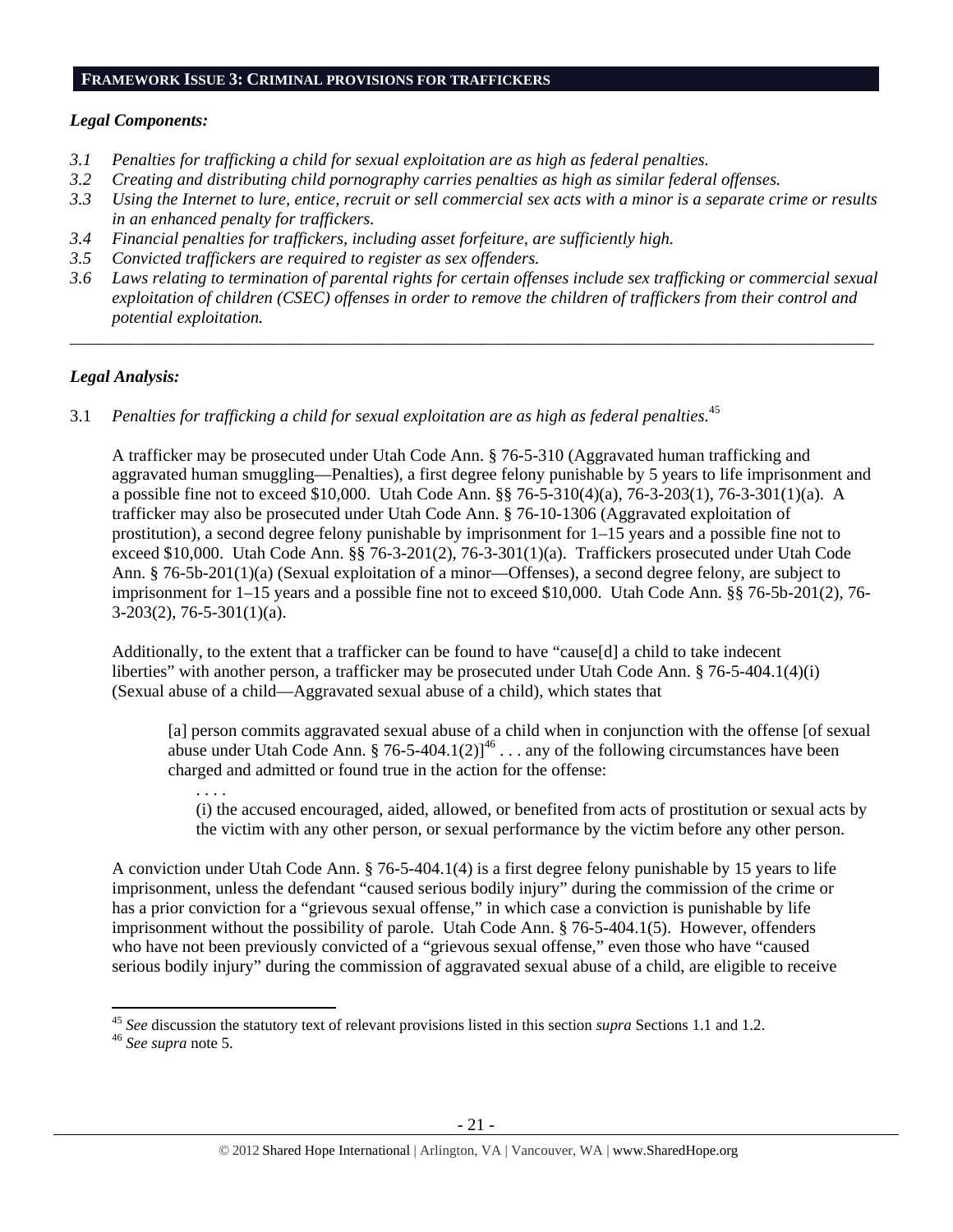# **FRAMEWORK ISSUE 3: CRIMINAL PROVISIONS FOR TRAFFICKERS**

# *Legal Components:*

- *3.1 Penalties for trafficking a child for sexual exploitation are as high as federal penalties.*
- *3.2 Creating and distributing child pornography carries penalties as high as similar federal offenses.*
- *3.3 Using the Internet to lure, entice, recruit or sell commercial sex acts with a minor is a separate crime or results in an enhanced penalty for traffickers.*
- *3.4 Financial penalties for traffickers, including asset forfeiture, are sufficiently high.*
- *3.5 Convicted traffickers are required to register as sex offenders.*
- *3.6 Laws relating to termination of parental rights for certain offenses include sex trafficking or commercial sexual exploitation of children (CSEC) offenses in order to remove the children of traffickers from their control and potential exploitation.*

*\_\_\_\_\_\_\_\_\_\_\_\_\_\_\_\_\_\_\_\_\_\_\_\_\_\_\_\_\_\_\_\_\_\_\_\_\_\_\_\_\_\_\_\_\_\_\_\_\_\_\_\_\_\_\_\_\_\_\_\_\_\_\_\_\_\_\_\_\_\_\_\_\_\_\_\_\_\_\_\_\_\_\_\_\_\_\_\_\_\_\_\_\_\_* 

# *Legal Analysis:*

3.1 *Penalties for trafficking a child for sexual exploitation are as high as federal penalties.*<sup>45</sup>

A trafficker may be prosecuted under Utah Code Ann. § 76-5-310 (Aggravated human trafficking and aggravated human smuggling—Penalties), a first degree felony punishable by 5 years to life imprisonment and a possible fine not to exceed \$10,000. Utah Code Ann. §§ 76-5-310(4)(a), 76-3-203(1), 76-3-301(1)(a). A trafficker may also be prosecuted under Utah Code Ann. § 76-10-1306 (Aggravated exploitation of prostitution), a second degree felony punishable by imprisonment for 1–15 years and a possible fine not to exceed \$10,000. Utah Code Ann. §§ 76-3-201(2), 76-3-301(1)(a). Traffickers prosecuted under Utah Code Ann. § 76-5b-201(1)(a) (Sexual exploitation of a minor—Offenses), a second degree felony, are subject to imprisonment for 1–15 years and a possible fine not to exceed \$10,000. Utah Code Ann. §§ 76-5b-201(2), 76- 3-203(2), 76-5-301(1)(a).

Additionally, to the extent that a trafficker can be found to have "cause[d] a child to take indecent liberties" with another person, a trafficker may be prosecuted under Utah Code Ann. § 76-5-404.1(4)(i) (Sexual abuse of a child—Aggravated sexual abuse of a child), which states that

[a] person commits aggravated sexual abuse of a child when in conjunction with the offense [of sexual abuse under Utah Code Ann. § 76-5-404.1(2)]<sup>46</sup> . . . any of the following circumstances have been charged and admitted or found true in the action for the offense:

(i) the accused encouraged, aided, allowed, or benefited from acts of prostitution or sexual acts by the victim with any other person, or sexual performance by the victim before any other person.

A conviction under Utah Code Ann. § 76-5-404.1(4) is a first degree felony punishable by 15 years to life imprisonment, unless the defendant "caused serious bodily injury" during the commission of the crime or has a prior conviction for a "grievous sexual offense," in which case a conviction is punishable by life imprisonment without the possibility of parole. Utah Code Ann. § 76-5-404.1(5). However, offenders who have not been previously convicted of a "grievous sexual offense," even those who have "caused serious bodily injury" during the commission of aggravated sexual abuse of a child, are eligible to receive

. . . .

 <sup>45</sup> *See* discussion the statutory text of relevant provisions listed in this section *supra* Sections 1.1 and 1.2. 46 *See supra* note 5.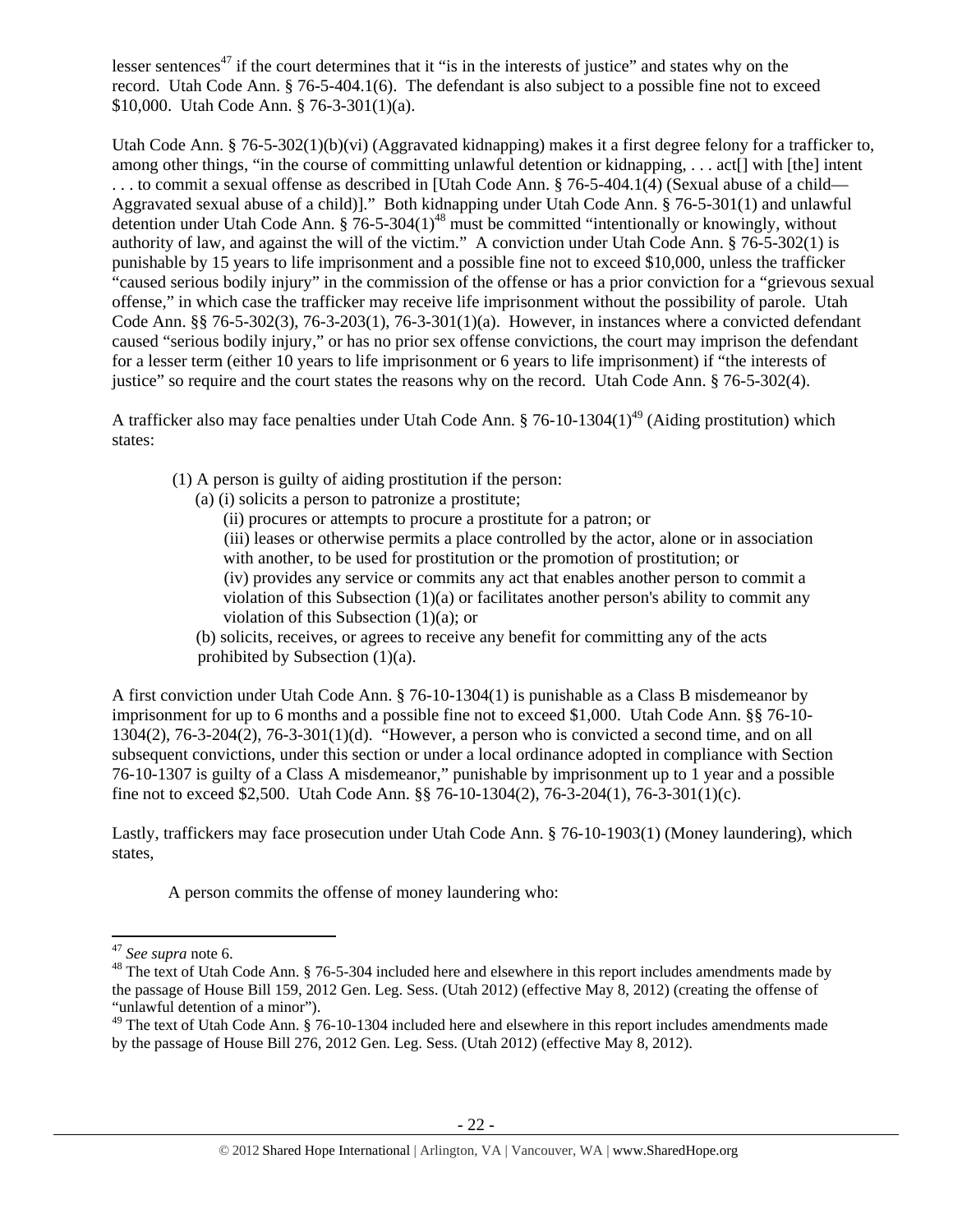lesser sentences<sup>47</sup> if the court determines that it "is in the interests of justice" and states why on the record. Utah Code Ann. § 76-5-404.1(6). The defendant is also subject to a possible fine not to exceed \$10,000. Utah Code Ann. § 76-3-301(1)(a).

Utah Code Ann. § 76-5-302(1)(b)(vi) (Aggravated kidnapping) makes it a first degree felony for a trafficker to, among other things, "in the course of committing unlawful detention or kidnapping, . . . act<sup>[]</sup> with [the] intent . . . to commit a sexual offense as described in [Utah Code Ann. § 76-5-404.1(4) (Sexual abuse of a child— Aggravated sexual abuse of a child)]." Both kidnapping under Utah Code Ann. § 76-5-301(1) and unlawful detention under Utah Code Ann.  $\frac{2}{9}$  76-5-304(1)<sup>48</sup> must be committed "intentionally or knowingly, without authority of law, and against the will of the victim." A conviction under Utah Code Ann. § 76-5-302(1) is punishable by 15 years to life imprisonment and a possible fine not to exceed \$10,000, unless the trafficker "caused serious bodily injury" in the commission of the offense or has a prior conviction for a "grievous sexual offense," in which case the trafficker may receive life imprisonment without the possibility of parole. Utah Code Ann. §§ 76-5-302(3), 76-3-203(1), 76-3-301(1)(a). However, in instances where a convicted defendant caused "serious bodily injury," or has no prior sex offense convictions, the court may imprison the defendant for a lesser term (either 10 years to life imprisonment or 6 years to life imprisonment) if "the interests of justice" so require and the court states the reasons why on the record. Utah Code Ann. § 76-5-302(4).

A trafficker also may face penalties under Utah Code Ann. § 76-10-1304(1)<sup>49</sup> (Aiding prostitution) which states:

- (1) A person is guilty of aiding prostitution if the person:
	- (a) (i) solicits a person to patronize a prostitute;
		- (ii) procures or attempts to procure a prostitute for a patron; or

(iii) leases or otherwise permits a place controlled by the actor, alone or in association with another, to be used for prostitution or the promotion of prostitution; or

(iv) provides any service or commits any act that enables another person to commit a violation of this Subsection  $(1)(a)$  or facilitates another person's ability to commit any violation of this Subsection (1)(a); or

(b) solicits, receives, or agrees to receive any benefit for committing any of the acts prohibited by Subsection (1)(a).

A first conviction under Utah Code Ann. § 76-10-1304(1) is punishable as a Class B misdemeanor by imprisonment for up to 6 months and a possible fine not to exceed \$1,000. Utah Code Ann. §§ 76-10- 1304(2), 76-3-204(2), 76-3-301(1)(d). "However, a person who is convicted a second time, and on all subsequent convictions, under this section or under a local ordinance adopted in compliance with Section 76-10-1307 is guilty of a Class A misdemeanor," punishable by imprisonment up to 1 year and a possible fine not to exceed \$2,500. Utah Code Ann. §§ 76-10-1304(2), 76-3-204(1), 76-3-301(1)(c).

Lastly, traffickers may face prosecution under Utah Code Ann. § 76-10-1903(1) (Money laundering), which states,

A person commits the offense of money laundering who:

<sup>&</sup>lt;sup>47</sup> See supra note 6.<br><sup>48</sup> The text of Utah Code Ann. § 76-5-304 included here and elsewhere in this report includes amendments made by the passage of House Bill 159, 2012 Gen. Leg. Sess. (Utah 2012) (effective May 8, 2012) (creating the offense of "unlawful detention of a minor").

<sup>&</sup>lt;sup>49</sup> The text of Utah Code Ann. § 76-10-1304 included here and elsewhere in this report includes amendments made by the passage of House Bill 276, 2012 Gen. Leg. Sess. (Utah 2012) (effective May 8, 2012).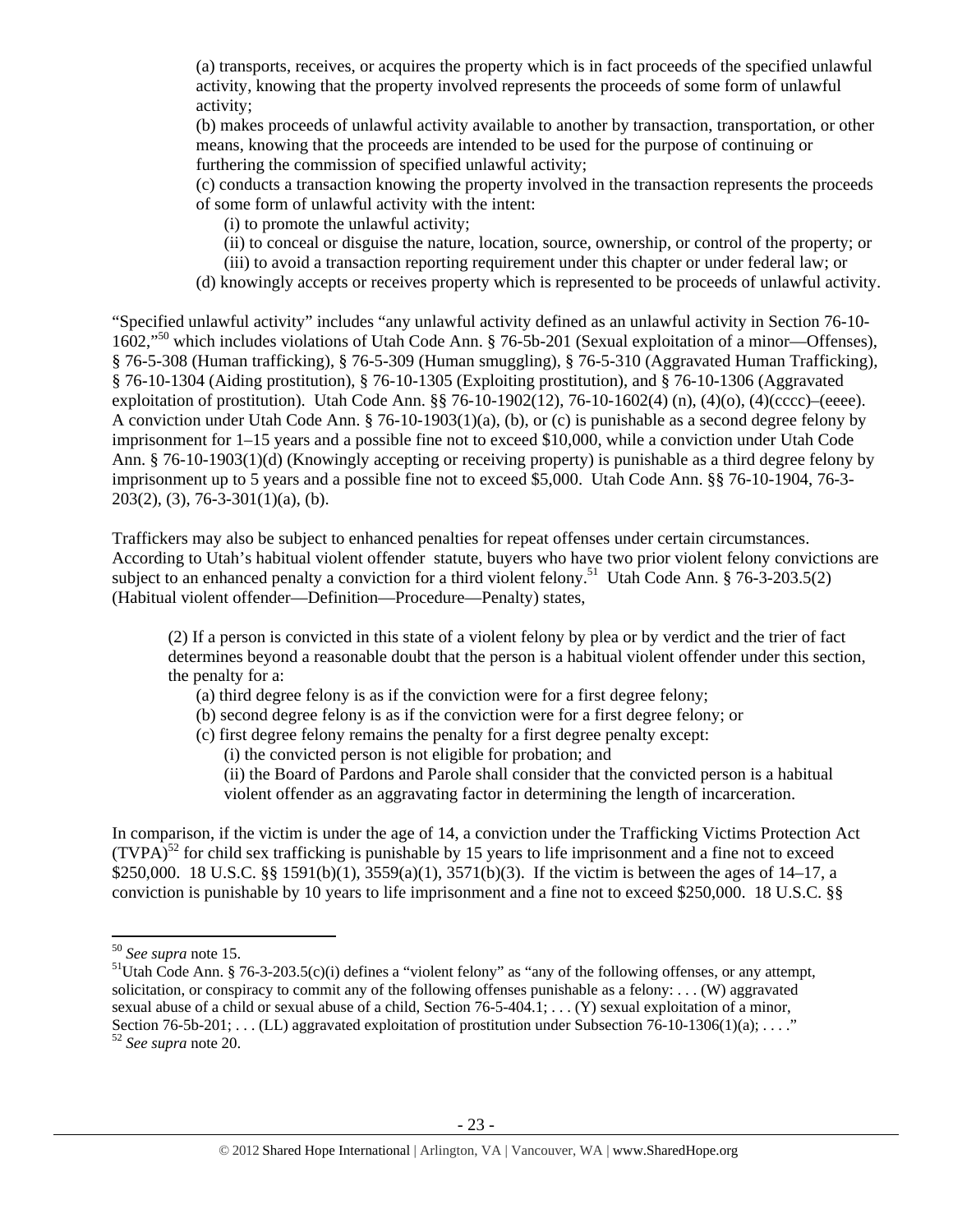(a) transports, receives, or acquires the property which is in fact proceeds of the specified unlawful activity, knowing that the property involved represents the proceeds of some form of unlawful activity;

(b) makes proceeds of unlawful activity available to another by transaction, transportation, or other means, knowing that the proceeds are intended to be used for the purpose of continuing or furthering the commission of specified unlawful activity;

(c) conducts a transaction knowing the property involved in the transaction represents the proceeds of some form of unlawful activity with the intent:

(i) to promote the unlawful activity;

- (ii) to conceal or disguise the nature, location, source, ownership, or control of the property; or
- (iii) to avoid a transaction reporting requirement under this chapter or under federal law; or
- (d) knowingly accepts or receives property which is represented to be proceeds of unlawful activity.

"Specified unlawful activity" includes "any unlawful activity defined as an unlawful activity in Section 76-10- 1602,"50 which includes violations of Utah Code Ann. § 76-5b-201 (Sexual exploitation of a minor—Offenses), § 76-5-308 (Human trafficking), § 76-5-309 (Human smuggling), § 76-5-310 (Aggravated Human Trafficking), § 76-10-1304 (Aiding prostitution), § 76-10-1305 (Exploiting prostitution), and § 76-10-1306 (Aggravated exploitation of prostitution). Utah Code Ann. §§ 76-10-1902(12), 76-10-1602(4) (n), (4)(o), (4)(cccc)–(eeee). A conviction under Utah Code Ann. § 76-10-1903(1)(a), (b), or (c) is punishable as a second degree felony by imprisonment for 1–15 years and a possible fine not to exceed \$10,000, while a conviction under Utah Code Ann. § 76-10-1903(1)(d) (Knowingly accepting or receiving property) is punishable as a third degree felony by imprisonment up to 5 years and a possible fine not to exceed \$5,000. Utah Code Ann. §§ 76-10-1904, 76-3- 203(2), (3), 76-3-301(1)(a), (b).

Traffickers may also be subject to enhanced penalties for repeat offenses under certain circumstances. According to Utah's habitual violent offender statute, buyers who have two prior violent felony convictions are subject to an enhanced penalty a conviction for a third violent felony.<sup>51</sup> Utah Code Ann. § 76-3-203.5(2) (Habitual violent offender—Definition—Procedure—Penalty) states,

(2) If a person is convicted in this state of a violent felony by plea or by verdict and the trier of fact determines beyond a reasonable doubt that the person is a habitual violent offender under this section, the penalty for a:

- (a) third degree felony is as if the conviction were for a first degree felony;
- (b) second degree felony is as if the conviction were for a first degree felony; or
- (c) first degree felony remains the penalty for a first degree penalty except:

(i) the convicted person is not eligible for probation; and

(ii) the Board of Pardons and Parole shall consider that the convicted person is a habitual violent offender as an aggravating factor in determining the length of incarceration.

In comparison, if the victim is under the age of 14, a conviction under the Trafficking Victims Protection Act  $(TVPA)^{52}$  for child sex trafficking is punishable by 15 years to life imprisonment and a fine not to exceed \$250,000. 18 U.S.C. §§ 1591(b)(1), 3559(a)(1), 3571(b)(3). If the victim is between the ages of 14–17, a conviction is punishable by 10 years to life imprisonment and a fine not to exceed \$250,000. 18 U.S.C. §§

<sup>&</sup>lt;sup>50</sup> *See supra* note 15.<br><sup>51</sup>Utah Code Ann. § 76-3-203.5(c)(i) defines a "violent felony" as "any of the following offenses, or any attempt, solicitation, or conspiracy to commit any of the following offenses punishable as a felony: . . . (W) aggravated sexual abuse of a child or sexual abuse of a child, Section  $76-5-404.1$ ; ... (Y) sexual exploitation of a minor, Section 76-5b-201; . . . (LL) aggravated exploitation of prostitution under Subsection 76-10-1306(1)(a); . . . ."<br><sup>52</sup> *See supra* note 20.

<sup>- 23 -</sup>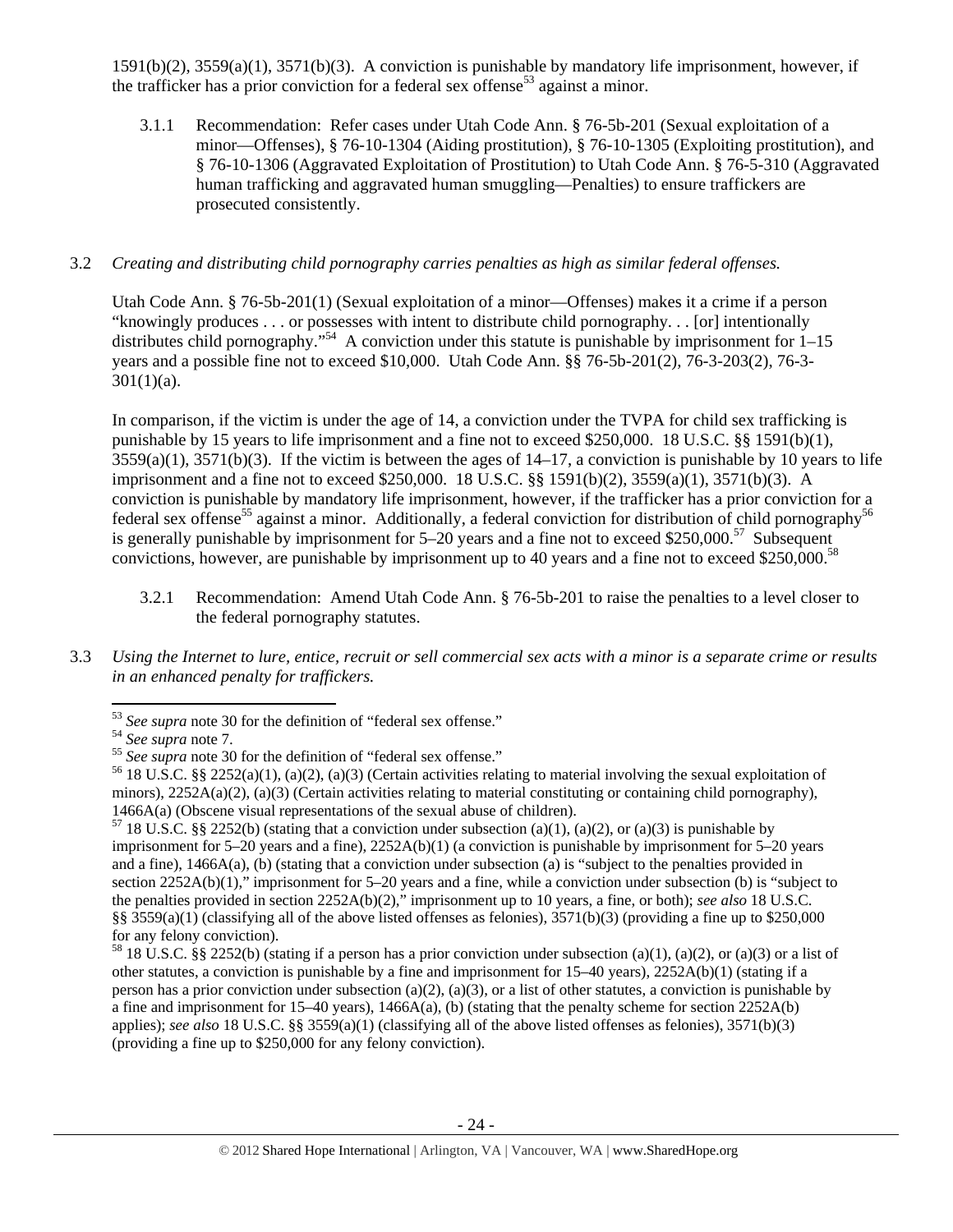1591(b)(2), 3559(a)(1), 3571(b)(3). A conviction is punishable by mandatory life imprisonment, however, if the trafficker has a prior conviction for a federal sex offense<sup>53</sup> against a minor.

3.1.1 Recommendation: Refer cases under Utah Code Ann. § 76-5b-201 (Sexual exploitation of a minor—Offenses), § 76-10-1304 (Aiding prostitution), § 76-10-1305 (Exploiting prostitution), and § 76-10-1306 (Aggravated Exploitation of Prostitution) to Utah Code Ann. § 76-5-310 (Aggravated human trafficking and aggravated human smuggling—Penalties) to ensure traffickers are prosecuted consistently.

# 3.2 *Creating and distributing child pornography carries penalties as high as similar federal offenses.*

Utah Code Ann. § 76-5b-201(1) (Sexual exploitation of a minor—Offenses) makes it a crime if a person "knowingly produces . . . or possesses with intent to distribute child pornography. . . [or] intentionally distributes child pornography."<sup>54</sup> A conviction under this statute is punishable by imprisonment for  $1-15$ years and a possible fine not to exceed \$10,000. Utah Code Ann. §§ 76-5b-201(2), 76-3-203(2), 76-3-  $301(1)(a)$ .

In comparison, if the victim is under the age of 14, a conviction under the TVPA for child sex trafficking is punishable by 15 years to life imprisonment and a fine not to exceed \$250,000. 18 U.S.C. §§ 1591(b)(1),  $3559(a)(1)$ ,  $3571(b)(3)$ . If the victim is between the ages of  $14-17$ , a conviction is punishable by 10 years to life imprisonment and a fine not to exceed \$250,000. 18 U.S.C. §§ 1591(b)(2), 3559(a)(1), 3571(b)(3). A conviction is punishable by mandatory life imprisonment, however, if the trafficker has a prior conviction for a federal sex offense<sup>55</sup> against a minor. Additionally, a federal conviction for distribution of child pornography<sup>56</sup> is generally punishable by imprisonment for  $5-20$  years and a fine not to exceed \$250,000.<sup>57</sup> Subsequent convictions, however, are punishable by imprisonment up to 40 years and a fine not to exceed \$250,000.58

- 3.2.1 Recommendation: Amend Utah Code Ann. § 76-5b-201 to raise the penalties to a level closer to the federal pornography statutes.
- 3.3 *Using the Internet to lure, entice, recruit or sell commercial sex acts with a minor is a separate crime or results in an enhanced penalty for traffickers.*

<sup>&</sup>lt;sup>53</sup> See supra note 30 for the definition of "federal sex offense."<br><sup>54</sup> See supra note 7.<br><sup>55</sup> See supra note 30 for the definition of "federal sex offense."<br><sup>55</sup> 18 U.S.C. §§ 2252(a)(1), (a)(2), (a)(3) (Certain activiti minors),  $2252A(a)(2)$ ,  $(a)(3)$  (Certain activities relating to material constituting or containing child pornography),

<sup>1466</sup>A(a) (Obscene visual representations of the sexual abuse of children).<br><sup>57</sup> 18 U.S.C. §§ 2252(b) (stating that a conviction under subsection (a)(1), (a)(2), or (a)(3) is punishable by imprisonment for 5–20 years and a fine), 2252A(b)(1) (a conviction is punishable by imprisonment for 5–20 years and a fine), 1466A(a), (b) (stating that a conviction under subsection (a) is "subject to the penalties provided in section 2252A(b)(1)," imprisonment for 5–20 years and a fine, while a conviction under subsection (b) is "subject to the penalties provided in section 2252A(b)(2)," imprisonment up to 10 years, a fine, or both); *see also* 18 U.S.C. §§ 3559(a)(1) (classifying all of the above listed offenses as felonies), 3571(b)(3) (providing a fine up to \$250,000 for any felony conviction).

<sup>&</sup>lt;sup>58</sup> 18 U.S.C. §§ 2252(b) (stating if a person has a prior conviction under subsection (a)(1), (a)(2), or (a)(3) or a list of other statutes, a conviction is punishable by a fine and imprisonment for 15–40 years), 2252A(b)(1) (stating if a person has a prior conviction under subsection (a)(2), (a)(3), or a list of other statutes, a conviction is punishable by a fine and imprisonment for  $15-40$  years),  $1466A(a)$ , (b) (stating that the penalty scheme for section  $2252A(b)$ applies); *see also* 18 U.S.C. §§ 3559(a)(1) (classifying all of the above listed offenses as felonies), 3571(b)(3) (providing a fine up to \$250,000 for any felony conviction).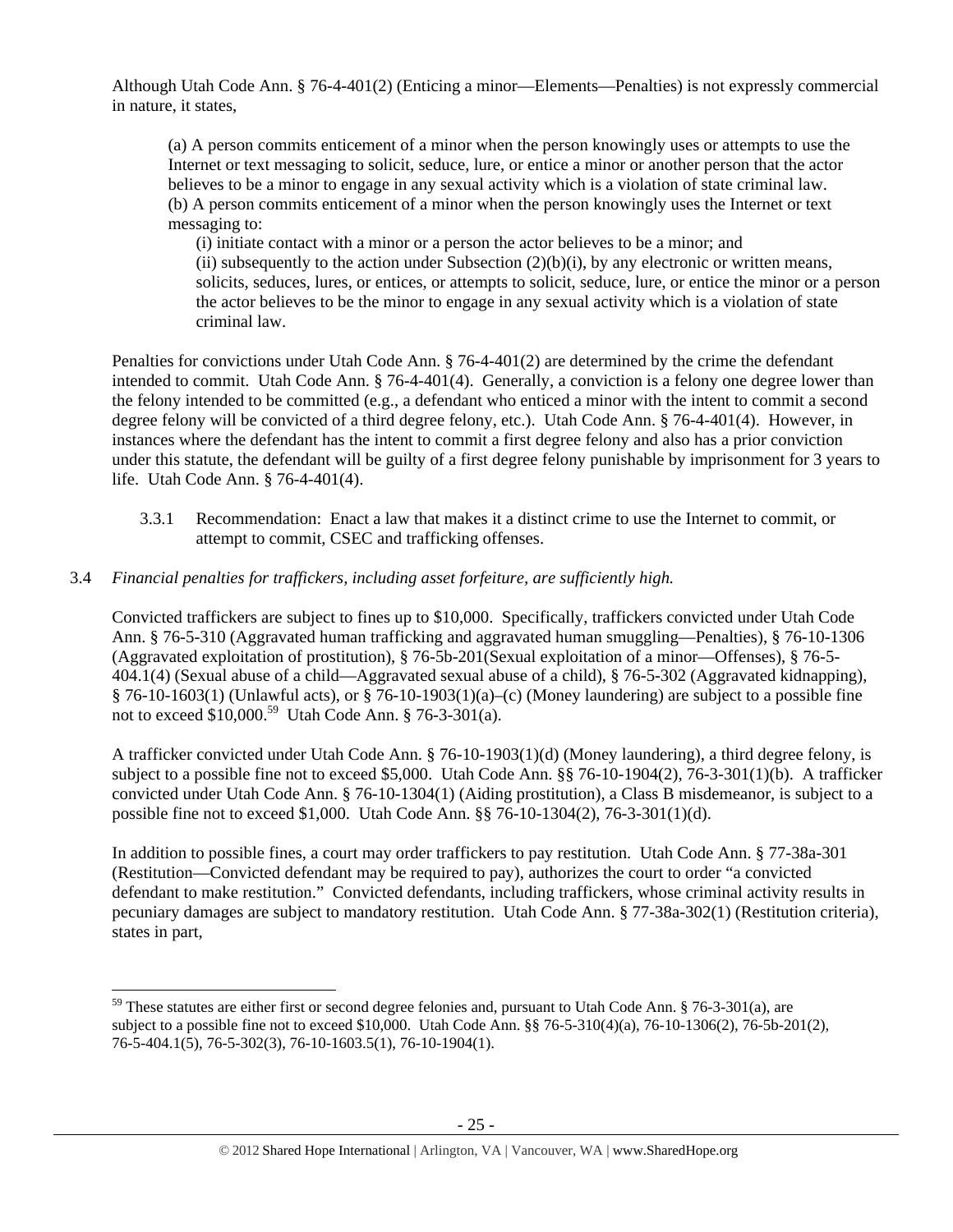Although Utah Code Ann. § 76-4-401(2) (Enticing a minor—Elements—Penalties) is not expressly commercial in nature, it states,

(a) A person commits enticement of a minor when the person knowingly uses or attempts to use the Internet or text messaging to solicit, seduce, lure, or entice a minor or another person that the actor believes to be a minor to engage in any sexual activity which is a violation of state criminal law. (b) A person commits enticement of a minor when the person knowingly uses the Internet or text messaging to:

(i) initiate contact with a minor or a person the actor believes to be a minor; and (ii) subsequently to the action under Subsection  $(2)(b)(i)$ , by any electronic or written means, solicits, seduces, lures, or entices, or attempts to solicit, seduce, lure, or entice the minor or a person the actor believes to be the minor to engage in any sexual activity which is a violation of state criminal law.

Penalties for convictions under Utah Code Ann. § 76-4-401(2) are determined by the crime the defendant intended to commit. Utah Code Ann. § 76-4-401(4). Generally, a conviction is a felony one degree lower than the felony intended to be committed (e.g., a defendant who enticed a minor with the intent to commit a second degree felony will be convicted of a third degree felony, etc.). Utah Code Ann. § 76-4-401(4). However, in instances where the defendant has the intent to commit a first degree felony and also has a prior conviction under this statute, the defendant will be guilty of a first degree felony punishable by imprisonment for 3 years to life. Utah Code Ann. § 76-4-401(4).

3.3.1 Recommendation: Enact a law that makes it a distinct crime to use the Internet to commit, or attempt to commit, CSEC and trafficking offenses.

# 3.4 *Financial penalties for traffickers, including asset forfeiture, are sufficiently high.*

Convicted traffickers are subject to fines up to \$10,000. Specifically, traffickers convicted under Utah Code Ann. § 76-5-310 (Aggravated human trafficking and aggravated human smuggling—Penalties), § 76-10-1306 (Aggravated exploitation of prostitution), § 76-5b-201(Sexual exploitation of a minor—Offenses), § 76-5- 404.1(4) (Sexual abuse of a child—Aggravated sexual abuse of a child), § 76-5-302 (Aggravated kidnapping), § 76-10-1603(1) (Unlawful acts), or § 76-10-1903(1)(a)–(c) (Money laundering) are subject to a possible fine not to exceed \$10,000.59 Utah Code Ann. § 76-3-301(a).

A trafficker convicted under Utah Code Ann. § 76-10-1903(1)(d) (Money laundering), a third degree felony, is subject to a possible fine not to exceed \$5,000. Utah Code Ann. §§ 76-10-1904(2), 76-3-301(1)(b). A trafficker convicted under Utah Code Ann. § 76-10-1304(1) (Aiding prostitution), a Class B misdemeanor, is subject to a possible fine not to exceed \$1,000. Utah Code Ann. §§ 76-10-1304(2), 76-3-301(1)(d).

In addition to possible fines, a court may order traffickers to pay restitution. Utah Code Ann. § 77-38a-301 (Restitution—Convicted defendant may be required to pay), authorizes the court to order "a convicted defendant to make restitution." Convicted defendants, including traffickers, whose criminal activity results in pecuniary damages are subject to mandatory restitution. Utah Code Ann. § 77-38a-302(1) (Restitution criteria), states in part,

<sup>&</sup>lt;sup>59</sup> These statutes are either first or second degree felonies and, pursuant to Utah Code Ann. § 76-3-301(a), are subject to a possible fine not to exceed \$10,000. Utah Code Ann. §§ 76-5-310(4)(a), 76-10-1306(2), 76-5b-201(2), 76-5-404.1(5), 76-5-302(3), 76-10-1603.5(1), 76-10-1904(1).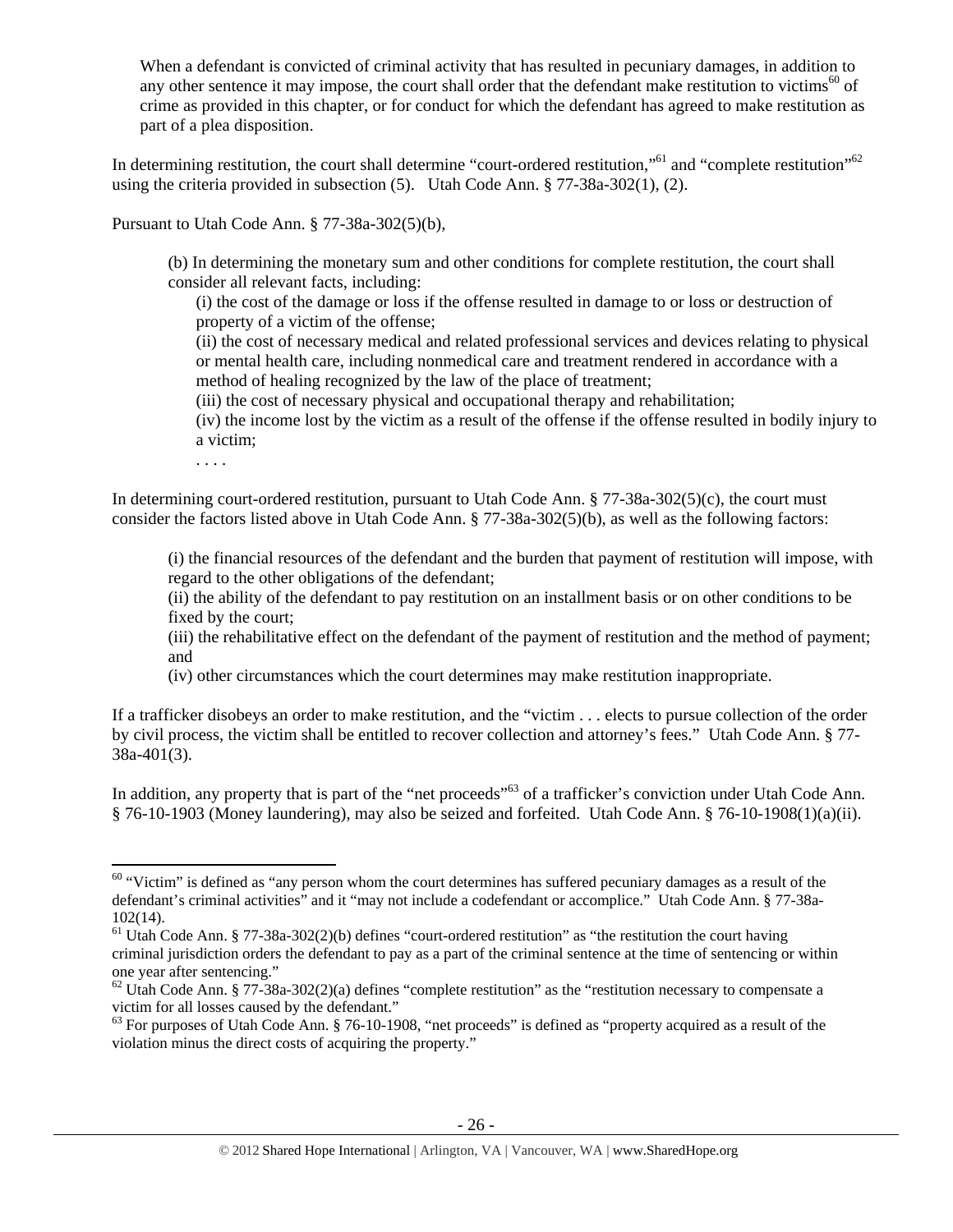When a defendant is convicted of criminal activity that has resulted in pecuniary damages, in addition to any other sentence it may impose, the court shall order that the defendant make restitution to victims<sup>60</sup> of crime as provided in this chapter, or for conduct for which the defendant has agreed to make restitution as part of a plea disposition.

In determining restitution, the court shall determine "court-ordered restitution,"<sup>61</sup> and "complete restitution"<sup>62</sup> using the criteria provided in subsection (5). Utah Code Ann. § 77-38a-302(1), (2).

Pursuant to Utah Code Ann. § 77-38a-302(5)(b),

(b) In determining the monetary sum and other conditions for complete restitution, the court shall consider all relevant facts, including:

(i) the cost of the damage or loss if the offense resulted in damage to or loss or destruction of property of a victim of the offense;

(ii) the cost of necessary medical and related professional services and devices relating to physical or mental health care, including nonmedical care and treatment rendered in accordance with a method of healing recognized by the law of the place of treatment;

(iii) the cost of necessary physical and occupational therapy and rehabilitation;

(iv) the income lost by the victim as a result of the offense if the offense resulted in bodily injury to a victim;

. . . .

In determining court-ordered restitution, pursuant to Utah Code Ann. § 77-38a-302(5)(c), the court must consider the factors listed above in Utah Code Ann. § 77-38a-302(5)(b), as well as the following factors:

(i) the financial resources of the defendant and the burden that payment of restitution will impose, with regard to the other obligations of the defendant;

(ii) the ability of the defendant to pay restitution on an installment basis or on other conditions to be fixed by the court;

(iii) the rehabilitative effect on the defendant of the payment of restitution and the method of payment; and

(iv) other circumstances which the court determines may make restitution inappropriate.

If a trafficker disobeys an order to make restitution, and the "victim . . . elects to pursue collection of the order by civil process, the victim shall be entitled to recover collection and attorney's fees." Utah Code Ann. § 77- 38a-401(3).

In addition, any property that is part of the "net proceeds"<sup>63</sup> of a trafficker's conviction under Utah Code Ann. § 76-10-1903 (Money laundering), may also be seized and forfeited. Utah Code Ann. § 76-10-1908(1)(a)(ii).

 $60$  "Victim" is defined as "any person whom the court determines has suffered pecuniary damages as a result of the defendant's criminal activities" and it "may not include a codefendant or accomplice." Utah Code Ann. § 77-38a-102(14).

<sup>&</sup>lt;sup>61</sup> Utah Code Ann. § 77-38a-302(2)(b) defines "court-ordered restitution" as "the restitution the court having criminal jurisdiction orders the defendant to pay as a part of the criminal sentence at the time of sentencing or within one year after sentencing."

 $62$  Utah Code Ann. § 77-38a-302(2)(a) defines "complete restitution" as the "restitution necessary to compensate a victim for all losses caused by the defendant."

 $63$  For purposes of Utah Code Ann. § 76-10-1908, "net proceeds" is defined as "property acquired as a result of the violation minus the direct costs of acquiring the property."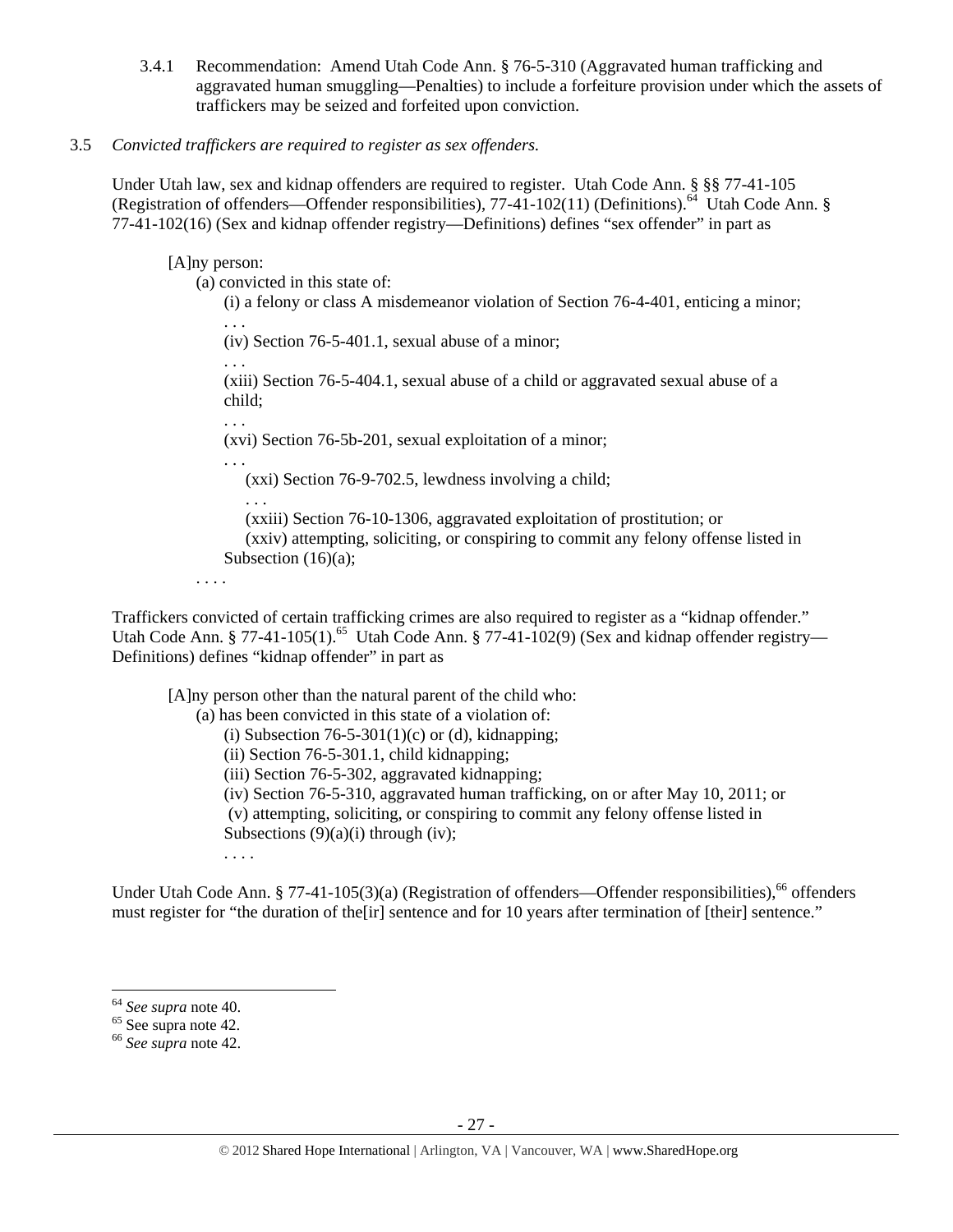3.4.1 Recommendation: Amend Utah Code Ann. § 76-5-310 (Aggravated human trafficking and aggravated human smuggling—Penalties) to include a forfeiture provision under which the assets of traffickers may be seized and forfeited upon conviction.

# 3.5 *Convicted traffickers are required to register as sex offenders.*

Under Utah law, sex and kidnap offenders are required to register. Utah Code Ann. § §§ 77-41-105 (Registration of offenders—Offender responsibilities), 77-41-102(11) (Definitions).<sup>64</sup> Utah Code Ann. § 77-41-102(16) (Sex and kidnap offender registry—Definitions) defines "sex offender" in part as

## [A]ny person:

(a) convicted in this state of:

(i) a felony or class A misdemeanor violation of Section 76-4-401, enticing a minor;

. . . (iv) Section 76-5-401.1, sexual abuse of a minor;

. . . (xiii) Section 76-5-404.1, sexual abuse of a child or aggravated sexual abuse of a child;

. . .

(xvi) Section 76-5b-201, sexual exploitation of a minor;

. . .

. . .

(xxi) Section 76-9-702.5, lewdness involving a child;

 (xxiii) Section 76-10-1306, aggravated exploitation of prostitution; or (xxiv) attempting, soliciting, or conspiring to commit any felony offense listed in Subsection (16)(a);

. . . .

Traffickers convicted of certain trafficking crimes are also required to register as a "kidnap offender." Utah Code Ann. § 77-41-105(1).<sup>65</sup> Utah Code Ann. § 77-41-102(9) (Sex and kidnap offender registry— Definitions) defines "kidnap offender" in part as

[A]ny person other than the natural parent of the child who:

(a) has been convicted in this state of a violation of: (i) Subsection  $76-5-301(1)(c)$  or (d), kidnapping; (ii) Section 76-5-301.1, child kidnapping; (iii) Section 76-5-302, aggravated kidnapping; (iv) Section 76-5-310, aggravated human trafficking, on or after May 10, 2011; or (v) attempting, soliciting, or conspiring to commit any felony offense listed in Subsections  $(9)(a)(i)$  through (iv); . . . .

Under Utah Code Ann. § 77-41-105(3)(a) (Registration of offenders—Offender responsibilities),  $^{66}$  offenders must register for "the duration of the[ir] sentence and for 10 years after termination of [their] sentence."

<sup>&</sup>lt;sup>64</sup> *See supra* note 40.<br><sup>65</sup> See supra note 42.

<sup>66</sup> *See supra* note 42.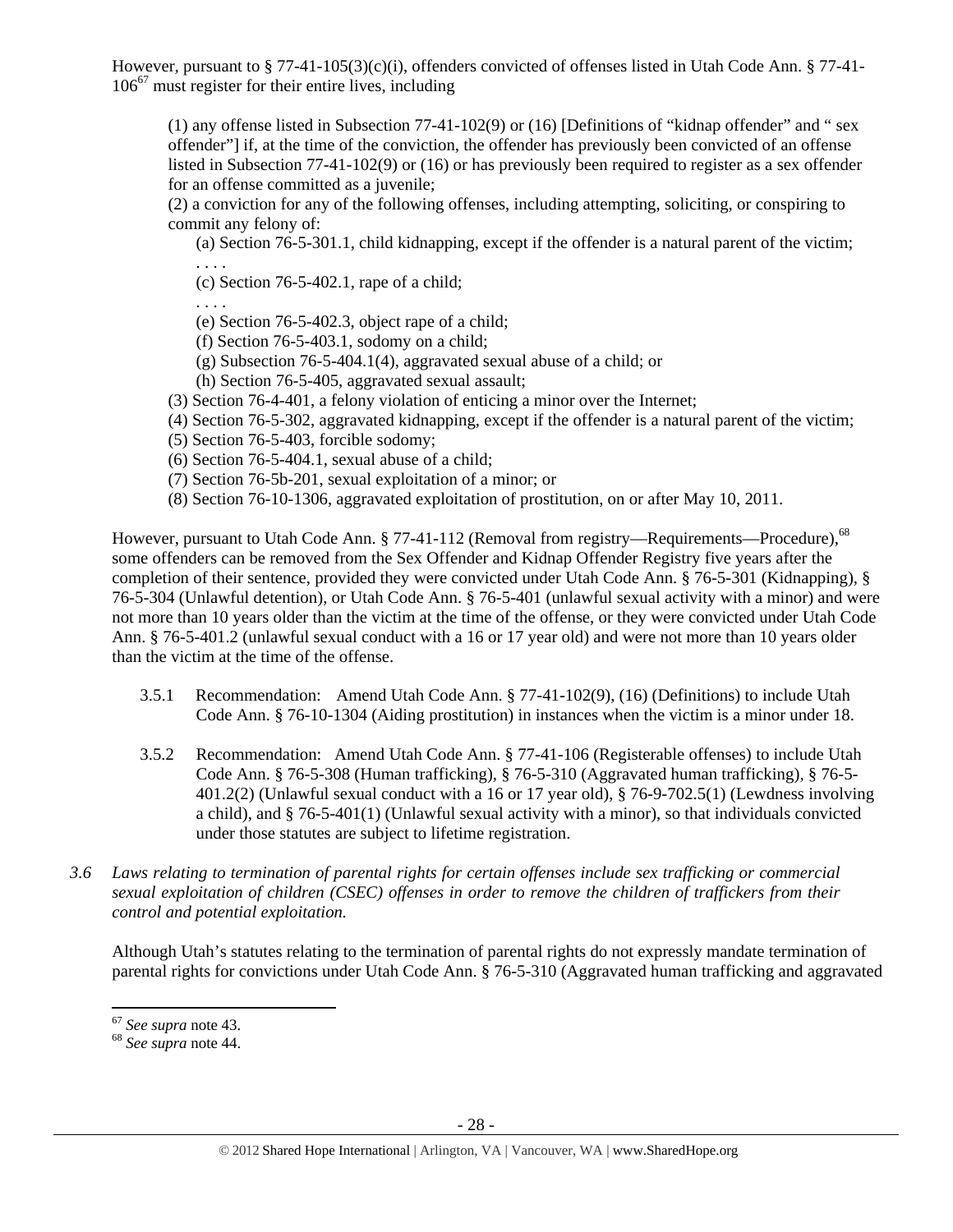However, pursuant to § 77-41-105(3)(c)(i), offenders convicted of offenses listed in Utah Code Ann. § 77-41- 106<sup>67</sup> must register for their entire lives, including

(1) any offense listed in Subsection 77-41-102(9) or (16) [Definitions of "kidnap offender" and " sex offender"] if, at the time of the conviction, the offender has previously been convicted of an offense listed in Subsection 77-41-102(9) or (16) or has previously been required to register as a sex offender for an offense committed as a juvenile;

(2) a conviction for any of the following offenses, including attempting, soliciting, or conspiring to commit any felony of:

(a) Section 76-5-301.1, child kidnapping, except if the offender is a natural parent of the victim; . . . .

(c) Section 76-5-402.1, rape of a child;

- (e) Section 76-5-402.3, object rape of a child;
- (f) Section 76-5-403.1, sodomy on a child;
- (g) Subsection 76-5-404.1(4), aggravated sexual abuse of a child; or
- (h) Section 76-5-405, aggravated sexual assault;
- (3) Section 76-4-401, a felony violation of enticing a minor over the Internet;
- (4) Section 76-5-302, aggravated kidnapping, except if the offender is a natural parent of the victim;
- (5) Section 76-5-403, forcible sodomy;

. . . .

- (6) Section 76-5-404.1, sexual abuse of a child;
- (7) Section 76-5b-201, sexual exploitation of a minor; or
- (8) Section 76-10-1306, aggravated exploitation of prostitution, on or after May 10, 2011.

However, pursuant to Utah Code Ann.  $\S 77-41-112$  (Removal from registry—Requirements—Procedure),<sup>68</sup> some offenders can be removed from the Sex Offender and Kidnap Offender Registry five years after the completion of their sentence, provided they were convicted under Utah Code Ann. § 76-5-301 (Kidnapping), § 76-5-304 (Unlawful detention), or Utah Code Ann. § 76-5-401 (unlawful sexual activity with a minor) and were not more than 10 years older than the victim at the time of the offense, or they were convicted under Utah Code Ann. § 76-5-401.2 (unlawful sexual conduct with a 16 or 17 year old) and were not more than 10 years older than the victim at the time of the offense.

- 3.5.1 Recommendation: Amend Utah Code Ann. § 77-41-102(9), (16) (Definitions) to include Utah Code Ann. § 76-10-1304 (Aiding prostitution) in instances when the victim is a minor under 18.
- 3.5.2 Recommendation: Amend Utah Code Ann. § 77-41-106 (Registerable offenses) to include Utah Code Ann. § 76-5-308 (Human trafficking), § 76-5-310 (Aggravated human trafficking), § 76-5- 401.2(2) (Unlawful sexual conduct with a 16 or 17 year old), § 76-9-702.5(1) (Lewdness involving a child), and § 76-5-401(1) (Unlawful sexual activity with a minor), so that individuals convicted under those statutes are subject to lifetime registration.
- *3.6 Laws relating to termination of parental rights for certain offenses include sex trafficking or commercial sexual exploitation of children (CSEC) offenses in order to remove the children of traffickers from their control and potential exploitation.*

Although Utah's statutes relating to the termination of parental rights do not expressly mandate termination of parental rights for convictions under Utah Code Ann. § 76-5-310 (Aggravated human trafficking and aggravated

 $67$  See supra note 43.

<sup>67</sup> *See supra* note 43. 68 *See supra* note 44.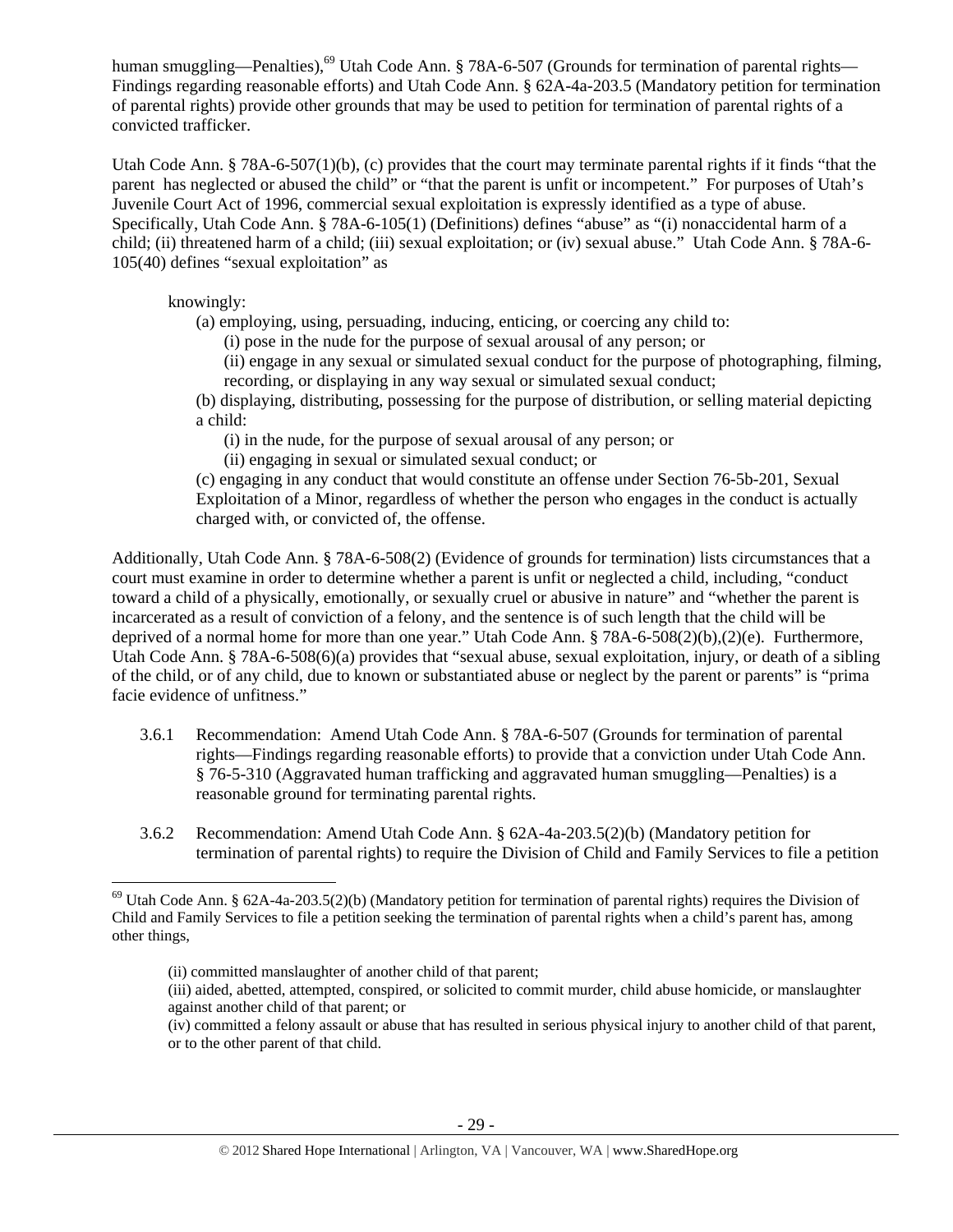human smuggling—Penalties),<sup>69</sup> Utah Code Ann. § 78A-6-507 (Grounds for termination of parental rights— Findings regarding reasonable efforts) and Utah Code Ann. § 62A-4a-203.5 (Mandatory petition for termination of parental rights) provide other grounds that may be used to petition for termination of parental rights of a convicted trafficker.

Utah Code Ann. § 78A-6-507(1)(b), (c) provides that the court may terminate parental rights if it finds "that the parent has neglected or abused the child" or "that the parent is unfit or incompetent." For purposes of Utah's Juvenile Court Act of 1996, commercial sexual exploitation is expressly identified as a type of abuse. Specifically, Utah Code Ann. § 78A-6-105(1) (Definitions) defines "abuse" as "(i) nonaccidental harm of a child; (ii) threatened harm of a child; (iii) sexual exploitation; or (iv) sexual abuse." Utah Code Ann. § 78A-6- 105(40) defines "sexual exploitation" as

knowingly:

(a) employing, using, persuading, inducing, enticing, or coercing any child to:

(i) pose in the nude for the purpose of sexual arousal of any person; or

(ii) engage in any sexual or simulated sexual conduct for the purpose of photographing, filming, recording, or displaying in any way sexual or simulated sexual conduct;

(b) displaying, distributing, possessing for the purpose of distribution, or selling material depicting a child:

(i) in the nude, for the purpose of sexual arousal of any person; or

(ii) engaging in sexual or simulated sexual conduct; or

(c) engaging in any conduct that would constitute an offense under Section 76-5b-201, Sexual Exploitation of a Minor, regardless of whether the person who engages in the conduct is actually charged with, or convicted of, the offense.

Additionally, Utah Code Ann. § 78A-6-508(2) (Evidence of grounds for termination) lists circumstances that a court must examine in order to determine whether a parent is unfit or neglected a child, including, "conduct toward a child of a physically, emotionally, or sexually cruel or abusive in nature" and "whether the parent is incarcerated as a result of conviction of a felony, and the sentence is of such length that the child will be deprived of a normal home for more than one year." Utah Code Ann. § 78A-6-508(2)(b),(2)(e). Furthermore, Utah Code Ann. § 78A-6-508(6)(a) provides that "sexual abuse, sexual exploitation, injury, or death of a sibling of the child, or of any child, due to known or substantiated abuse or neglect by the parent or parents" is "prima facie evidence of unfitness."

- 3.6.1 Recommendation: Amend Utah Code Ann. § 78A-6-507 (Grounds for termination of parental rights—Findings regarding reasonable efforts) to provide that a conviction under Utah Code Ann. § 76-5-310 (Aggravated human trafficking and aggravated human smuggling—Penalties) is a reasonable ground for terminating parental rights.
- 3.6.2 Recommendation: Amend Utah Code Ann. § 62A-4a-203.5(2)(b) (Mandatory petition for termination of parental rights) to require the Division of Child and Family Services to file a petition

 $^{69}$  Utah Code Ann. § 62A-4a-203.5(2)(b) (Mandatory petition for termination of parental rights) requires the Division of Child and Family Services to file a petition seeking the termination of parental rights when a child's parent has, among other things,

<sup>(</sup>ii) committed manslaughter of another child of that parent;

<sup>(</sup>iii) aided, abetted, attempted, conspired, or solicited to commit murder, child abuse homicide, or manslaughter against another child of that parent; or

<sup>(</sup>iv) committed a felony assault or abuse that has resulted in serious physical injury to another child of that parent, or to the other parent of that child.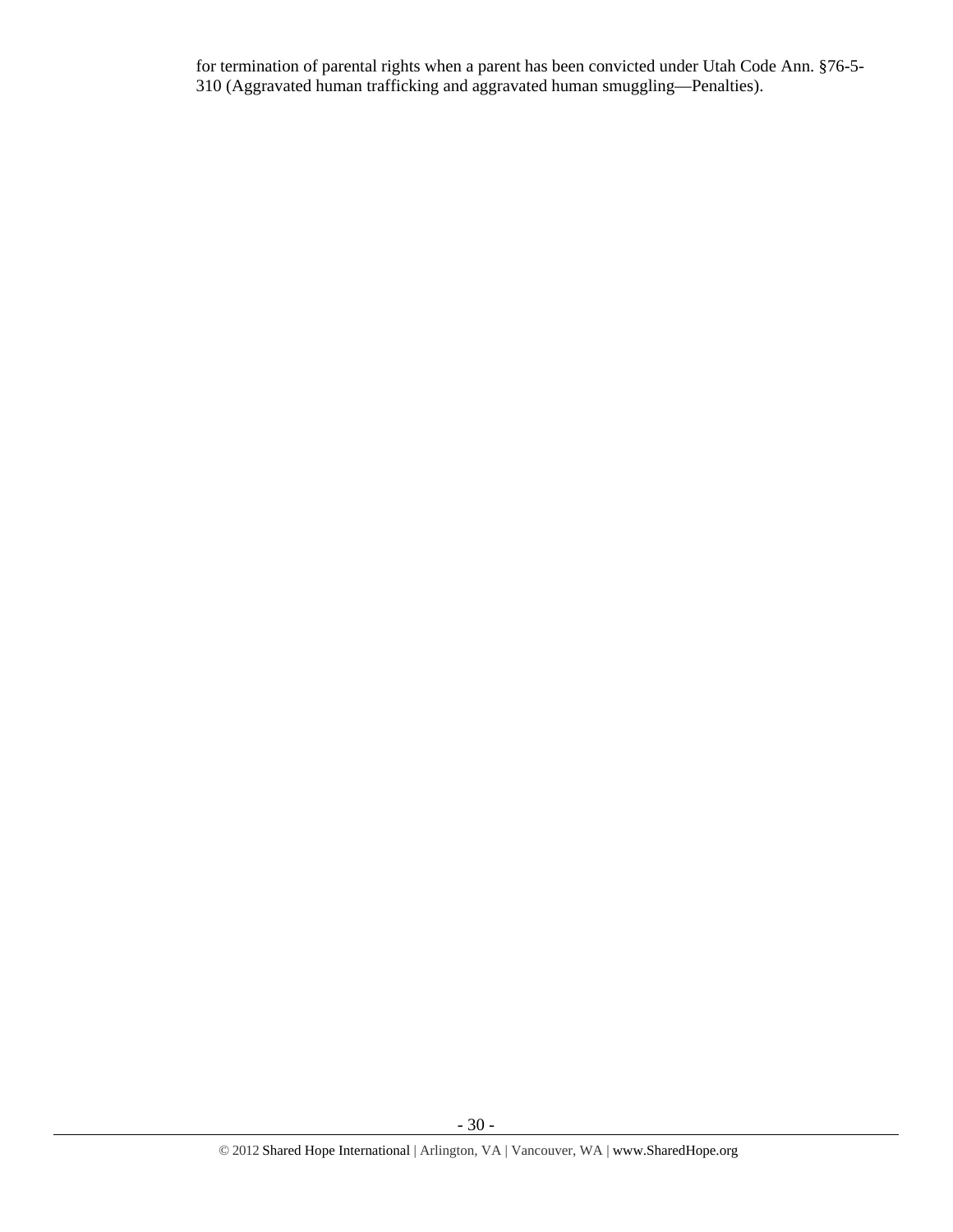for termination of parental rights when a parent has been convicted under Utah Code Ann. §76-5- 310 (Aggravated human trafficking and aggravated human smuggling—Penalties).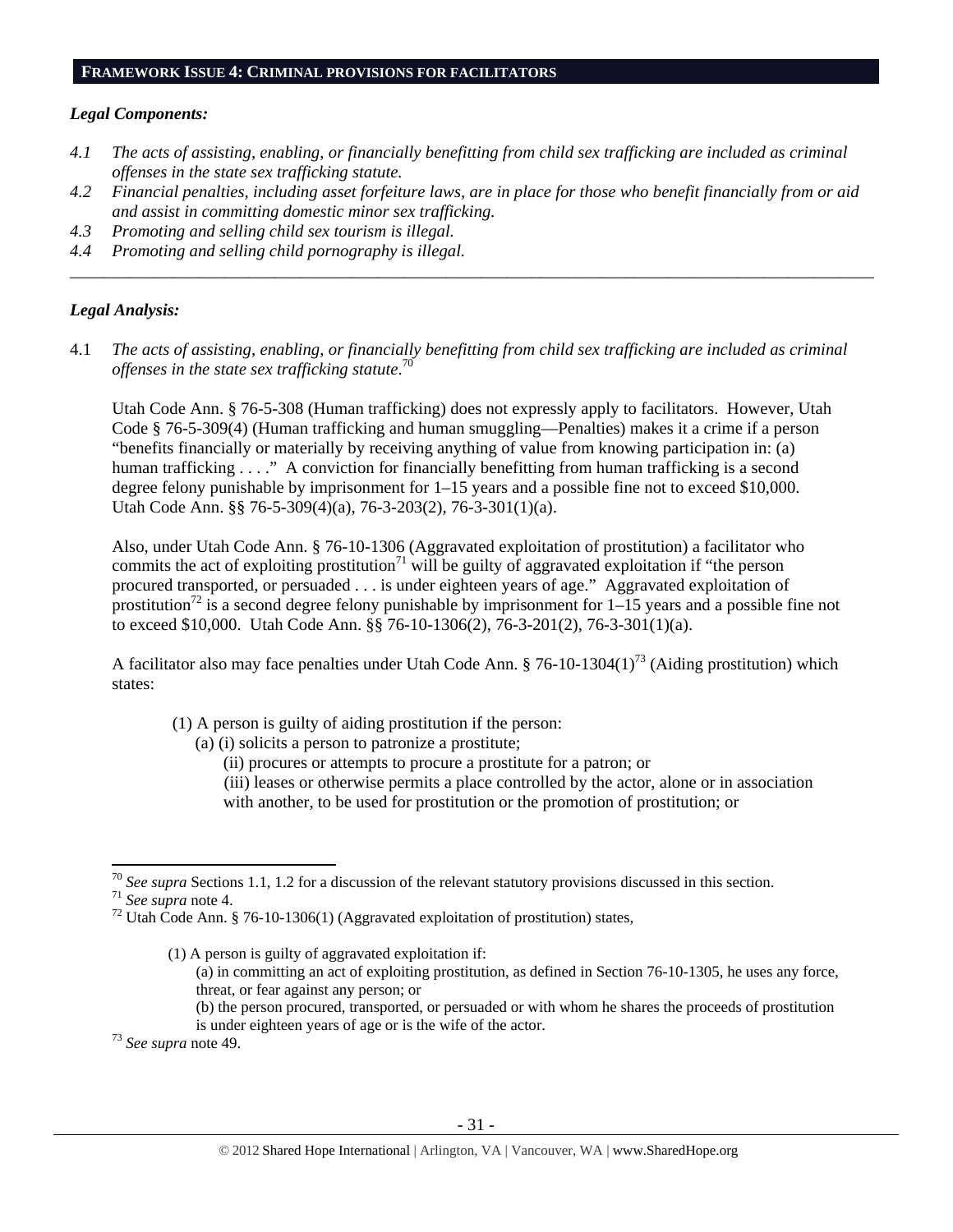#### **FRAMEWORK ISSUE 4: CRIMINAL PROVISIONS FOR FACILITATORS**

#### *Legal Components:*

- *4.1 The acts of assisting, enabling, or financially benefitting from child sex trafficking are included as criminal offenses in the state sex trafficking statute.*
- *4.2 Financial penalties, including asset forfeiture laws, are in place for those who benefit financially from or aid and assist in committing domestic minor sex trafficking.*

*\_\_\_\_\_\_\_\_\_\_\_\_\_\_\_\_\_\_\_\_\_\_\_\_\_\_\_\_\_\_\_\_\_\_\_\_\_\_\_\_\_\_\_\_\_\_\_\_\_\_\_\_\_\_\_\_\_\_\_\_\_\_\_\_\_\_\_\_\_\_\_\_\_\_\_\_\_\_\_\_\_\_\_\_\_\_\_\_\_\_\_\_\_\_* 

- *4.3 Promoting and selling child sex tourism is illegal.*
- *4.4 Promoting and selling child pornography is illegal.*

#### *Legal Analysis:*

4.1 *The acts of assisting, enabling, or financially benefitting from child sex trafficking are included as criminal offenses in the state sex trafficking statute*. 70

Utah Code Ann. § 76-5-308 (Human trafficking) does not expressly apply to facilitators. However, Utah Code § 76-5-309(4) (Human trafficking and human smuggling—Penalties) makes it a crime if a person "benefits financially or materially by receiving anything of value from knowing participation in: (a) human trafficking . . . ." A conviction for financially benefitting from human trafficking is a second degree felony punishable by imprisonment for 1–15 years and a possible fine not to exceed \$10,000. Utah Code Ann. §§ 76-5-309(4)(a), 76-3-203(2), 76-3-301(1)(a).

Also, under Utah Code Ann. § 76-10-1306 (Aggravated exploitation of prostitution) a facilitator who commits the act of exploiting prostitution<sup>71</sup> will be guilty of aggravated exploitation if "the person" procured transported, or persuaded . . . is under eighteen years of age." Aggravated exploitation of prostitution<sup>72</sup> is a second degree felony punishable by imprisonment for  $1-15$  years and a possible fine not to exceed \$10,000. Utah Code Ann. §§ 76-10-1306(2), 76-3-201(2), 76-3-301(1)(a).

A facilitator also may face penalties under Utah Code Ann.  $\S 76$ -10-1304(1)<sup>73</sup> (Aiding prostitution) which states:

- (1) A person is guilty of aiding prostitution if the person:
	- (a) (i) solicits a person to patronize a prostitute;
		- (ii) procures or attempts to procure a prostitute for a patron; or
		- (iii) leases or otherwise permits a place controlled by the actor, alone or in association with another, to be used for prostitution or the promotion of prostitution; or

<sup>&</sup>lt;sup>70</sup> See supra Sections 1.1, 1.2 for a discussion of the relevant statutory provisions discussed in this section.<br><sup>71</sup> See supra note 4.<br><sup>72</sup> Utah Code Ann. § 76-10-1306(1) (Aggravated exploitation of prostitution) states

<sup>(1)</sup> A person is guilty of aggravated exploitation if: (a) in committing an act of exploiting prostitution, as defined in Section 76-10-1305, he uses any force, threat, or fear against any person; or (b) the person procured, transported, or persuaded or with whom he shares the proceeds of prostitution is under eighteen years of age or is the wife of the actor. 73 *See supra* note 49.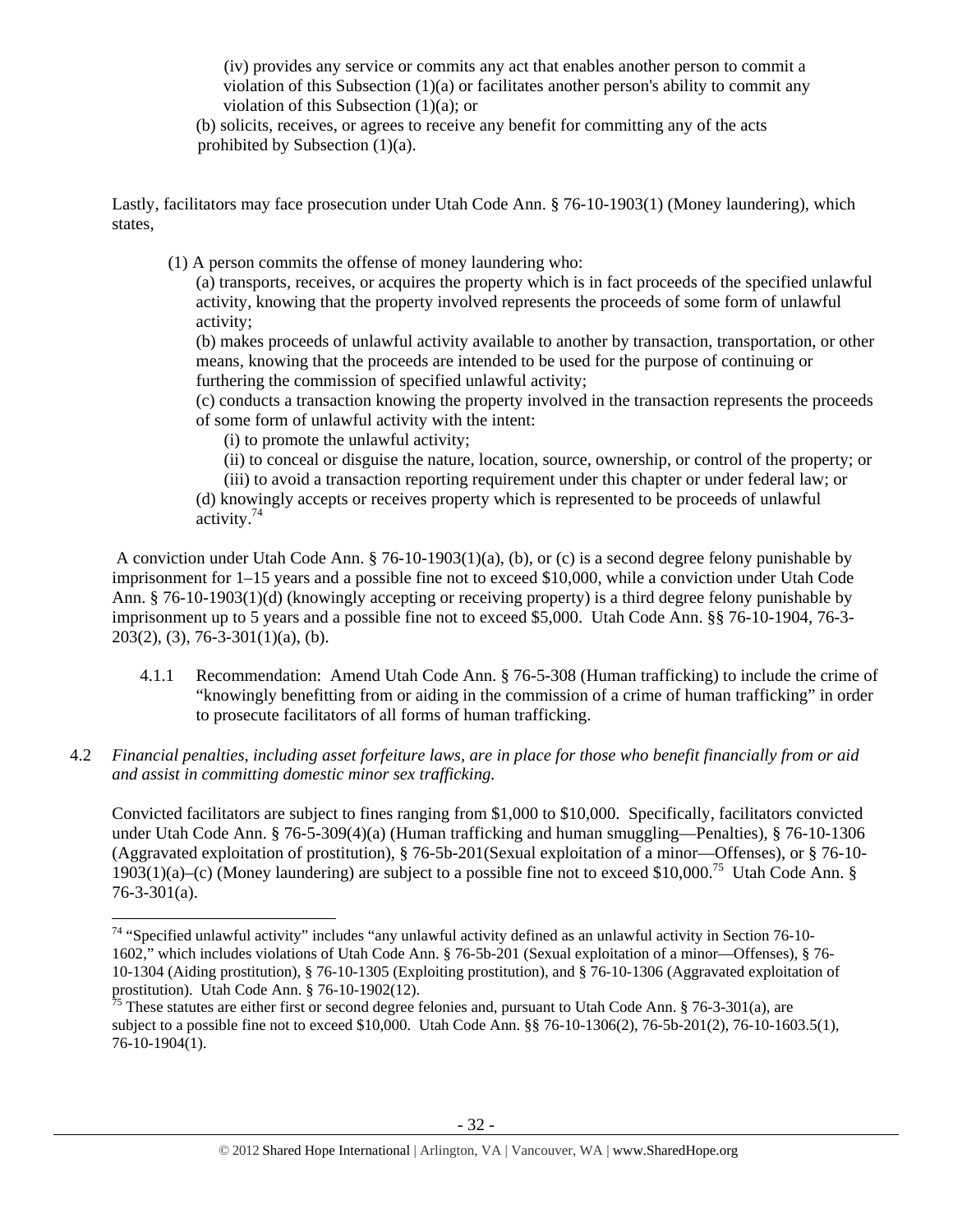(iv) provides any service or commits any act that enables another person to commit a violation of this Subsection (1)(a) or facilitates another person's ability to commit any violation of this Subsection (1)(a); or

(b) solicits, receives, or agrees to receive any benefit for committing any of the acts prohibited by Subsection (1)(a).

Lastly, facilitators may face prosecution under Utah Code Ann. § 76-10-1903(1) (Money laundering), which states,

(1) A person commits the offense of money laundering who:

(a) transports, receives, or acquires the property which is in fact proceeds of the specified unlawful activity, knowing that the property involved represents the proceeds of some form of unlawful activity;

(b) makes proceeds of unlawful activity available to another by transaction, transportation, or other means, knowing that the proceeds are intended to be used for the purpose of continuing or furthering the commission of specified unlawful activity;

(c) conducts a transaction knowing the property involved in the transaction represents the proceeds of some form of unlawful activity with the intent:

(i) to promote the unlawful activity;

(ii) to conceal or disguise the nature, location, source, ownership, or control of the property; or

(iii) to avoid a transaction reporting requirement under this chapter or under federal law; or (d) knowingly accepts or receives property which is represented to be proceeds of unlawful activity.74

 A conviction under Utah Code Ann. § 76-10-1903(1)(a), (b), or (c) is a second degree felony punishable by imprisonment for 1–15 years and a possible fine not to exceed \$10,000, while a conviction under Utah Code Ann. § 76-10-1903(1)(d) (knowingly accepting or receiving property) is a third degree felony punishable by imprisonment up to 5 years and a possible fine not to exceed \$5,000. Utah Code Ann. §§ 76-10-1904, 76-3-  $203(2)$ , (3), 76-3-301(1)(a), (b).

- 4.1.1 Recommendation: Amend Utah Code Ann. § 76-5-308 (Human trafficking) to include the crime of "knowingly benefitting from or aiding in the commission of a crime of human trafficking" in order to prosecute facilitators of all forms of human trafficking.
- 4.2 *Financial penalties, including asset forfeiture laws, are in place for those who benefit financially from or aid and assist in committing domestic minor sex trafficking.*

Convicted facilitators are subject to fines ranging from \$1,000 to \$10,000. Specifically, facilitators convicted under Utah Code Ann. § 76-5-309(4)(a) (Human trafficking and human smuggling—Penalties), § 76-10-1306 (Aggravated exploitation of prostitution), § 76-5b-201(Sexual exploitation of a minor—Offenses), or § 76-10- 1903(1)(a)–(c) (Money laundering) are subject to a possible fine not to exceed \$10,000.75 Utah Code Ann. § 76-3-301(a).

 $74$  "Specified unlawful activity" includes "any unlawful activity defined as an unlawful activity in Section 76-10-1602," which includes violations of Utah Code Ann. § 76-5b-201 (Sexual exploitation of a minor—Offenses), § 76- 10-1304 (Aiding prostitution), § 76-10-1305 (Exploiting prostitution), and § 76-10-1306 (Aggravated exploitation of prostitution). Utah Code Ann. § 76-10-1902(12).

 $\frac{75}{15}$  These statutes are either first or second degree felonies and, pursuant to Utah Code Ann. § 76-3-301(a), are subject to a possible fine not to exceed \$10,000. Utah Code Ann. §§ 76-10-1306(2), 76-5b-201(2), 76-10-1603.5(1), 76-10-1904(1).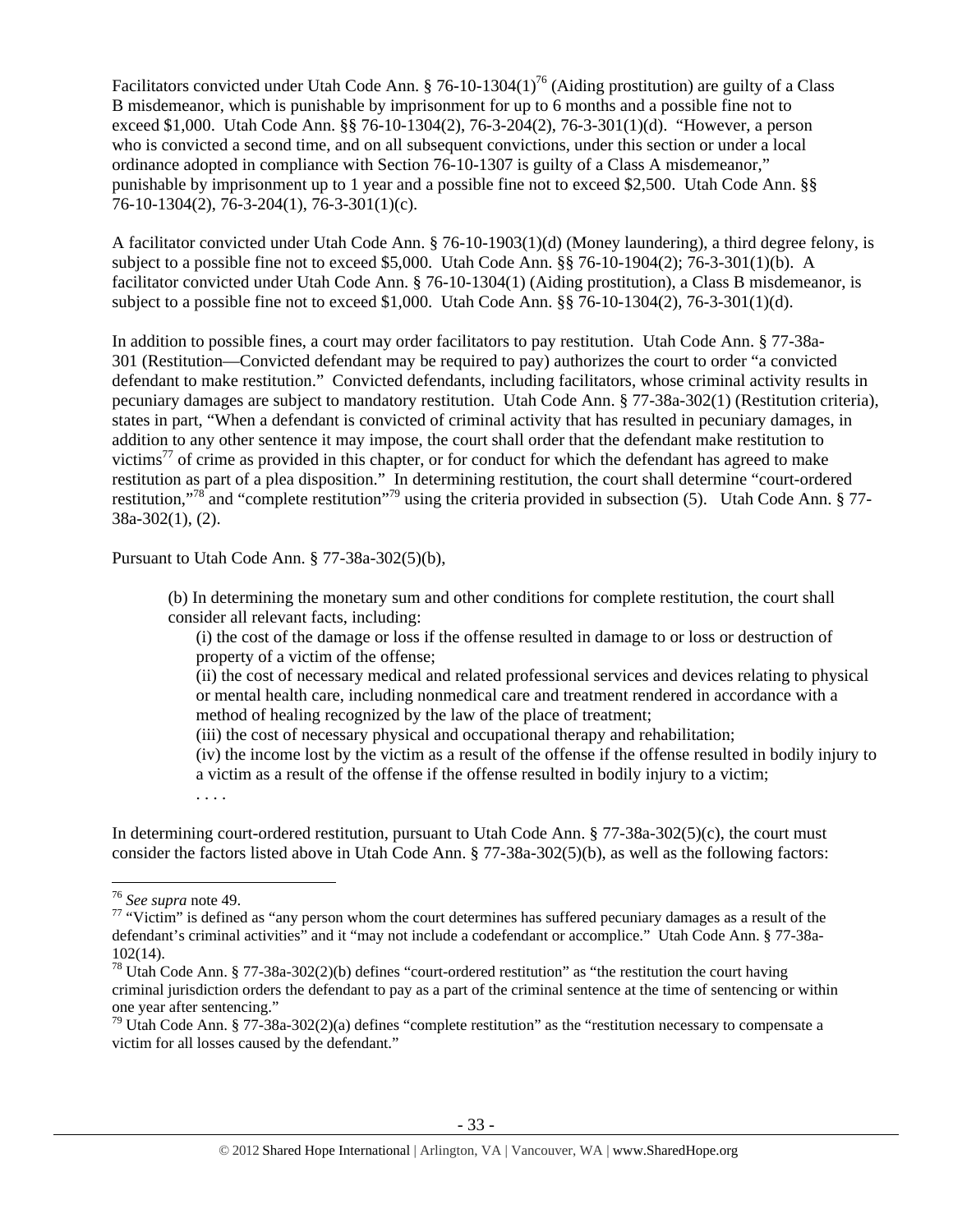Facilitators convicted under Utah Code Ann. § 76-10-1304(1)<sup>76</sup> (Aiding prostitution) are guilty of a Class B misdemeanor, which is punishable by imprisonment for up to 6 months and a possible fine not to exceed \$1,000. Utah Code Ann. §§ 76-10-1304(2), 76-3-204(2), 76-3-301(1)(d). "However, a person who is convicted a second time, and on all subsequent convictions, under this section or under a local ordinance adopted in compliance with Section 76-10-1307 is guilty of a Class A misdemeanor," punishable by imprisonment up to 1 year and a possible fine not to exceed \$2,500. Utah Code Ann. §§ 76-10-1304(2), 76-3-204(1), 76-3-301(1)(c).

A facilitator convicted under Utah Code Ann. § 76-10-1903(1)(d) (Money laundering), a third degree felony, is subject to a possible fine not to exceed \$5,000. Utah Code Ann. §§ 76-10-1904(2); 76-3-301(1)(b). A facilitator convicted under Utah Code Ann. § 76-10-1304(1) (Aiding prostitution), a Class B misdemeanor, is subject to a possible fine not to exceed \$1,000. Utah Code Ann. §§ 76-10-1304(2), 76-3-301(1)(d).

In addition to possible fines, a court may order facilitators to pay restitution. Utah Code Ann. § 77-38a-301 (Restitution—Convicted defendant may be required to pay) authorizes the court to order "a convicted defendant to make restitution." Convicted defendants, including facilitators, whose criminal activity results in pecuniary damages are subject to mandatory restitution. Utah Code Ann. § 77-38a-302(1) (Restitution criteria), states in part, "When a defendant is convicted of criminal activity that has resulted in pecuniary damages, in addition to any other sentence it may impose, the court shall order that the defendant make restitution to victims<sup>77</sup> of crime as provided in this chapter, or for conduct for which the defendant has agreed to make restitution as part of a plea disposition." In determining restitution, the court shall determine "court-ordered restitution,"<sup>78</sup> and "complete restitution"<sup>79</sup> using the criteria provided in subsection (5). Utah Code Ann. § 77-38a-302(1), (2).

Pursuant to Utah Code Ann. § 77-38a-302(5)(b),

(b) In determining the monetary sum and other conditions for complete restitution, the court shall consider all relevant facts, including:

(i) the cost of the damage or loss if the offense resulted in damage to or loss or destruction of property of a victim of the offense;

(ii) the cost of necessary medical and related professional services and devices relating to physical or mental health care, including nonmedical care and treatment rendered in accordance with a method of healing recognized by the law of the place of treatment;

(iii) the cost of necessary physical and occupational therapy and rehabilitation;

(iv) the income lost by the victim as a result of the offense if the offense resulted in bodily injury to a victim as a result of the offense if the offense resulted in bodily injury to a victim;

. . . .

In determining court-ordered restitution, pursuant to Utah Code Ann. § 77-38a-302(5)(c), the court must consider the factors listed above in Utah Code Ann. § 77-38a-302(5)(b), as well as the following factors:

<sup>&</sup>lt;sup>76</sup> See supra note 49.<br><sup>77</sup> "Victim" is defined as "any person whom the court determines has suffered pecuniary damages as a result of the defendant's criminal activities" and it "may not include a codefendant or accomplice." Utah Code Ann. § 77-38a-102(14).

<sup>&</sup>lt;sup>78</sup> Utah Code Ann. § 77-38a-302(2)(b) defines "court-ordered restitution" as "the restitution the court having criminal jurisdiction orders the defendant to pay as a part of the criminal sentence at the time of sentencing or within one year after sentencing."

 $79$  Utah Code Ann. § 77-38a-302(2)(a) defines "complete restitution" as the "restitution necessary to compensate a victim for all losses caused by the defendant."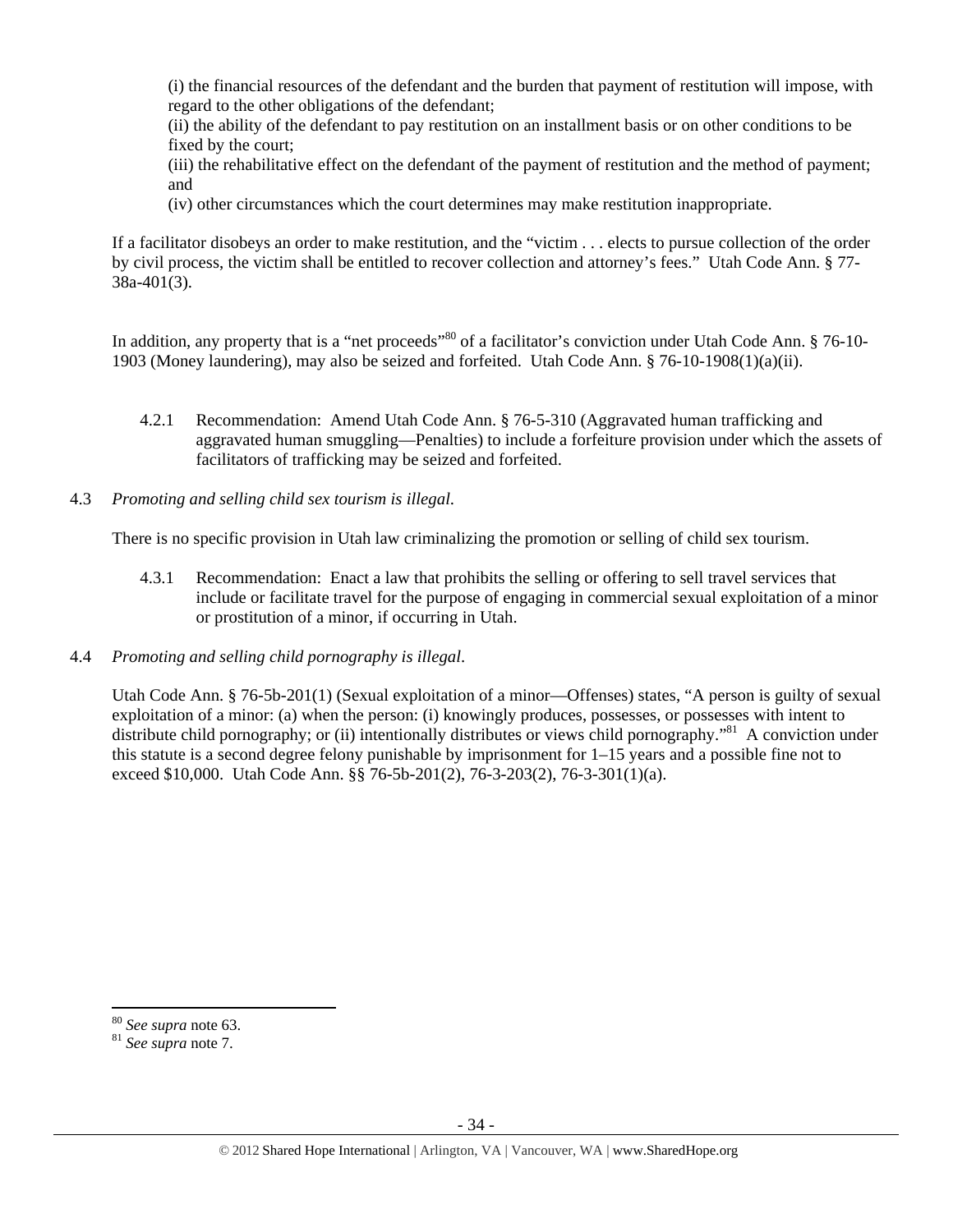(i) the financial resources of the defendant and the burden that payment of restitution will impose, with regard to the other obligations of the defendant;

(ii) the ability of the defendant to pay restitution on an installment basis or on other conditions to be fixed by the court;

(iii) the rehabilitative effect on the defendant of the payment of restitution and the method of payment; and

(iv) other circumstances which the court determines may make restitution inappropriate.

If a facilitator disobeys an order to make restitution, and the "victim . . . elects to pursue collection of the order by civil process, the victim shall be entitled to recover collection and attorney's fees." Utah Code Ann. § 77- 38a-401(3).

In addition, any property that is a "net proceeds"<sup>80</sup> of a facilitator's conviction under Utah Code Ann. § 76-10-1903 (Money laundering), may also be seized and forfeited. Utah Code Ann. § 76-10-1908(1)(a)(ii).

- 4.2.1 Recommendation: Amend Utah Code Ann. § 76-5-310 (Aggravated human trafficking and aggravated human smuggling—Penalties) to include a forfeiture provision under which the assets of facilitators of trafficking may be seized and forfeited.
- 4.3 *Promoting and selling child sex tourism is illegal*.

There is no specific provision in Utah law criminalizing the promotion or selling of child sex tourism.

- 4.3.1 Recommendation: Enact a law that prohibits the selling or offering to sell travel services that include or facilitate travel for the purpose of engaging in commercial sexual exploitation of a minor or prostitution of a minor, if occurring in Utah.
- 4.4 *Promoting and selling child pornography is illegal*.

Utah Code Ann. § 76-5b-201(1) (Sexual exploitation of a minor—Offenses) states, "A person is guilty of sexual exploitation of a minor: (a) when the person: (i) knowingly produces, possesses, or possesses with intent to distribute child pornography; or (ii) intentionally distributes or views child pornography."<sup>81</sup> A conviction under this statute is a second degree felony punishable by imprisonment for 1–15 years and a possible fine not to exceed \$10,000. Utah Code Ann. §§ 76-5b-201(2), 76-3-203(2), 76-3-301(1)(a).

 $80$  See supra note 63.

<sup>&</sup>lt;sup>81</sup> See supra note 7.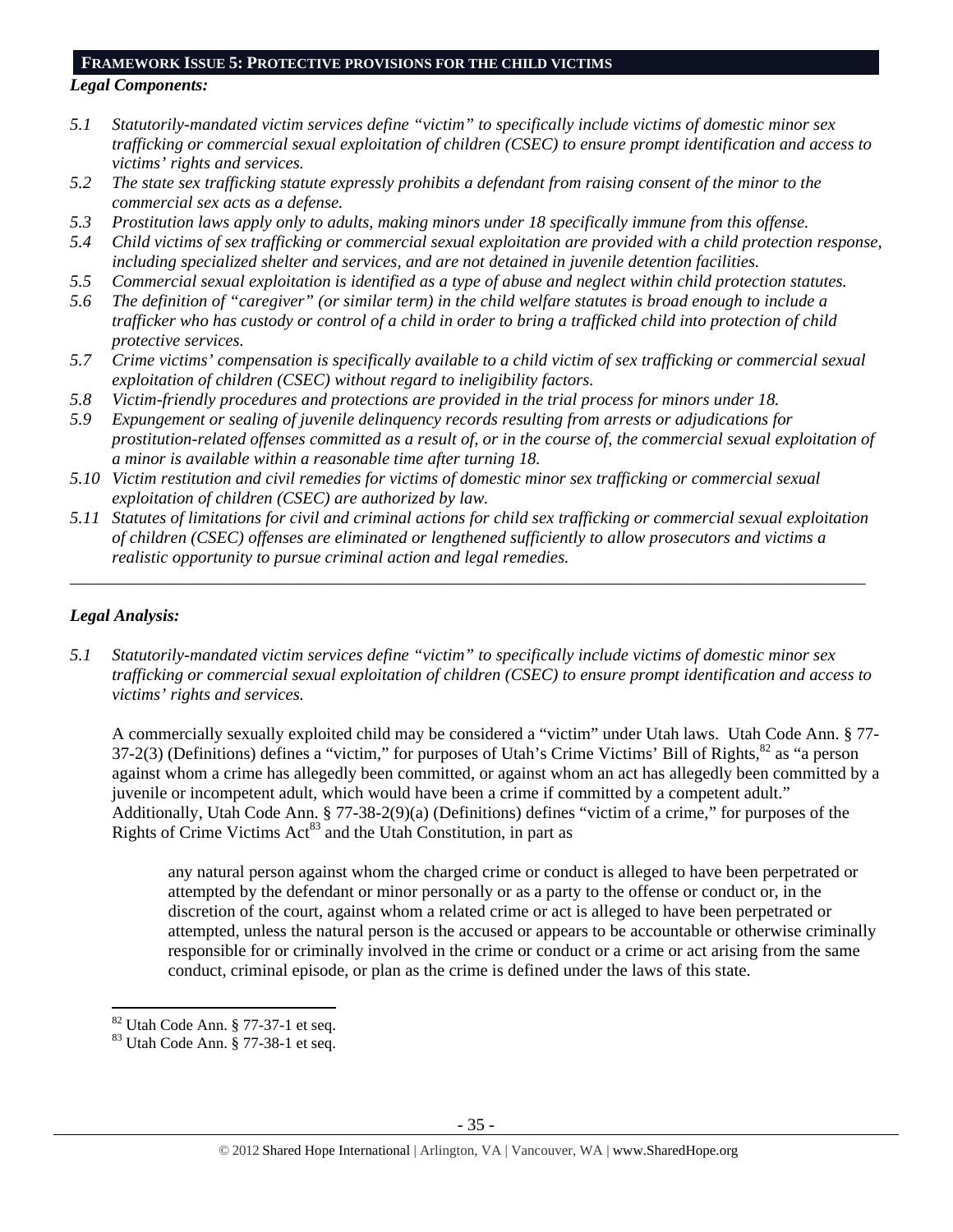#### **FRAMEWORK ISSUE 5: PROTECTIVE PROVISIONS FOR THE CHILD VICTIMS**

# *Legal Components:*

- *5.1 Statutorily-mandated victim services define "victim" to specifically include victims of domestic minor sex trafficking or commercial sexual exploitation of children (CSEC) to ensure prompt identification and access to victims' rights and services.*
- *5.2 The state sex trafficking statute expressly prohibits a defendant from raising consent of the minor to the commercial sex acts as a defense.*
- *5.3 Prostitution laws apply only to adults, making minors under 18 specifically immune from this offense.*
- *5.4 Child victims of sex trafficking or commercial sexual exploitation are provided with a child protection response, including specialized shelter and services, and are not detained in juvenile detention facilities.*
- *5.5 Commercial sexual exploitation is identified as a type of abuse and neglect within child protection statutes.*
- *5.6 The definition of "caregiver" (or similar term) in the child welfare statutes is broad enough to include a trafficker who has custody or control of a child in order to bring a trafficked child into protection of child protective services.*
- *5.7 Crime victims' compensation is specifically available to a child victim of sex trafficking or commercial sexual exploitation of children (CSEC) without regard to ineligibility factors.*
- *5.8 Victim-friendly procedures and protections are provided in the trial process for minors under 18.*
- *5.9 Expungement or sealing of juvenile delinquency records resulting from arrests or adjudications for prostitution-related offenses committed as a result of, or in the course of, the commercial sexual exploitation of a minor is available within a reasonable time after turning 18.*
- *5.10 Victim restitution and civil remedies for victims of domestic minor sex trafficking or commercial sexual exploitation of children (CSEC) are authorized by law.*
- *5.11 Statutes of limitations for civil and criminal actions for child sex trafficking or commercial sexual exploitation of children (CSEC) offenses are eliminated or lengthened sufficiently to allow prosecutors and victims a realistic opportunity to pursue criminal action and legal remedies.*

*\_\_\_\_\_\_\_\_\_\_\_\_\_\_\_\_\_\_\_\_\_\_\_\_\_\_\_\_\_\_\_\_\_\_\_\_\_\_\_\_\_\_\_\_\_\_\_\_\_\_\_\_\_\_\_\_\_\_\_\_\_\_\_\_\_\_\_\_\_\_\_\_\_\_\_\_\_\_\_\_\_\_\_\_\_\_\_\_\_\_\_\_\_* 

# *Legal Analysis:*

*5.1 Statutorily-mandated victim services define "victim" to specifically include victims of domestic minor sex trafficking or commercial sexual exploitation of children (CSEC) to ensure prompt identification and access to victims' rights and services.* 

A commercially sexually exploited child may be considered a "victim" under Utah laws. Utah Code Ann. § 77-  $37-2(3)$  (Definitions) defines a "victim," for purposes of Utah's Crime Victims' Bill of Rights, $82$  as "a person against whom a crime has allegedly been committed, or against whom an act has allegedly been committed by a juvenile or incompetent adult, which would have been a crime if committed by a competent adult." Additionally, Utah Code Ann. § 77-38-2(9)(a) (Definitions) defines "victim of a crime," for purposes of the Rights of Crime Victims  $Act^{83}$  and the Utah Constitution, in part as

any natural person against whom the charged crime or conduct is alleged to have been perpetrated or attempted by the defendant or minor personally or as a party to the offense or conduct or, in the discretion of the court, against whom a related crime or act is alleged to have been perpetrated or attempted, unless the natural person is the accused or appears to be accountable or otherwise criminally responsible for or criminally involved in the crime or conduct or a crime or act arising from the same conduct, criminal episode, or plan as the crime is defined under the laws of this state.

  $82$  Utah Code Ann.  $\S$  77-37-1 et seq.

<sup>83</sup> Utah Code Ann. § 77-38-1 et seq.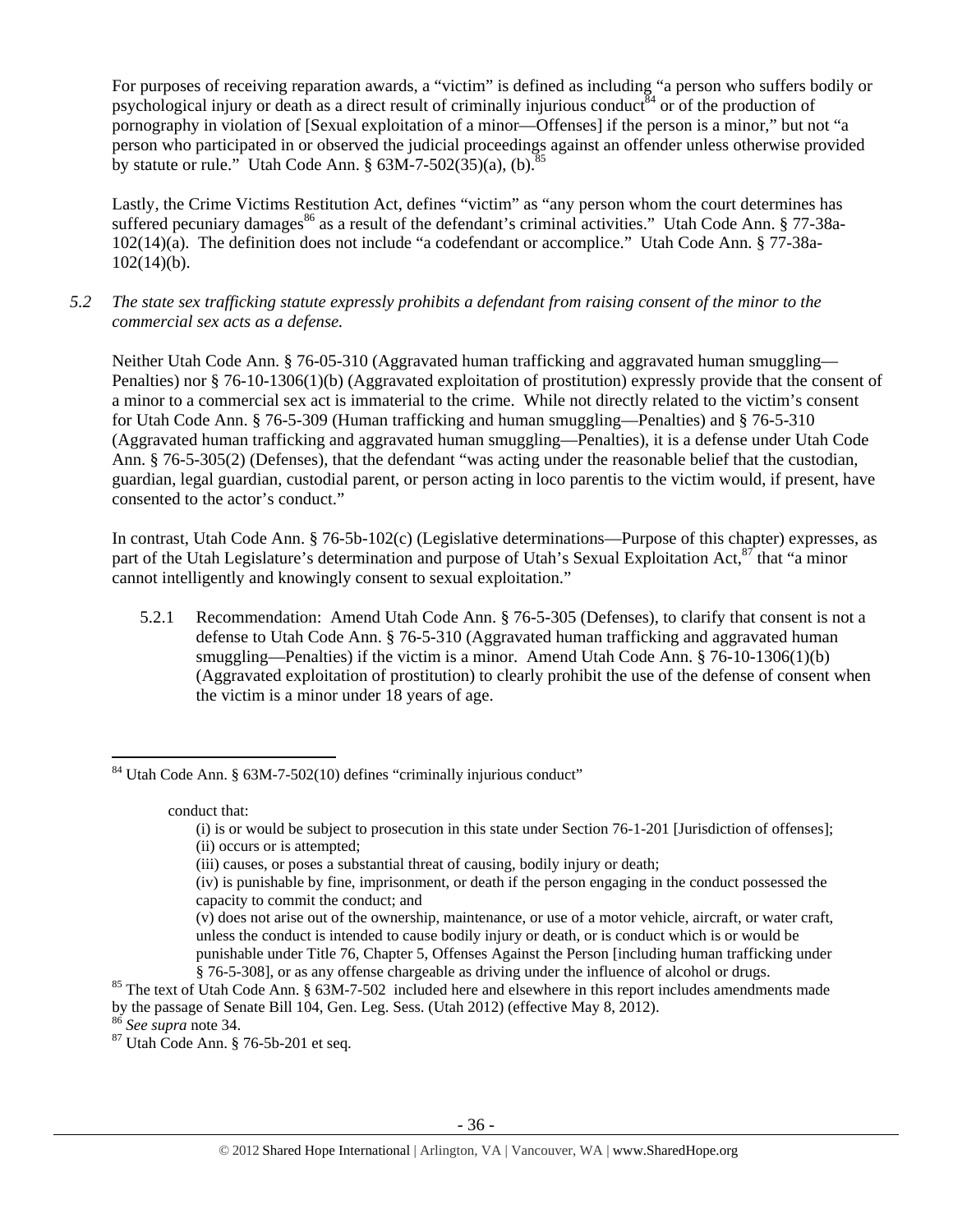For purposes of receiving reparation awards, a "victim" is defined as including "a person who suffers bodily or psychological injury or death as a direct result of criminally injurious conduct  $\delta^4$  or of the production of pornography in violation of [Sexual exploitation of a minor—Offenses] if the person is a minor," but not "a person who participated in or observed the judicial proceedings against an offender unless otherwise provided by statute or rule." Utah Code Ann.  $\S$  63M-7-502(35)(a), (b).  $85$ 

Lastly, the Crime Victims Restitution Act, defines "victim" as "any person whom the court determines has suffered pecuniary damages<sup>86</sup> as a result of the defendant's criminal activities." Utah Code Ann.  $\S 77-38a-$ 102(14)(a). The definition does not include "a codefendant or accomplice." Utah Code Ann. § 77-38a- $102(14)(b)$ .

*5.2 The state sex trafficking statute expressly prohibits a defendant from raising consent of the minor to the commercial sex acts as a defense.* 

Neither Utah Code Ann. § 76-05-310 (Aggravated human trafficking and aggravated human smuggling— Penalties) nor § 76-10-1306(1)(b) (Aggravated exploitation of prostitution) expressly provide that the consent of a minor to a commercial sex act is immaterial to the crime. While not directly related to the victim's consent for Utah Code Ann. § 76-5-309 (Human trafficking and human smuggling—Penalties) and § 76-5-310 (Aggravated human trafficking and aggravated human smuggling—Penalties), it is a defense under Utah Code Ann. § 76-5-305(2) (Defenses), that the defendant "was acting under the reasonable belief that the custodian, guardian, legal guardian, custodial parent, or person acting in loco parentis to the victim would, if present, have consented to the actor's conduct."

In contrast, Utah Code Ann. § 76-5b-102(c) (Legislative determinations—Purpose of this chapter) expresses, as part of the Utah Legislature's determination and purpose of Utah's Sexual Exploitation Act,<sup>87</sup> that "a minor" cannot intelligently and knowingly consent to sexual exploitation."

5.2.1 Recommendation: Amend Utah Code Ann. § 76-5-305 (Defenses), to clarify that consent is not a defense to Utah Code Ann. § 76-5-310 (Aggravated human trafficking and aggravated human smuggling—Penalties) if the victim is a minor. Amend Utah Code Ann. § 76-10-1306(1)(b) (Aggravated exploitation of prostitution) to clearly prohibit the use of the defense of consent when the victim is a minor under 18 years of age.

conduct that:

<sup>84</sup> Utah Code Ann. § 63M-7-502(10) defines "criminally injurious conduct"

<sup>(</sup>i) is or would be subject to prosecution in this state under Section 76-1-201 [Jurisdiction of offenses]; (ii) occurs or is attempted;

<sup>(</sup>iii) causes, or poses a substantial threat of causing, bodily injury or death;

<sup>(</sup>iv) is punishable by fine, imprisonment, or death if the person engaging in the conduct possessed the capacity to commit the conduct; and

<sup>(</sup>v) does not arise out of the ownership, maintenance, or use of a motor vehicle, aircraft, or water craft, unless the conduct is intended to cause bodily injury or death, or is conduct which is or would be punishable under Title 76, Chapter 5, Offenses Against the Person [including human trafficking under § 76-5-308], or as any offense chargeable as driving under the influence of alcohol or drugs.<br><sup>85</sup> The text of Utah Code Ann. § 63M-7-502 included here and elsewhere in this report includes amendments made

by the passage of Senate Bill 104, Gen. Leg. Sess. (Utah 2012) (effective May 8, 2012). 86 *See supra* note 34. 87 Utah Code Ann. § 76-5b-201 et seq.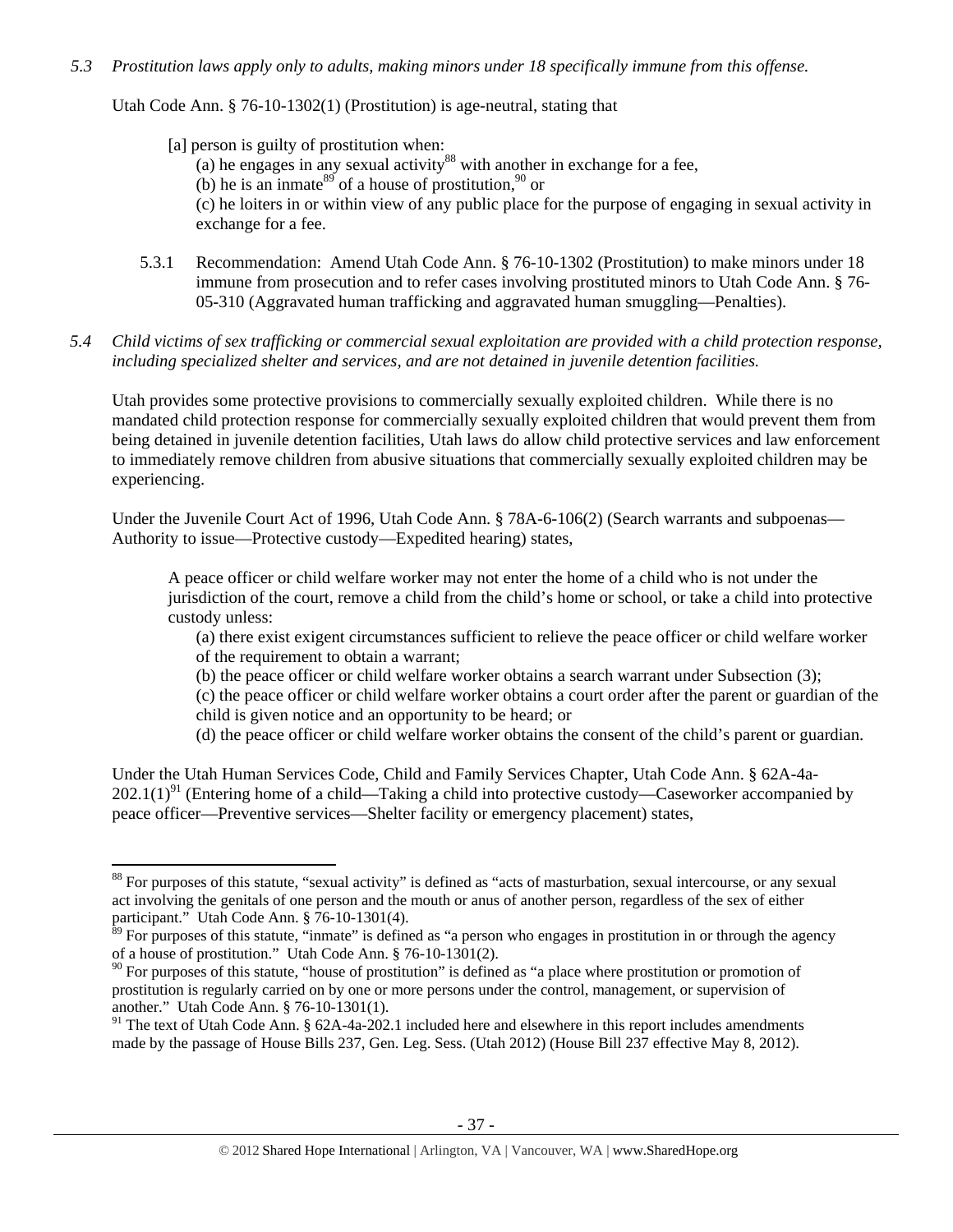## *5.3 Prostitution laws apply only to adults, making minors under 18 specifically immune from this offense.*

Utah Code Ann. § 76-10-1302(1) (Prostitution) is age-neutral, stating that

[a] person is guilty of prostitution when:

- (a) he engages in any sexual activity<sup>88</sup> with another in exchange for a fee,
- (b) he is an inmate<sup>89</sup> of a house of prostitution,  $90$  or

(c) he loiters in or within view of any public place for the purpose of engaging in sexual activity in exchange for a fee.

- 5.3.1 Recommendation: Amend Utah Code Ann. § 76-10-1302 (Prostitution) to make minors under 18 immune from prosecution and to refer cases involving prostituted minors to Utah Code Ann. § 76- 05-310 (Aggravated human trafficking and aggravated human smuggling—Penalties).
- *5.4 Child victims of sex trafficking or commercial sexual exploitation are provided with a child protection response, including specialized shelter and services, and are not detained in juvenile detention facilities.*

Utah provides some protective provisions to commercially sexually exploited children. While there is no mandated child protection response for commercially sexually exploited children that would prevent them from being detained in juvenile detention facilities, Utah laws do allow child protective services and law enforcement to immediately remove children from abusive situations that commercially sexually exploited children may be experiencing.

Under the Juvenile Court Act of 1996, Utah Code Ann. § 78A-6-106(2) (Search warrants and subpoenas— Authority to issue—Protective custody—Expedited hearing) states,

A peace officer or child welfare worker may not enter the home of a child who is not under the jurisdiction of the court, remove a child from the child's home or school, or take a child into protective custody unless:

(a) there exist exigent circumstances sufficient to relieve the peace officer or child welfare worker of the requirement to obtain a warrant;

(b) the peace officer or child welfare worker obtains a search warrant under Subsection (3);

(c) the peace officer or child welfare worker obtains a court order after the parent or guardian of the child is given notice and an opportunity to be heard; or

(d) the peace officer or child welfare worker obtains the consent of the child's parent or guardian.

Under the Utah Human Services Code, Child and Family Services Chapter, Utah Code Ann. § 62A-4a- $202.1(1)^{91}$  (Entering home of a child—Taking a child into protective custody—Caseworker accompanied by peace officer—Preventive services—Shelter facility or emergency placement) states,

<sup>&</sup>lt;sup>88</sup> For purposes of this statute, "sexual activity" is defined as "acts of masturbation, sexual intercourse, or any sexual act involving the genitals of one person and the mouth or anus of another person, regardless of the sex of either participant." Utah Code Ann. § 76-10-1301(4).

 $\frac{89}{10}$  For purposes of this statute, "inmate" is defined as "a person who engages in prostitution in or through the agency of a house of prostitution." Utah Code Ann. § 76-10-1301(2).

 $90$  For purposes of this statute, "house of prostitution" is defined as "a place where prostitution or promotion of prostitution is regularly carried on by one or more persons under the control, management, or supervision of another." Utah Code Ann. § 76-10-1301(1).

 $91$  The text of Utah Code Ann. § 62A-4a-202.1 included here and elsewhere in this report includes amendments made by the passage of House Bills 237, Gen. Leg. Sess. (Utah 2012) (House Bill 237 effective May 8, 2012).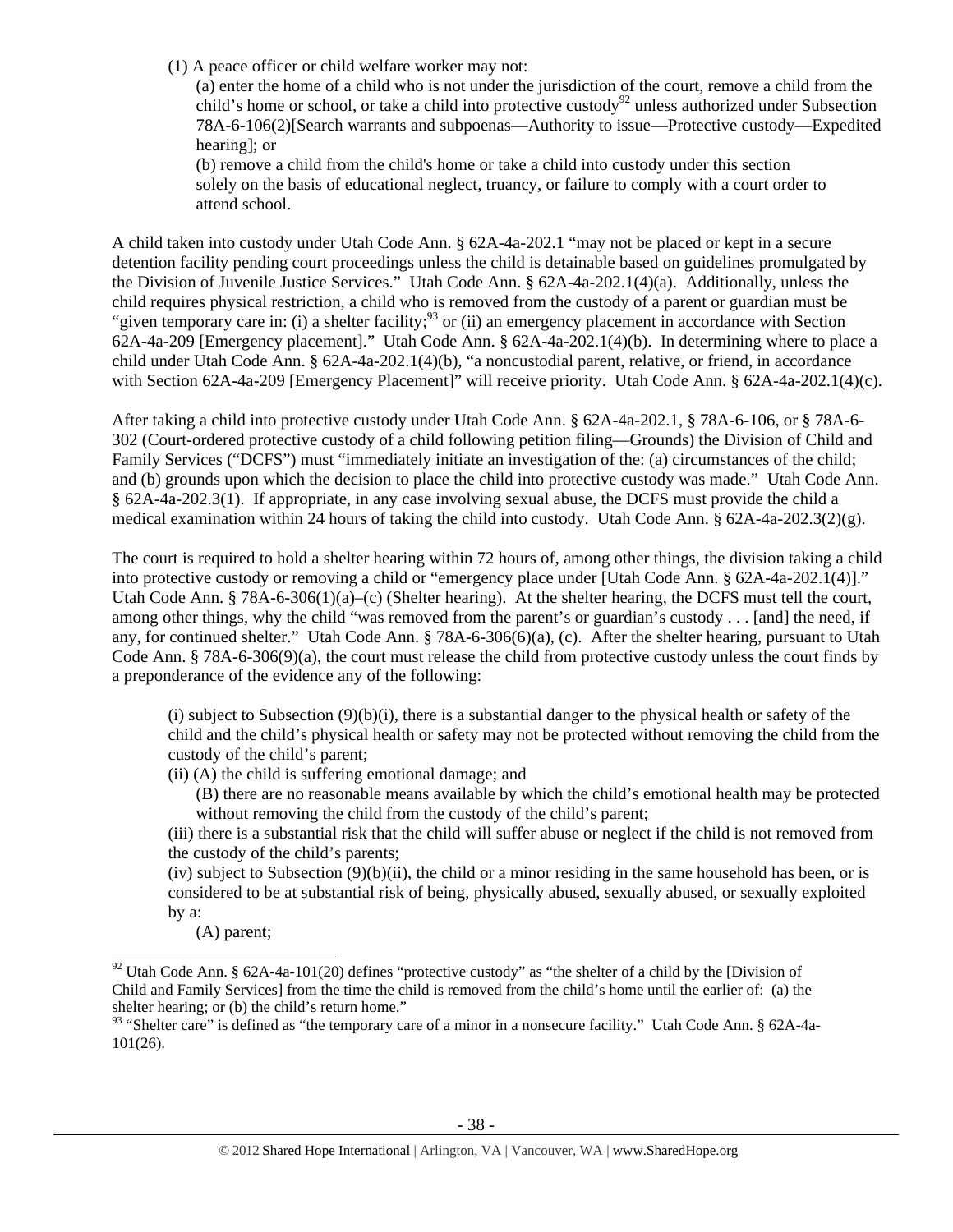(1) A peace officer or child welfare worker may not:

(a) enter the home of a child who is not under the jurisdiction of the court, remove a child from the child's home or school, or take a child into protective custody<sup>92</sup> unless authorized under Subsection 78A-6-106(2)[Search warrants and subpoenas—Authority to issue—Protective custody—Expedited hearing]; or

(b) remove a child from the child's home or take a child into custody under this section solely on the basis of educational neglect, truancy, or failure to comply with a court order to attend school.

A child taken into custody under Utah Code Ann. § 62A-4a-202.1 "may not be placed or kept in a secure detention facility pending court proceedings unless the child is detainable based on guidelines promulgated by the Division of Juvenile Justice Services." Utah Code Ann. § 62A-4a-202.1(4)(a). Additionally, unless the child requires physical restriction, a child who is removed from the custody of a parent or guardian must be "given temporary care in: (i) a shelter facility;  $93$  or (ii) an emergency placement in accordance with Section 62A-4a-209 [Emergency placement]." Utah Code Ann. § 62A-4a-202.1(4)(b). In determining where to place a child under Utah Code Ann. § 62A-4a-202.1(4)(b), "a noncustodial parent, relative, or friend, in accordance with Section 62A-4a-209 [Emergency Placement]" will receive priority. Utah Code Ann. § 62A-4a-202.1(4)(c).

After taking a child into protective custody under Utah Code Ann. § 62A-4a-202.1, § 78A-6-106, or § 78A-6- 302 (Court-ordered protective custody of a child following petition filing—Grounds) the Division of Child and Family Services ("DCFS") must "immediately initiate an investigation of the: (a) circumstances of the child; and (b) grounds upon which the decision to place the child into protective custody was made." Utah Code Ann. § 62A-4a-202.3(1). If appropriate, in any case involving sexual abuse, the DCFS must provide the child a medical examination within 24 hours of taking the child into custody. Utah Code Ann. § 62A-4a-202.3(2)(g).

The court is required to hold a shelter hearing within 72 hours of, among other things, the division taking a child into protective custody or removing a child or "emergency place under [Utah Code Ann. § 62A-4a-202.1(4)]." Utah Code Ann. § 78A-6-306(1)(a)–(c) (Shelter hearing). At the shelter hearing, the DCFS must tell the court, among other things, why the child "was removed from the parent's or guardian's custody . . . [and] the need, if any, for continued shelter." Utah Code Ann. § 78A-6-306(6)(a), (c). After the shelter hearing, pursuant to Utah Code Ann. § 78A-6-306(9)(a), the court must release the child from protective custody unless the court finds by a preponderance of the evidence any of the following:

(i) subject to Subsection  $(9)(b)(i)$ , there is a substantial danger to the physical health or safety of the child and the child's physical health or safety may not be protected without removing the child from the custody of the child's parent;

(ii) (A) the child is suffering emotional damage; and

(B) there are no reasonable means available by which the child's emotional health may be protected without removing the child from the custody of the child's parent;

(iii) there is a substantial risk that the child will suffer abuse or neglect if the child is not removed from the custody of the child's parents;

(iv) subject to Subsection  $(9)(b)(ii)$ , the child or a minor residing in the same household has been, or is considered to be at substantial risk of being, physically abused, sexually abused, or sexually exploited by a:

(A) parent; 

<sup>&</sup>lt;sup>92</sup> Utah Code Ann. § 62A-4a-101(20) defines "protective custody" as "the shelter of a child by the [Division of Child and Family Services] from the time the child is removed from the child's home until the earlier of: (a) the shelter hearing; or (b) the child's return home."

<sup>93 &</sup>quot;Shelter care" is defined as "the temporary care of a minor in a nonsecure facility." Utah Code Ann. § 62A-4a-101(26).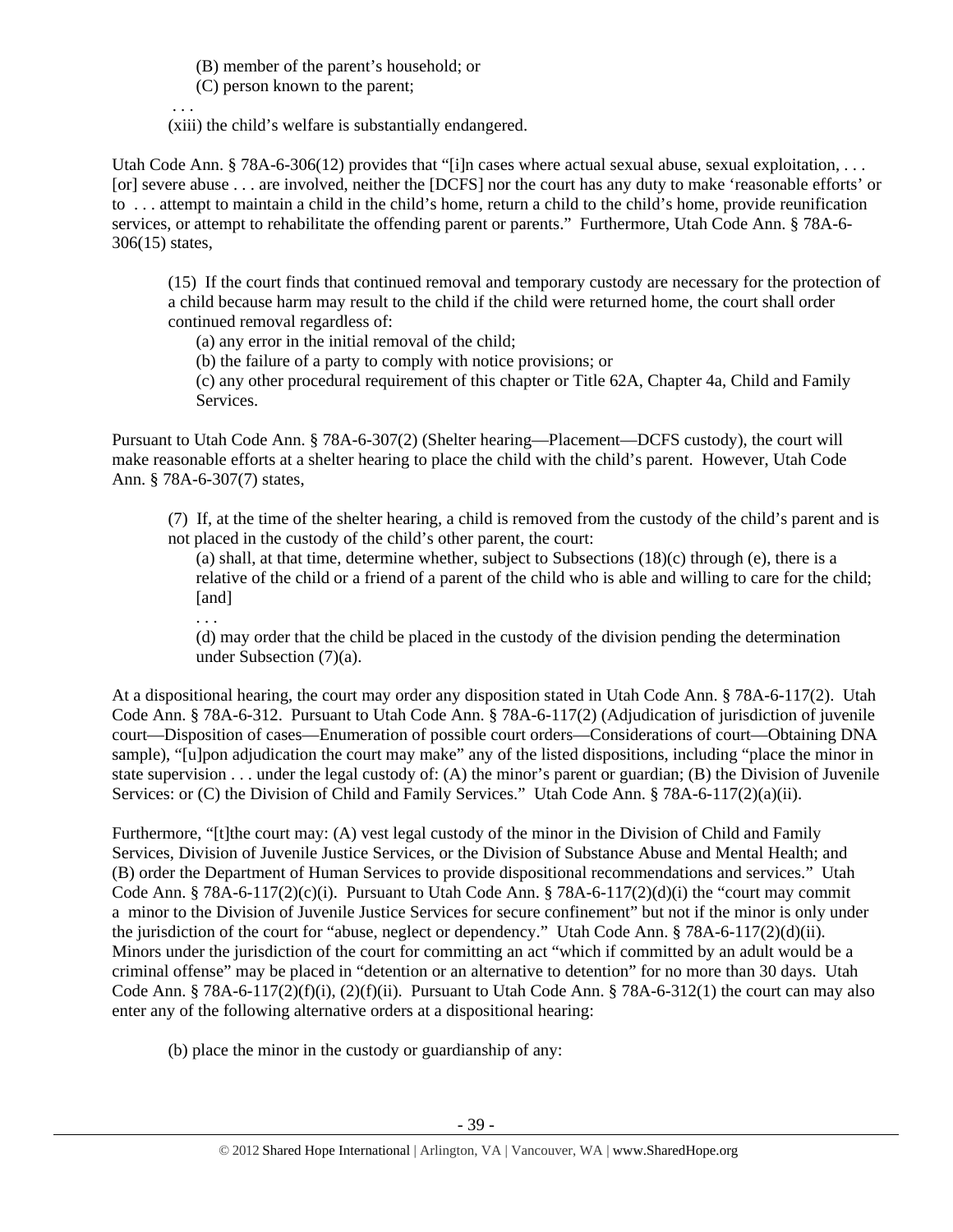(B) member of the parent's household; or

(C) person known to the parent;

 . . . (xiii) the child's welfare is substantially endangered.

Utah Code Ann. § 78A-6-306(12) provides that "[i]n cases where actual sexual abuse, sexual exploitation, ... [or] severe abuse . . . are involved, neither the [DCFS] nor the court has any duty to make 'reasonable efforts' or to . . . attempt to maintain a child in the child's home, return a child to the child's home, provide reunification services, or attempt to rehabilitate the offending parent or parents." Furthermore, Utah Code Ann. § 78A-6- 306(15) states,

(15) If the court finds that continued removal and temporary custody are necessary for the protection of a child because harm may result to the child if the child were returned home, the court shall order continued removal regardless of:

(a) any error in the initial removal of the child;

(b) the failure of a party to comply with notice provisions; or

(c) any other procedural requirement of this chapter or Title 62A, Chapter 4a, Child and Family Services.

Pursuant to Utah Code Ann. § 78A-6-307(2) (Shelter hearing—Placement—DCFS custody), the court will make reasonable efforts at a shelter hearing to place the child with the child's parent. However, Utah Code Ann. § 78A-6-307(7) states,

(7) If, at the time of the shelter hearing, a child is removed from the custody of the child's parent and is not placed in the custody of the child's other parent, the court:

(a) shall, at that time, determine whether, subject to Subsections (18)(c) through (e), there is a relative of the child or a friend of a parent of the child who is able and willing to care for the child; [and]

. . .

(d) may order that the child be placed in the custody of the division pending the determination under Subsection (7)(a).

At a dispositional hearing, the court may order any disposition stated in Utah Code Ann. § 78A-6-117(2). Utah Code Ann. § 78A-6-312. Pursuant to Utah Code Ann. § 78A-6-117(2) (Adjudication of jurisdiction of juvenile court—Disposition of cases—Enumeration of possible court orders—Considerations of court—Obtaining DNA sample), "[u]pon adjudication the court may make" any of the listed dispositions, including "place the minor in state supervision . . . under the legal custody of: (A) the minor's parent or guardian; (B) the Division of Juvenile Services: or (C) the Division of Child and Family Services." Utah Code Ann. § 78A-6-117(2)(a)(ii).

Furthermore, "[t]the court may: (A) vest legal custody of the minor in the Division of Child and Family Services, Division of Juvenile Justice Services, or the Division of Substance Abuse and Mental Health; and (B) order the Department of Human Services to provide dispositional recommendations and services." Utah Code Ann. § 78A-6-117(2)(c)(i). Pursuant to Utah Code Ann. § 78A-6-117(2)(d)(i) the "court may commit a minor to the Division of Juvenile Justice Services for secure confinement" but not if the minor is only under the jurisdiction of the court for "abuse, neglect or dependency." Utah Code Ann. § 78A-6-117(2)(d)(ii). Minors under the jurisdiction of the court for committing an act "which if committed by an adult would be a criminal offense" may be placed in "detention or an alternative to detention" for no more than 30 days. Utah Code Ann. § 78A-6-117(2)(f)(i), (2)(f)(ii). Pursuant to Utah Code Ann. § 78A-6-312(1) the court can may also enter any of the following alternative orders at a dispositional hearing:

(b) place the minor in the custody or guardianship of any: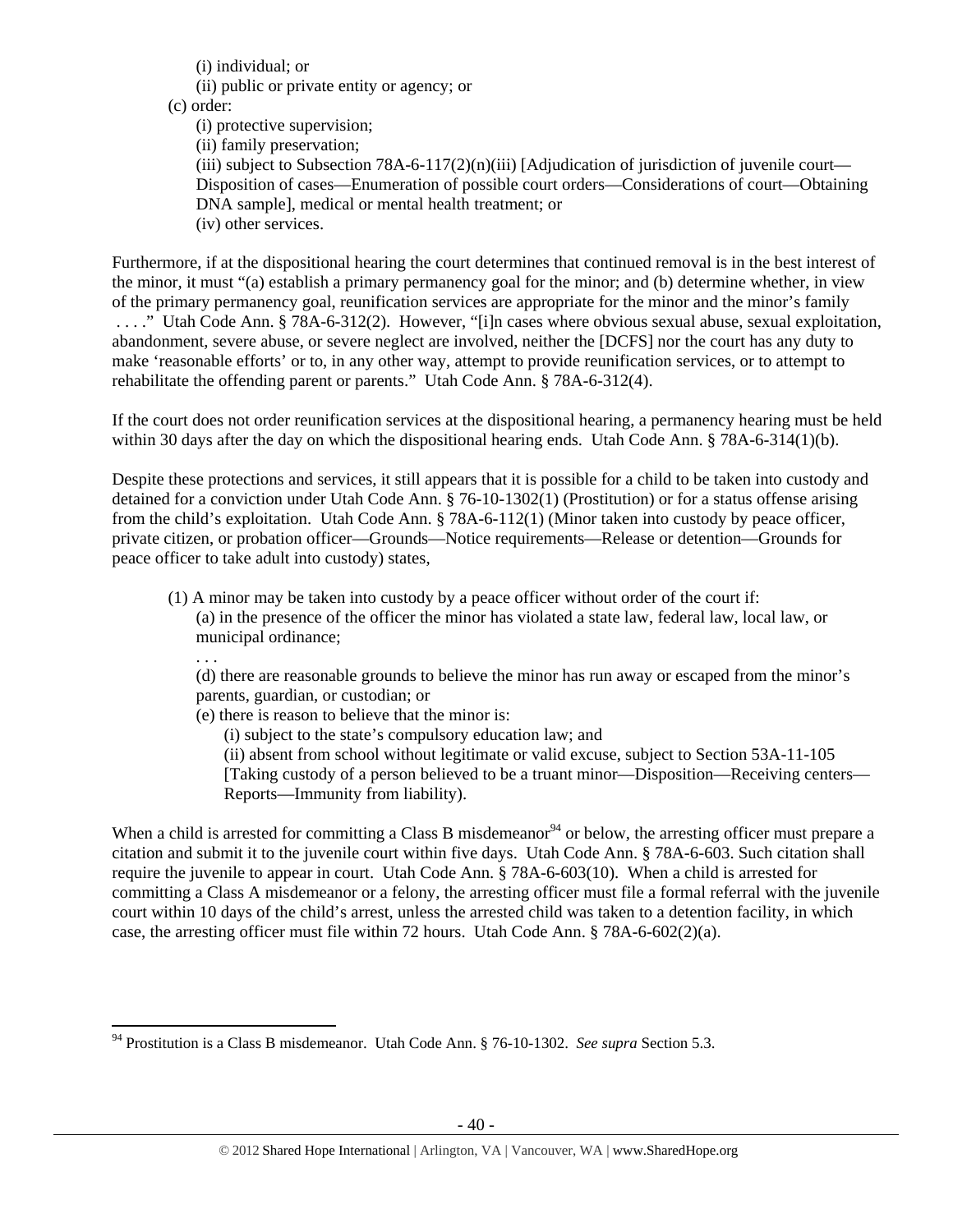(i) individual; or (ii) public or private entity or agency; or (c) order: (i) protective supervision; (ii) family preservation; (iii) subject to Subsection 78A-6-117(2)(n)(iii) [Adjudication of jurisdiction of juvenile court— Disposition of cases—Enumeration of possible court orders—Considerations of court—Obtaining DNA sample], medical or mental health treatment; or (iv) other services.

Furthermore, if at the dispositional hearing the court determines that continued removal is in the best interest of the minor, it must "(a) establish a primary permanency goal for the minor; and (b) determine whether, in view of the primary permanency goal, reunification services are appropriate for the minor and the minor's family . . . ." Utah Code Ann. § 78A-6-312(2). However, "[i]n cases where obvious sexual abuse, sexual exploitation, abandonment, severe abuse, or severe neglect are involved, neither the [DCFS] nor the court has any duty to make 'reasonable efforts' or to, in any other way, attempt to provide reunification services, or to attempt to rehabilitate the offending parent or parents." Utah Code Ann. § 78A-6-312(4).

If the court does not order reunification services at the dispositional hearing, a permanency hearing must be held within 30 days after the day on which the dispositional hearing ends. Utah Code Ann. § 78A-6-314(1)(b).

Despite these protections and services, it still appears that it is possible for a child to be taken into custody and detained for a conviction under Utah Code Ann. § 76-10-1302(1) (Prostitution) or for a status offense arising from the child's exploitation. Utah Code Ann. § 78A-6-112(1) (Minor taken into custody by peace officer, private citizen, or probation officer—Grounds—Notice requirements—Release or detention—Grounds for peace officer to take adult into custody) states,

(1) A minor may be taken into custody by a peace officer without order of the court if: (a) in the presence of the officer the minor has violated a state law, federal law, local law, or municipal ordinance;

. . .

(d) there are reasonable grounds to believe the minor has run away or escaped from the minor's parents, guardian, or custodian; or

- (e) there is reason to believe that the minor is:
	- (i) subject to the state's compulsory education law; and

(ii) absent from school without legitimate or valid excuse, subject to Section 53A-11-105 [Taking custody of a person believed to be a truant minor—Disposition—Receiving centers— Reports—Immunity from liability).

When a child is arrested for committing a Class B misdemeanor<sup>94</sup> or below, the arresting officer must prepare a citation and submit it to the juvenile court within five days. Utah Code Ann. § 78A-6-603. Such citation shall require the juvenile to appear in court. Utah Code Ann. § 78A-6-603(10). When a child is arrested for committing a Class A misdemeanor or a felony, the arresting officer must file a formal referral with the juvenile court within 10 days of the child's arrest, unless the arrested child was taken to a detention facility, in which case, the arresting officer must file within 72 hours. Utah Code Ann.  $\S$  78A-6-602(2)(a).

 94 Prostitution is a Class B misdemeanor. Utah Code Ann. § 76-10-1302. *See supra* Section 5.3.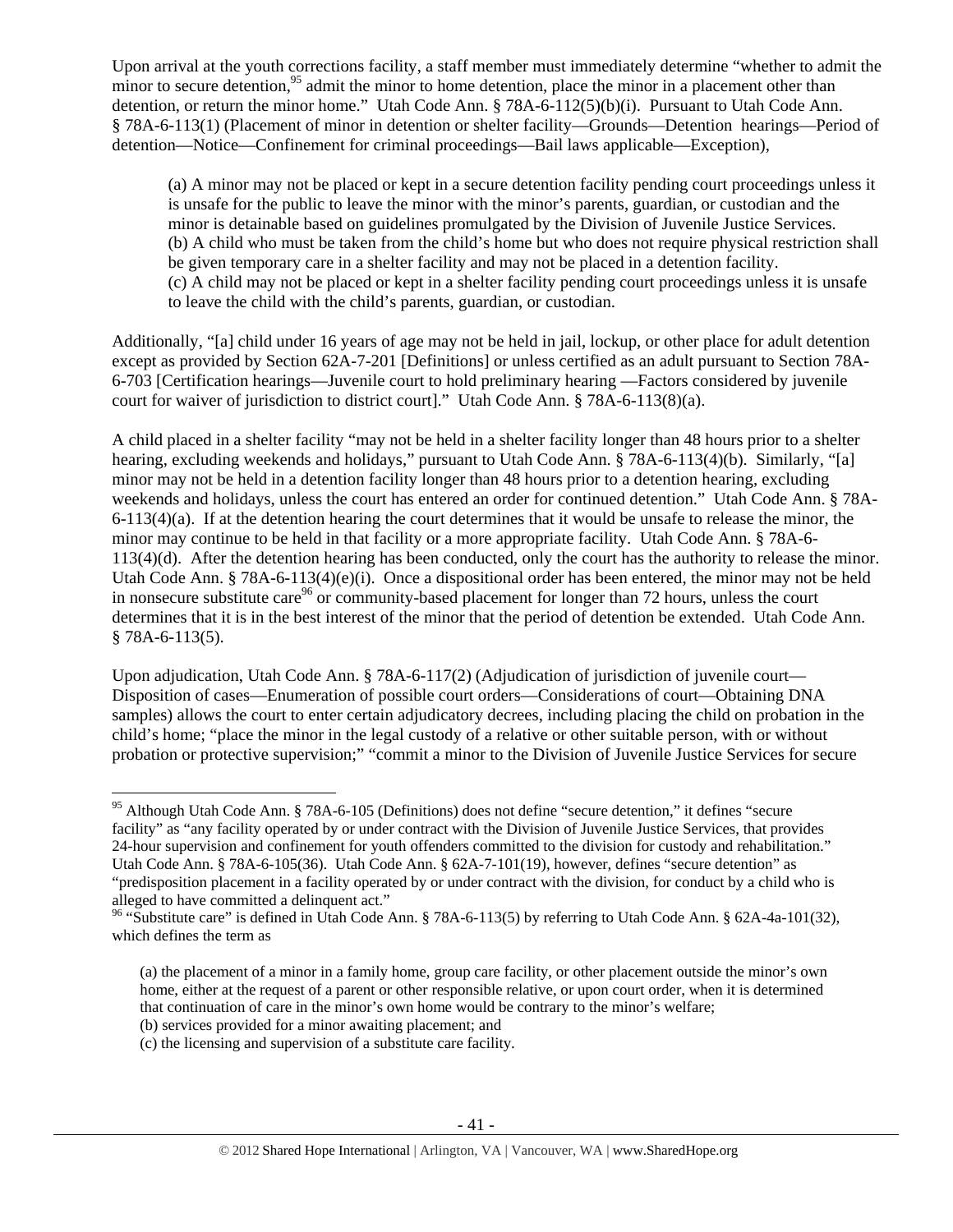Upon arrival at the youth corrections facility, a staff member must immediately determine "whether to admit the minor to secure detention,<sup>95</sup> admit the minor to home detention, place the minor in a placement other than detention, or return the minor home." Utah Code Ann. § 78A-6-112(5)(b)(i). Pursuant to Utah Code Ann. § 78A-6-113(1) (Placement of minor in detention or shelter facility—Grounds—Detention hearings—Period of detention—Notice—Confinement for criminal proceedings—Bail laws applicable—Exception),

(a) A minor may not be placed or kept in a secure detention facility pending court proceedings unless it is unsafe for the public to leave the minor with the minor's parents, guardian, or custodian and the minor is detainable based on guidelines promulgated by the Division of Juvenile Justice Services. (b) A child who must be taken from the child's home but who does not require physical restriction shall be given temporary care in a shelter facility and may not be placed in a detention facility. (c) A child may not be placed or kept in a shelter facility pending court proceedings unless it is unsafe to leave the child with the child's parents, guardian, or custodian.

Additionally, "[a] child under 16 years of age may not be held in jail, lockup, or other place for adult detention except as provided by Section 62A-7-201 [Definitions] or unless certified as an adult pursuant to Section 78A-6-703 [Certification hearings—Juvenile court to hold preliminary hearing —Factors considered by juvenile court for waiver of jurisdiction to district court]." Utah Code Ann. § 78A-6-113(8)(a).

A child placed in a shelter facility "may not be held in a shelter facility longer than 48 hours prior to a shelter hearing, excluding weekends and holidays," pursuant to Utah Code Ann. § 78A-6-113(4)(b). Similarly, "[a] minor may not be held in a detention facility longer than 48 hours prior to a detention hearing, excluding weekends and holidays, unless the court has entered an order for continued detention." Utah Code Ann. § 78A- $6-113(4)(a)$ . If at the detention hearing the court determines that it would be unsafe to release the minor, the minor may continue to be held in that facility or a more appropriate facility. Utah Code Ann. § 78A-6- 113(4)(d). After the detention hearing has been conducted, only the court has the authority to release the minor. Utah Code Ann. § 78A-6-113(4)(e)(i). Once a dispositional order has been entered, the minor may not be held in nonsecure substitute care<sup>96</sup> or community-based placement for longer than 72 hours, unless the court determines that it is in the best interest of the minor that the period of detention be extended. Utah Code Ann. § 78A-6-113(5).

Upon adjudication, Utah Code Ann. § 78A-6-117(2) (Adjudication of jurisdiction of juvenile court— Disposition of cases—Enumeration of possible court orders—Considerations of court—Obtaining DNA samples) allows the court to enter certain adjudicatory decrees, including placing the child on probation in the child's home; "place the minor in the legal custody of a relative or other suitable person, with or without probation or protective supervision;" "commit a minor to the Division of Juvenile Justice Services for secure

<sup>&</sup>lt;sup>95</sup> Although Utah Code Ann. § 78A-6-105 (Definitions) does not define "secure detention," it defines "secure facility" as "any facility operated by or under contract with the Division of Juvenile Justice Services, that provides 24-hour supervision and confinement for youth offenders committed to the division for custody and rehabilitation." Utah Code Ann. § 78A-6-105(36). Utah Code Ann. § 62A-7-101(19), however, defines "secure detention" as "predisposition placement in a facility operated by or under contract with the division, for conduct by a child who is alleged to have committed a delinquent act."

<sup>&</sup>lt;sup>96</sup> "Substitute care" is defined in Utah Code Ann. § 78A-6-113(5) by referring to Utah Code Ann. § 62A-4a-101(32), which defines the term as

<sup>(</sup>a) the placement of a minor in a family home, group care facility, or other placement outside the minor's own home, either at the request of a parent or other responsible relative, or upon court order, when it is determined that continuation of care in the minor's own home would be contrary to the minor's welfare;

<sup>(</sup>b) services provided for a minor awaiting placement; and

<sup>(</sup>c) the licensing and supervision of a substitute care facility.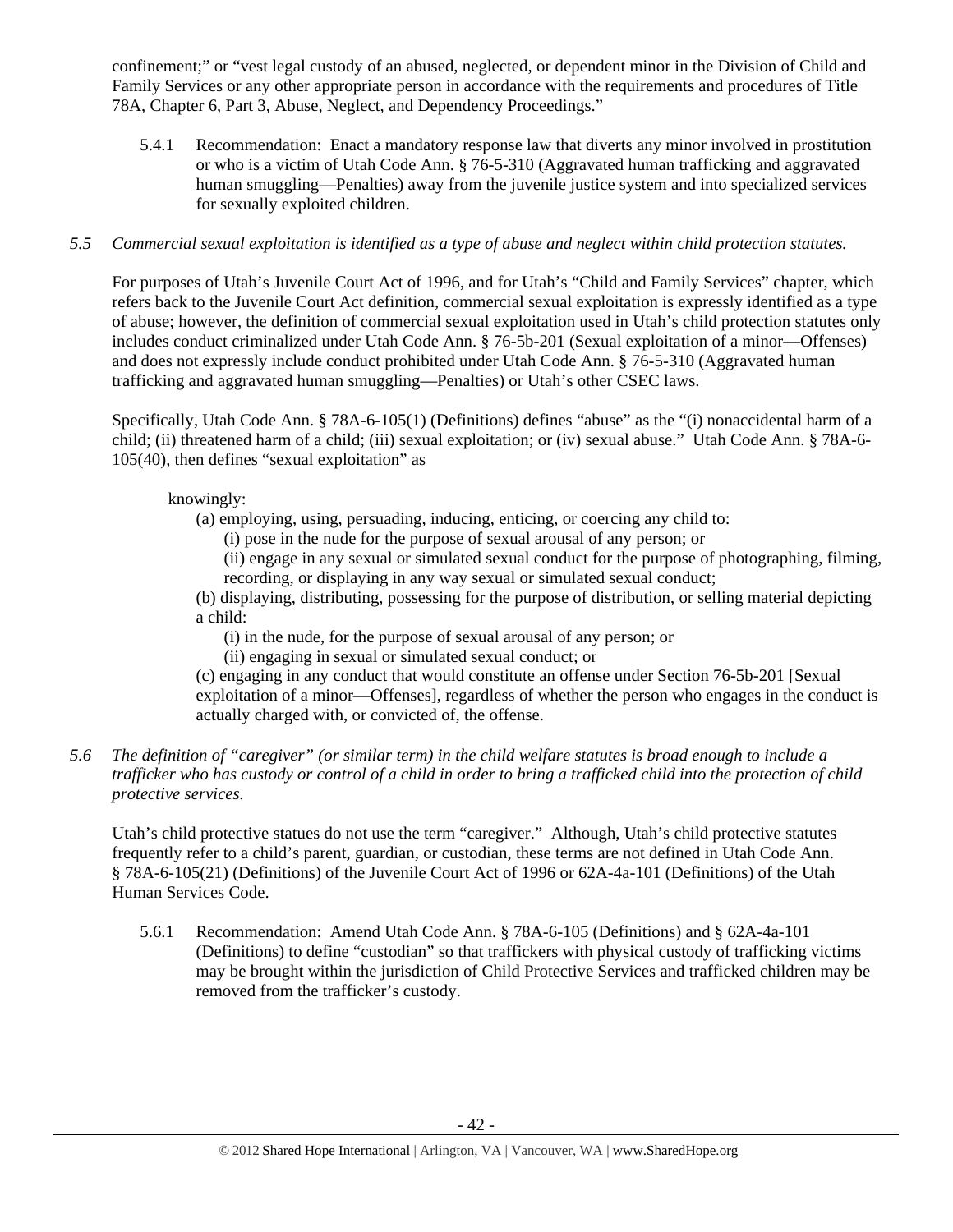confinement;" or "vest legal custody of an abused, neglected, or dependent minor in the Division of Child and Family Services or any other appropriate person in accordance with the requirements and procedures of Title 78A, Chapter 6, Part 3, Abuse, Neglect, and Dependency Proceedings."

5.4.1 Recommendation: Enact a mandatory response law that diverts any minor involved in prostitution or who is a victim of Utah Code Ann. § 76-5-310 (Aggravated human trafficking and aggravated human smuggling—Penalties) away from the juvenile justice system and into specialized services for sexually exploited children.

# *5.5 Commercial sexual exploitation is identified as a type of abuse and neglect within child protection statutes.*

For purposes of Utah's Juvenile Court Act of 1996, and for Utah's "Child and Family Services" chapter, which refers back to the Juvenile Court Act definition, commercial sexual exploitation is expressly identified as a type of abuse; however, the definition of commercial sexual exploitation used in Utah's child protection statutes only includes conduct criminalized under Utah Code Ann. § 76-5b-201 (Sexual exploitation of a minor—Offenses) and does not expressly include conduct prohibited under Utah Code Ann. § 76-5-310 (Aggravated human trafficking and aggravated human smuggling—Penalties) or Utah's other CSEC laws.

Specifically, Utah Code Ann. § 78A-6-105(1) (Definitions) defines "abuse" as the "(i) nonaccidental harm of a child; (ii) threatened harm of a child; (iii) sexual exploitation; or (iv) sexual abuse." Utah Code Ann. § 78A-6- 105(40), then defines "sexual exploitation" as

# knowingly:

- (a) employing, using, persuading, inducing, enticing, or coercing any child to:
	- (i) pose in the nude for the purpose of sexual arousal of any person; or

(ii) engage in any sexual or simulated sexual conduct for the purpose of photographing, filming, recording, or displaying in any way sexual or simulated sexual conduct;

(b) displaying, distributing, possessing for the purpose of distribution, or selling material depicting a child:

(i) in the nude, for the purpose of sexual arousal of any person; or

(ii) engaging in sexual or simulated sexual conduct; or

(c) engaging in any conduct that would constitute an offense under Section 76-5b-201 [Sexual exploitation of a minor—Offenses], regardless of whether the person who engages in the conduct is actually charged with, or convicted of, the offense.

# *5.6 The definition of "caregiver" (or similar term) in the child welfare statutes is broad enough to include a trafficker who has custody or control of a child in order to bring a trafficked child into the protection of child protective services.*

Utah's child protective statues do not use the term "caregiver." Although, Utah's child protective statutes frequently refer to a child's parent, guardian, or custodian, these terms are not defined in Utah Code Ann. § 78A-6-105(21) (Definitions) of the Juvenile Court Act of 1996 or 62A-4a-101 (Definitions) of the Utah Human Services Code.

5.6.1 Recommendation: Amend Utah Code Ann. § 78A-6-105 (Definitions) and § 62A-4a-101 (Definitions) to define "custodian" so that traffickers with physical custody of trafficking victims may be brought within the jurisdiction of Child Protective Services and trafficked children may be removed from the trafficker's custody.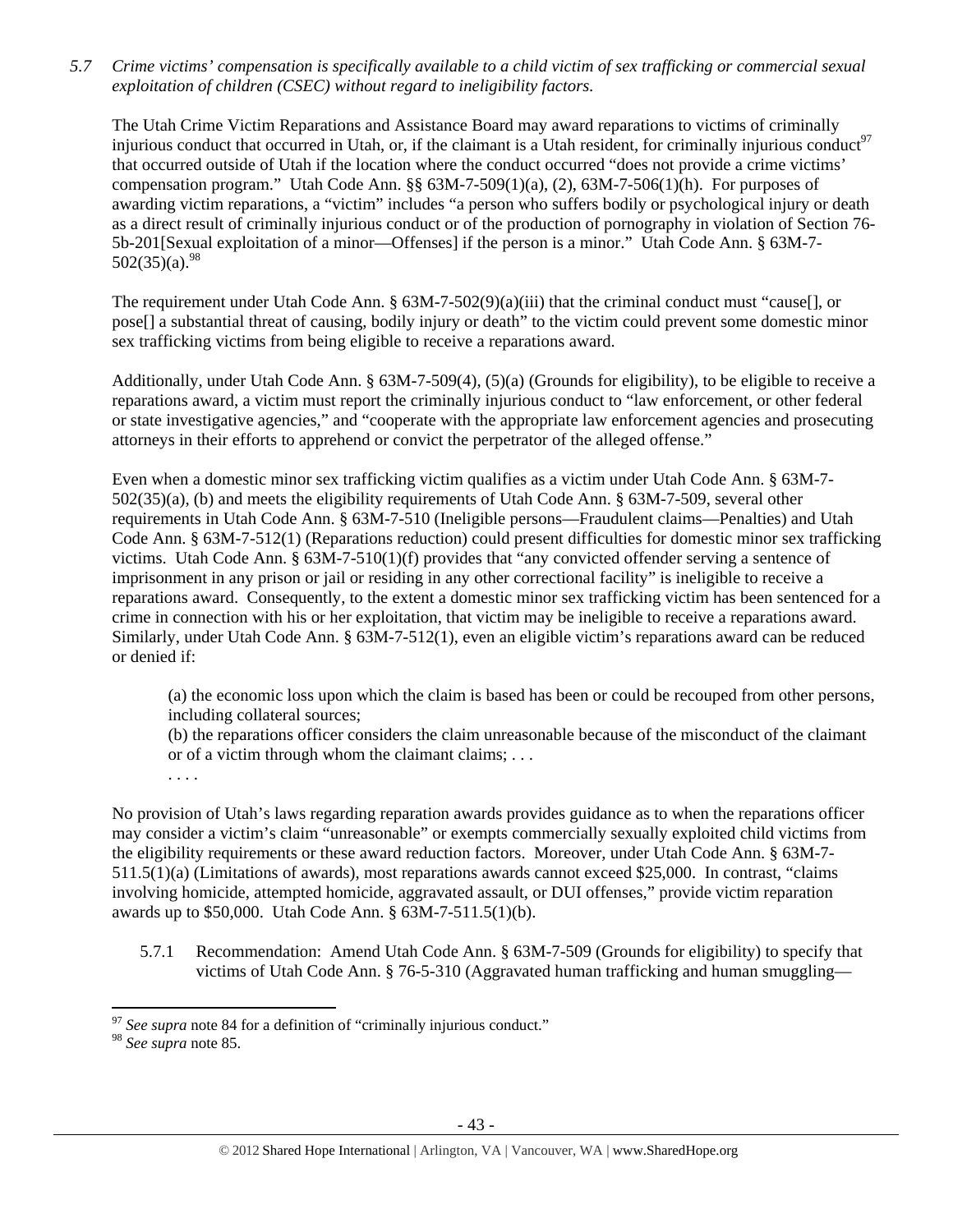*5.7 Crime victims' compensation is specifically available to a child victim of sex trafficking or commercial sexual exploitation of children (CSEC) without regard to ineligibility factors.* 

The Utah Crime Victim Reparations and Assistance Board may award reparations to victims of criminally injurious conduct that occurred in Utah, or, if the claimant is a Utah resident, for criminally injurious conduct $97$ that occurred outside of Utah if the location where the conduct occurred "does not provide a crime victims' compensation program." Utah Code Ann. §§ 63M-7-509(1)(a), (2), 63M-7-506(1)(h). For purposes of awarding victim reparations, a "victim" includes "a person who suffers bodily or psychological injury or death as a direct result of criminally injurious conduct or of the production of pornography in violation of Section 76- 5b-201[Sexual exploitation of a minor—Offenses] if the person is a minor." Utah Code Ann. § 63M-7-  $502(35)(a).^{98}$ 

The requirement under Utah Code Ann. §  $63M-7-502(9)(a)(iii)$  that the criminal conduct must "cause[], or pose[] a substantial threat of causing, bodily injury or death" to the victim could prevent some domestic minor sex trafficking victims from being eligible to receive a reparations award.

Additionally, under Utah Code Ann. § 63M-7-509(4), (5)(a) (Grounds for eligibility), to be eligible to receive a reparations award, a victim must report the criminally injurious conduct to "law enforcement, or other federal or state investigative agencies," and "cooperate with the appropriate law enforcement agencies and prosecuting attorneys in their efforts to apprehend or convict the perpetrator of the alleged offense."

Even when a domestic minor sex trafficking victim qualifies as a victim under Utah Code Ann. § 63M-7- 502(35)(a), (b) and meets the eligibility requirements of Utah Code Ann. § 63M-7-509, several other requirements in Utah Code Ann. § 63M-7-510 (Ineligible persons—Fraudulent claims—Penalties) and Utah Code Ann. § 63M-7-512(1) (Reparations reduction) could present difficulties for domestic minor sex trafficking victims. Utah Code Ann. § 63M-7-510(1)(f) provides that "any convicted offender serving a sentence of imprisonment in any prison or jail or residing in any other correctional facility" is ineligible to receive a reparations award. Consequently, to the extent a domestic minor sex trafficking victim has been sentenced for a crime in connection with his or her exploitation, that victim may be ineligible to receive a reparations award. Similarly, under Utah Code Ann. § 63M-7-512(1), even an eligible victim's reparations award can be reduced or denied if:

(a) the economic loss upon which the claim is based has been or could be recouped from other persons, including collateral sources;

(b) the reparations officer considers the claim unreasonable because of the misconduct of the claimant or of a victim through whom the claimant claims; . . .

. . . .

No provision of Utah's laws regarding reparation awards provides guidance as to when the reparations officer may consider a victim's claim "unreasonable" or exempts commercially sexually exploited child victims from the eligibility requirements or these award reduction factors. Moreover, under Utah Code Ann. § 63M-7- 511.5(1)(a) (Limitations of awards), most reparations awards cannot exceed \$25,000. In contrast, "claims involving homicide, attempted homicide, aggravated assault, or DUI offenses," provide victim reparation awards up to \$50,000. Utah Code Ann. § 63M-7-511.5(1)(b).

5.7.1 Recommendation: Amend Utah Code Ann. § 63M-7-509 (Grounds for eligibility) to specify that victims of Utah Code Ann. § 76-5-310 (Aggravated human trafficking and human smuggling—

 <sup>97</sup> *See supra* note 84 for a definition of "criminally injurious conduct."

<sup>98</sup> *See supra* note 85.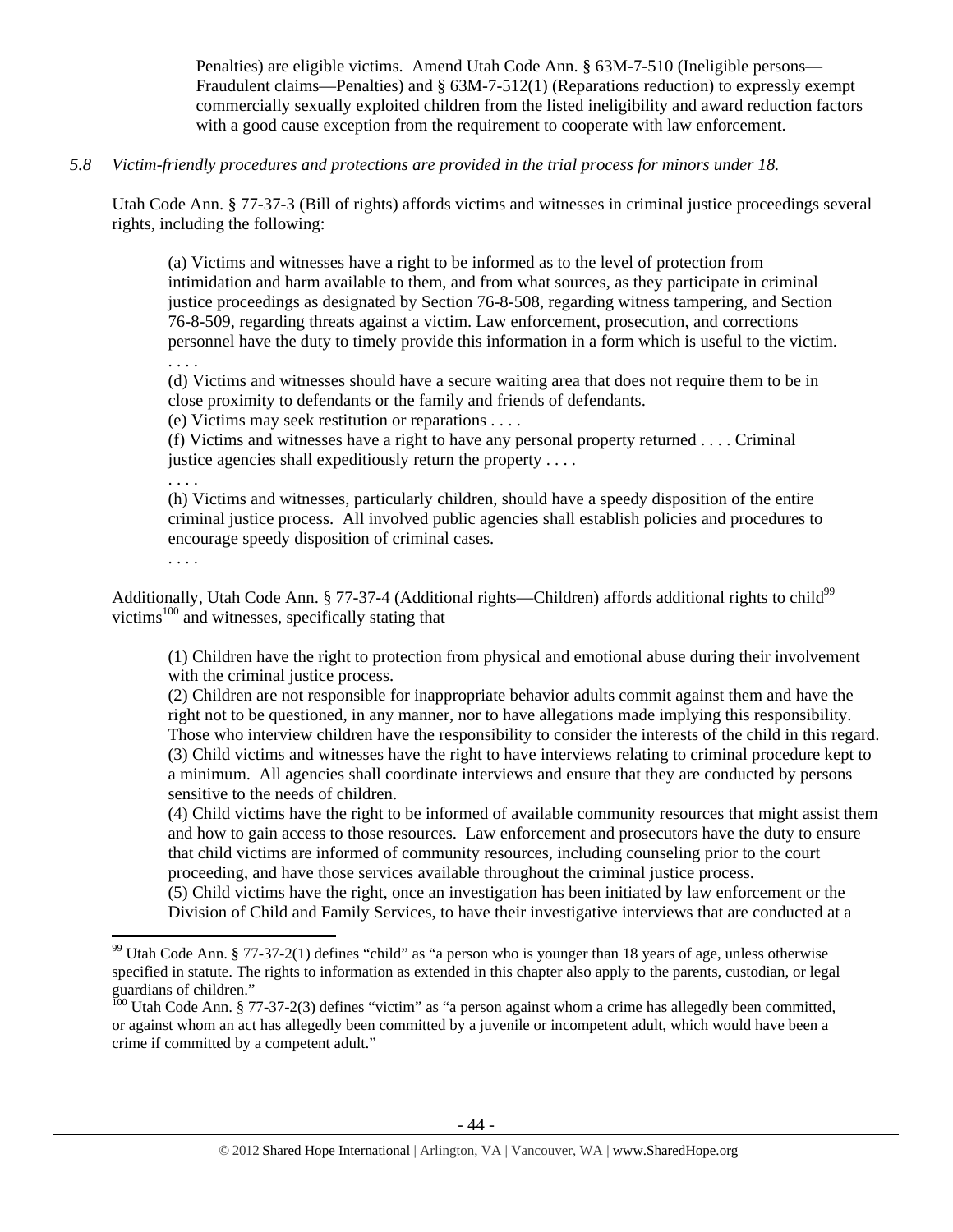Penalties) are eligible victims. Amend Utah Code Ann. § 63M-7-510 (Ineligible persons— Fraudulent claims—Penalties) and § 63M-7-512(1) (Reparations reduction) to expressly exempt commercially sexually exploited children from the listed ineligibility and award reduction factors with a good cause exception from the requirement to cooperate with law enforcement.

# *5.8 Victim-friendly procedures and protections are provided in the trial process for minors under 18.*

Utah Code Ann. § 77-37-3 (Bill of rights) affords victims and witnesses in criminal justice proceedings several rights, including the following:

(a) Victims and witnesses have a right to be informed as to the level of protection from intimidation and harm available to them, and from what sources, as they participate in criminal justice proceedings as designated by Section 76-8-508, regarding witness tampering, and Section 76-8-509, regarding threats against a victim. Law enforcement, prosecution, and corrections personnel have the duty to timely provide this information in a form which is useful to the victim. . . . .

(d) Victims and witnesses should have a secure waiting area that does not require them to be in close proximity to defendants or the family and friends of defendants.

(e) Victims may seek restitution or reparations . . . .

(f) Victims and witnesses have a right to have any personal property returned . . . . Criminal justice agencies shall expeditiously return the property . . . .

. . . .

(h) Victims and witnesses, particularly children, should have a speedy disposition of the entire criminal justice process. All involved public agencies shall establish policies and procedures to encourage speedy disposition of criminal cases.

. . . .

Additionally, Utah Code Ann. § 77-37-4 (Additional rights—Children) affords additional rights to child<sup>99</sup> victims<sup>100</sup> and witnesses, specifically stating that

(1) Children have the right to protection from physical and emotional abuse during their involvement with the criminal justice process.

(2) Children are not responsible for inappropriate behavior adults commit against them and have the right not to be questioned, in any manner, nor to have allegations made implying this responsibility. Those who interview children have the responsibility to consider the interests of the child in this regard. (3) Child victims and witnesses have the right to have interviews relating to criminal procedure kept to a minimum. All agencies shall coordinate interviews and ensure that they are conducted by persons sensitive to the needs of children.

(4) Child victims have the right to be informed of available community resources that might assist them and how to gain access to those resources. Law enforcement and prosecutors have the duty to ensure that child victims are informed of community resources, including counseling prior to the court proceeding, and have those services available throughout the criminal justice process.

(5) Child victims have the right, once an investigation has been initiated by law enforcement or the Division of Child and Family Services, to have their investigative interviews that are conducted at a

 $99$  Utah Code Ann. § 77-37-2(1) defines "child" as "a person who is younger than 18 years of age, unless otherwise specified in statute. The rights to information as extended in this chapter also apply to the parents, custodian, or legal guardians of children."

 $^{100}$  Utah Code Ann. § 77-37-2(3) defines "victim" as "a person against whom a crime has allegedly been committed, or against whom an act has allegedly been committed by a juvenile or incompetent adult, which would have been a crime if committed by a competent adult."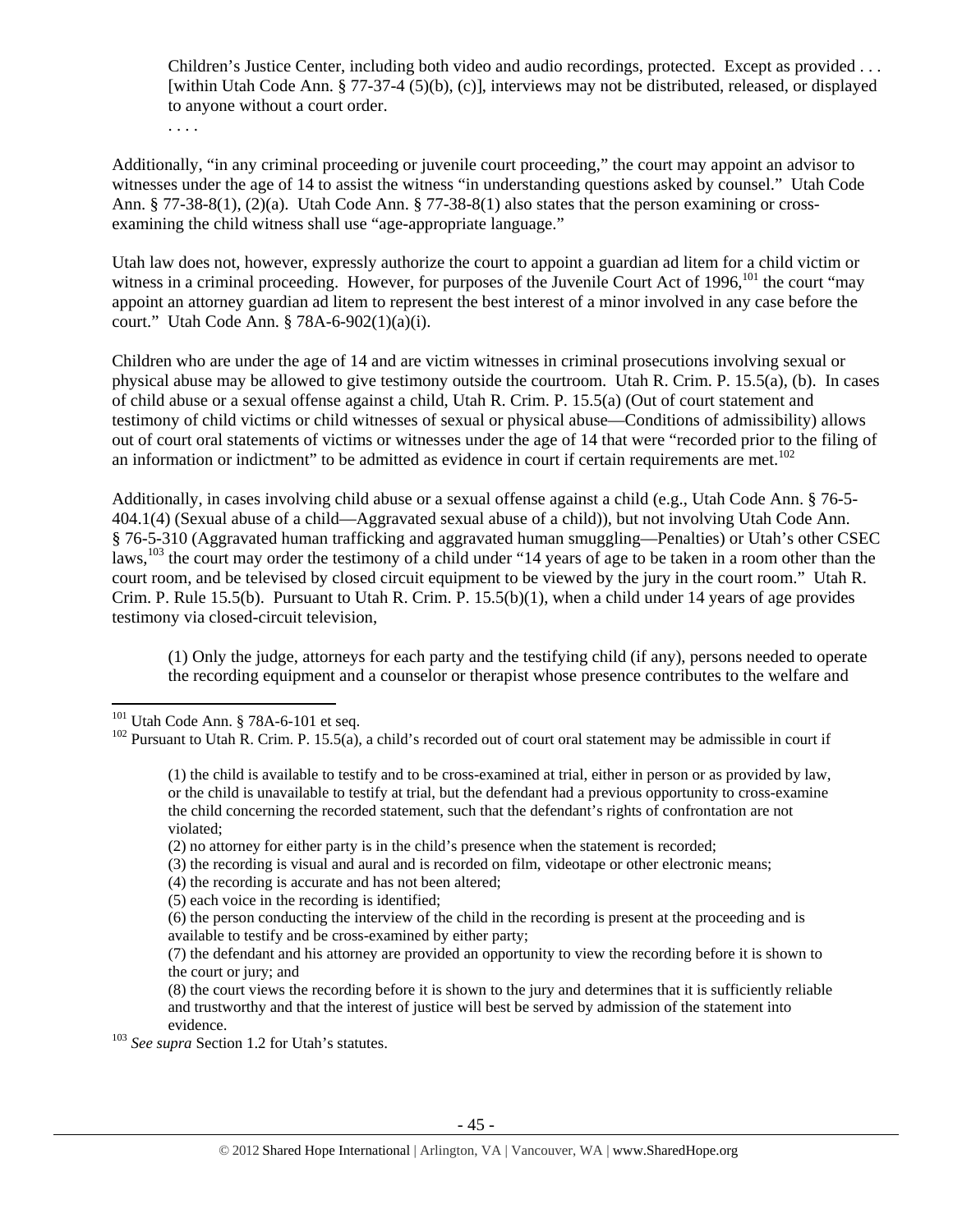Children's Justice Center, including both video and audio recordings, protected. Except as provided . . . [within Utah Code Ann. § 77-37-4 (5)(b), (c)], interviews may not be distributed, released, or displayed to anyone without a court order.

. . . .

Additionally, "in any criminal proceeding or juvenile court proceeding," the court may appoint an advisor to witnesses under the age of 14 to assist the witness "in understanding questions asked by counsel." Utah Code Ann. § 77-38-8(1), (2)(a). Utah Code Ann. § 77-38-8(1) also states that the person examining or crossexamining the child witness shall use "age-appropriate language."

Utah law does not, however, expressly authorize the court to appoint a guardian ad litem for a child victim or witness in a criminal proceeding. However, for purposes of the Juvenile Court Act of 1996,<sup>101</sup> the court "may appoint an attorney guardian ad litem to represent the best interest of a minor involved in any case before the court." Utah Code Ann. § 78A-6-902(1)(a)(i).

Children who are under the age of 14 and are victim witnesses in criminal prosecutions involving sexual or physical abuse may be allowed to give testimony outside the courtroom. Utah R. Crim. P. 15.5(a), (b). In cases of child abuse or a sexual offense against a child, Utah R. Crim. P. 15.5(a) (Out of court statement and testimony of child victims or child witnesses of sexual or physical abuse—Conditions of admissibility) allows out of court oral statements of victims or witnesses under the age of 14 that were "recorded prior to the filing of an information or indictment" to be admitted as evidence in court if certain requirements are met.<sup>102</sup>

Additionally, in cases involving child abuse or a sexual offense against a child (e.g., Utah Code Ann. § 76-5- 404.1(4) (Sexual abuse of a child—Aggravated sexual abuse of a child)), but not involving Utah Code Ann. § 76-5-310 (Aggravated human trafficking and aggravated human smuggling—Penalties) or Utah's other CSEC laws,<sup>103</sup> the court may order the testimony of a child under "14 years of age to be taken in a room other than the court room, and be televised by closed circuit equipment to be viewed by the jury in the court room." Utah R. Crim. P. Rule 15.5(b). Pursuant to Utah R. Crim. P. 15.5(b)(1), when a child under 14 years of age provides testimony via closed-circuit television,

(1) Only the judge, attorneys for each party and the testifying child (if any), persons needed to operate the recording equipment and a counselor or therapist whose presence contributes to the welfare and

(4) the recording is accurate and has not been altered;

evidence. 103 *See supra* Section 1.2 for Utah's statutes.

 $101$  Utah Code Ann. § 78A-6-101 et seq.

<sup>&</sup>lt;sup>102</sup> Pursuant to Utah R. Crim. P. 15.5(a), a child's recorded out of court oral statement may be admissible in court if

<sup>(1)</sup> the child is available to testify and to be cross-examined at trial, either in person or as provided by law, or the child is unavailable to testify at trial, but the defendant had a previous opportunity to cross-examine the child concerning the recorded statement, such that the defendant's rights of confrontation are not violated;

<sup>(2)</sup> no attorney for either party is in the child's presence when the statement is recorded;

<sup>(3)</sup> the recording is visual and aural and is recorded on film, videotape or other electronic means;

<sup>(5)</sup> each voice in the recording is identified;

<sup>(6)</sup> the person conducting the interview of the child in the recording is present at the proceeding and is available to testify and be cross-examined by either party;

<sup>(7)</sup> the defendant and his attorney are provided an opportunity to view the recording before it is shown to the court or jury; and

<sup>(8)</sup> the court views the recording before it is shown to the jury and determines that it is sufficiently reliable and trustworthy and that the interest of justice will best be served by admission of the statement into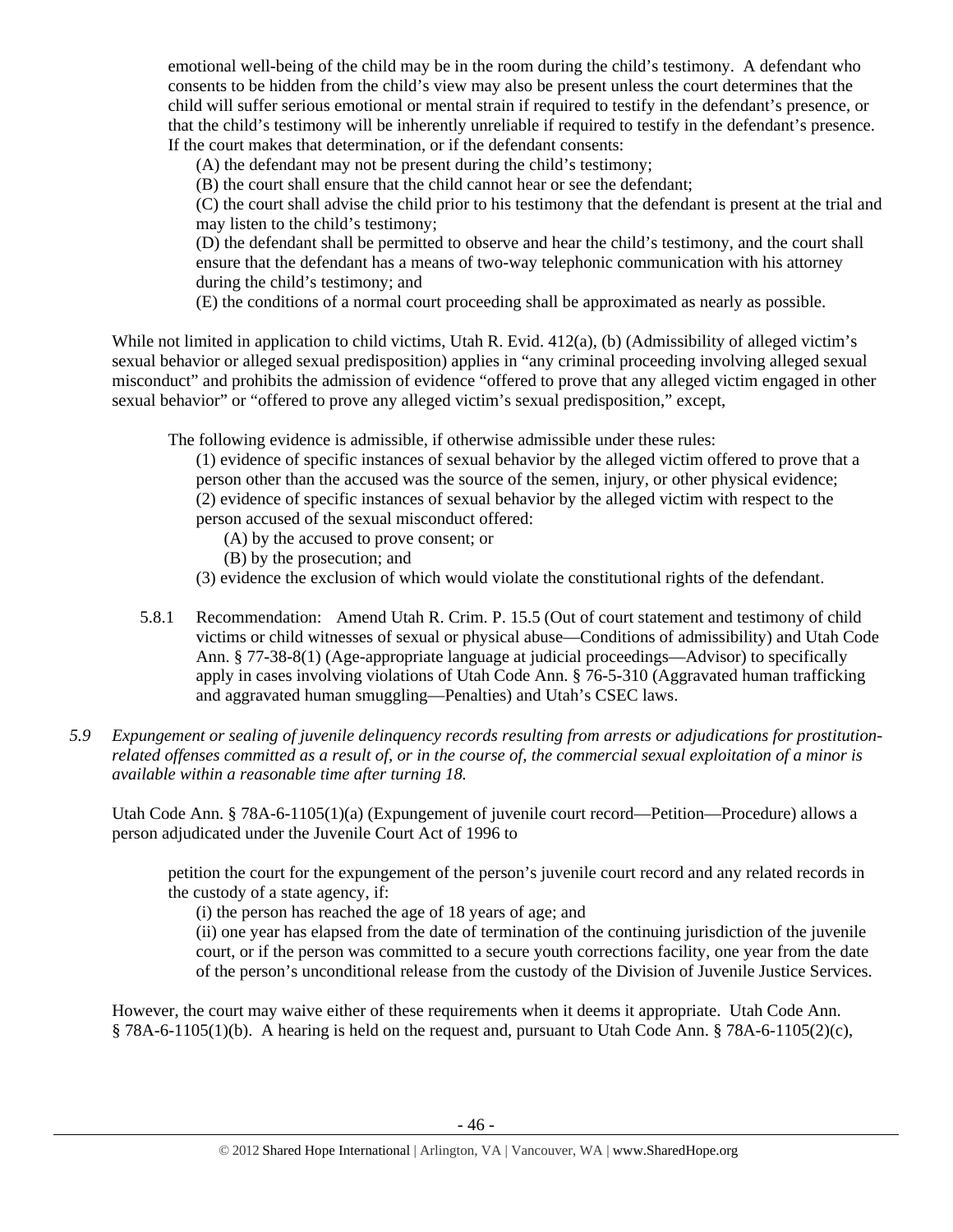emotional well-being of the child may be in the room during the child's testimony. A defendant who consents to be hidden from the child's view may also be present unless the court determines that the child will suffer serious emotional or mental strain if required to testify in the defendant's presence, or that the child's testimony will be inherently unreliable if required to testify in the defendant's presence. If the court makes that determination, or if the defendant consents:

(A) the defendant may not be present during the child's testimony;

(B) the court shall ensure that the child cannot hear or see the defendant;

(C) the court shall advise the child prior to his testimony that the defendant is present at the trial and may listen to the child's testimony;

(D) the defendant shall be permitted to observe and hear the child's testimony, and the court shall ensure that the defendant has a means of two-way telephonic communication with his attorney during the child's testimony; and

(E) the conditions of a normal court proceeding shall be approximated as nearly as possible.

While not limited in application to child victims, Utah R. Evid. 412(a), (b) (Admissibility of alleged victim's sexual behavior or alleged sexual predisposition) applies in "any criminal proceeding involving alleged sexual misconduct" and prohibits the admission of evidence "offered to prove that any alleged victim engaged in other sexual behavior" or "offered to prove any alleged victim's sexual predisposition," except,

The following evidence is admissible, if otherwise admissible under these rules:

(1) evidence of specific instances of sexual behavior by the alleged victim offered to prove that a person other than the accused was the source of the semen, injury, or other physical evidence; (2) evidence of specific instances of sexual behavior by the alleged victim with respect to the person accused of the sexual misconduct offered:

- (A) by the accused to prove consent; or
- (B) by the prosecution; and
- (3) evidence the exclusion of which would violate the constitutional rights of the defendant.
- 5.8.1 Recommendation: Amend Utah R. Crim. P. 15.5 (Out of court statement and testimony of child victims or child witnesses of sexual or physical abuse—Conditions of admissibility) and Utah Code Ann. § 77-38-8(1) (Age-appropriate language at judicial proceedings—Advisor) to specifically apply in cases involving violations of Utah Code Ann. § 76-5-310 (Aggravated human trafficking and aggravated human smuggling—Penalties) and Utah's CSEC laws.
- *5.9 Expungement or sealing of juvenile delinquency records resulting from arrests or adjudications for prostitutionrelated offenses committed as a result of, or in the course of, the commercial sexual exploitation of a minor is available within a reasonable time after turning 18.*

Utah Code Ann. § 78A-6-1105(1)(a) (Expungement of juvenile court record—Petition—Procedure) allows a person adjudicated under the Juvenile Court Act of 1996 to

petition the court for the expungement of the person's juvenile court record and any related records in the custody of a state agency, if:

(i) the person has reached the age of 18 years of age; and

(ii) one year has elapsed from the date of termination of the continuing jurisdiction of the juvenile court, or if the person was committed to a secure youth corrections facility, one year from the date of the person's unconditional release from the custody of the Division of Juvenile Justice Services.

However, the court may waive either of these requirements when it deems it appropriate. Utah Code Ann.  $§$  78A-6-1105(1)(b). A hearing is held on the request and, pursuant to Utah Code Ann. § 78A-6-1105(2)(c),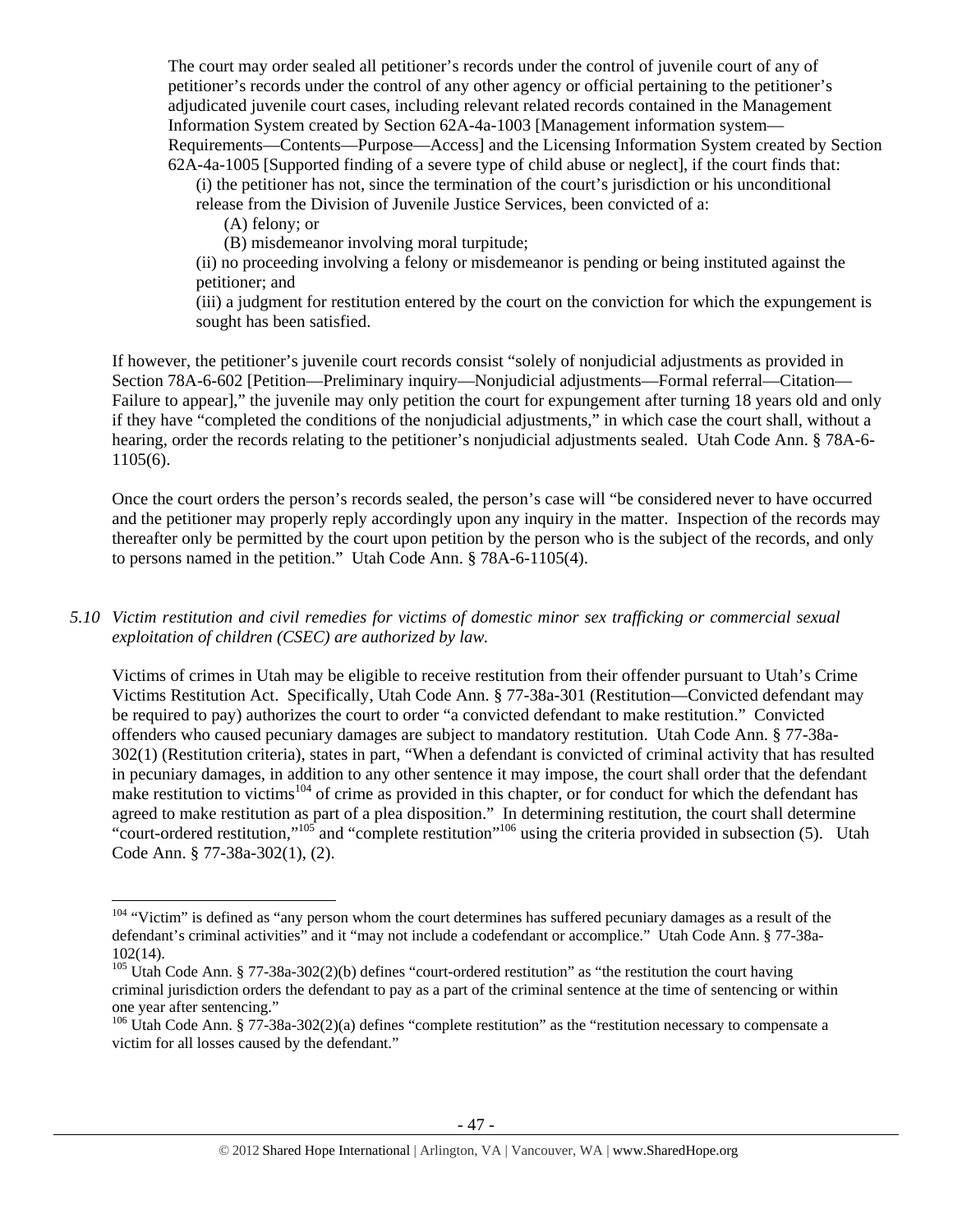The court may order sealed all petitioner's records under the control of juvenile court of any of petitioner's records under the control of any other agency or official pertaining to the petitioner's adjudicated juvenile court cases, including relevant related records contained in the Management Information System created by Section 62A-4a-1003 [Management information system— Requirements—Contents—Purpose—Access] and the Licensing Information System created by Section 62A-4a-1005 [Supported finding of a severe type of child abuse or neglect], if the court finds that:

(i) the petitioner has not, since the termination of the court's jurisdiction or his unconditional release from the Division of Juvenile Justice Services, been convicted of a:

(A) felony; or

(B) misdemeanor involving moral turpitude;

(ii) no proceeding involving a felony or misdemeanor is pending or being instituted against the petitioner; and

(iii) a judgment for restitution entered by the court on the conviction for which the expungement is sought has been satisfied.

If however, the petitioner's juvenile court records consist "solely of nonjudicial adjustments as provided in Section 78A-6-602 [Petition—Preliminary inquiry—Nonjudicial adjustments—Formal referral—Citation— Failure to appear]," the juvenile may only petition the court for expungement after turning 18 years old and only if they have "completed the conditions of the nonjudicial adjustments," in which case the court shall, without a hearing, order the records relating to the petitioner's nonjudicial adjustments sealed. Utah Code Ann. § 78A-6-1105(6).

Once the court orders the person's records sealed, the person's case will "be considered never to have occurred and the petitioner may properly reply accordingly upon any inquiry in the matter. Inspection of the records may thereafter only be permitted by the court upon petition by the person who is the subject of the records, and only to persons named in the petition." Utah Code Ann. § 78A-6-1105(4).

# *5.10 Victim restitution and civil remedies for victims of domestic minor sex trafficking or commercial sexual exploitation of children (CSEC) are authorized by law.*

Victims of crimes in Utah may be eligible to receive restitution from their offender pursuant to Utah's Crime Victims Restitution Act. Specifically, Utah Code Ann. § 77-38a-301 (Restitution—Convicted defendant may be required to pay) authorizes the court to order "a convicted defendant to make restitution." Convicted offenders who caused pecuniary damages are subject to mandatory restitution. Utah Code Ann. § 77-38a-302(1) (Restitution criteria), states in part, "When a defendant is convicted of criminal activity that has resulted in pecuniary damages, in addition to any other sentence it may impose, the court shall order that the defendant make restitution to victims<sup>104</sup> of crime as provided in this chapter, or for conduct for which the defendant has agreed to make restitution as part of a plea disposition." In determining restitution, the court shall determine "court-ordered restitution,"<sup>105</sup> and "complete restitution"<sup>106</sup> using the criteria provided in subsection (5). Utah Code Ann. § 77-38a-302(1), (2).

 $104$  "Victim" is defined as "any person whom the court determines has suffered pecuniary damages as a result of the defendant's criminal activities" and it "may not include a codefendant or accomplice." Utah Code Ann. § 77-38a-102(14).

<sup>&</sup>lt;sup>105</sup> Utah Code Ann. § 77-38a-302(2)(b) defines "court-ordered restitution" as "the restitution the court having criminal jurisdiction orders the defendant to pay as a part of the criminal sentence at the time of sentencing or within one year after sentencing."

 $106$  Utah Code Ann. § 77-38a-302(2)(a) defines "complete restitution" as the "restitution necessary to compensate a victim for all losses caused by the defendant."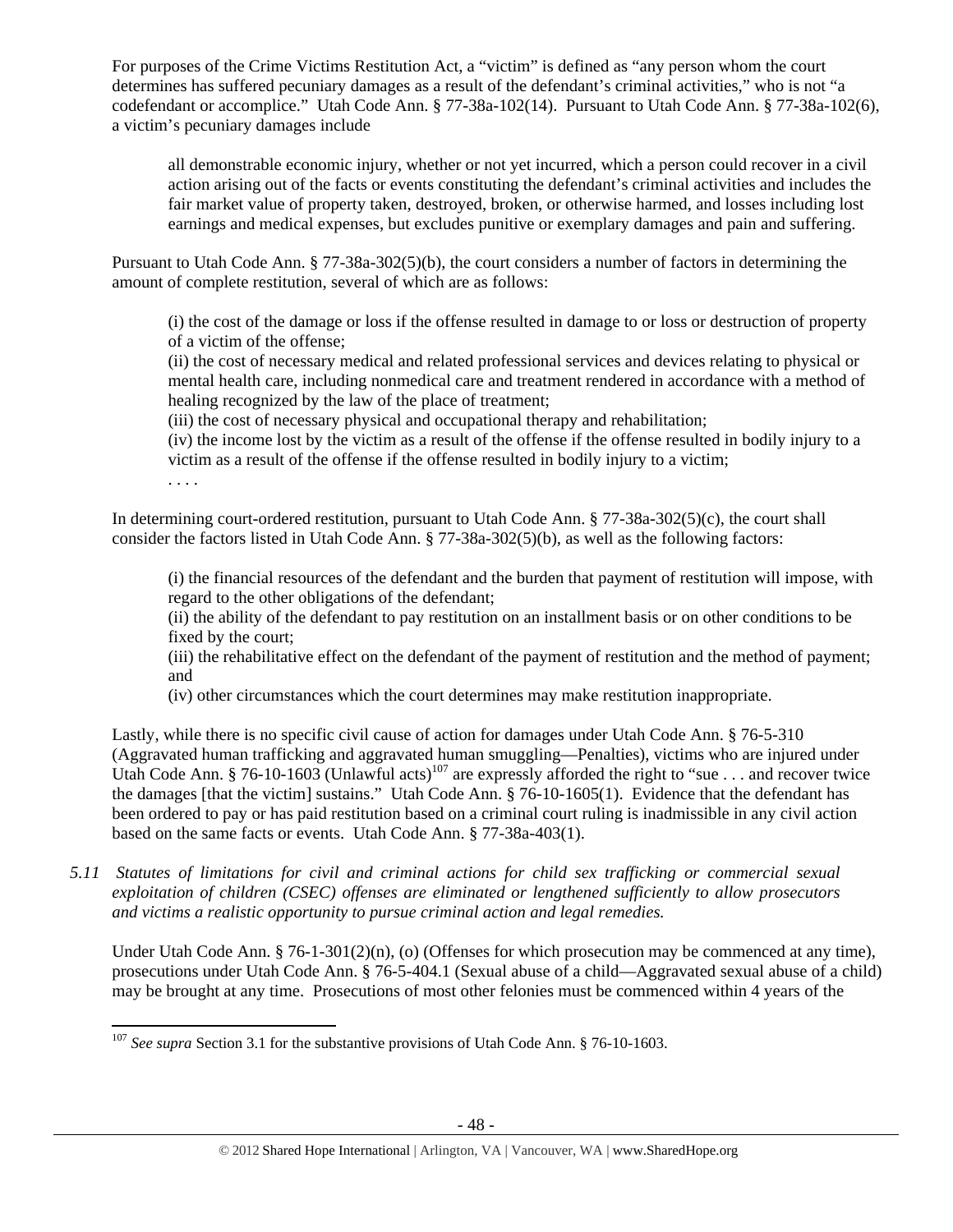For purposes of the Crime Victims Restitution Act, a "victim" is defined as "any person whom the court determines has suffered pecuniary damages as a result of the defendant's criminal activities," who is not "a codefendant or accomplice." Utah Code Ann. § 77-38a-102(14). Pursuant to Utah Code Ann. § 77-38a-102(6), a victim's pecuniary damages include

all demonstrable economic injury, whether or not yet incurred, which a person could recover in a civil action arising out of the facts or events constituting the defendant's criminal activities and includes the fair market value of property taken, destroyed, broken, or otherwise harmed, and losses including lost earnings and medical expenses, but excludes punitive or exemplary damages and pain and suffering.

Pursuant to Utah Code Ann. § 77-38a-302(5)(b), the court considers a number of factors in determining the amount of complete restitution, several of which are as follows:

(i) the cost of the damage or loss if the offense resulted in damage to or loss or destruction of property of a victim of the offense;

(ii) the cost of necessary medical and related professional services and devices relating to physical or mental health care, including nonmedical care and treatment rendered in accordance with a method of healing recognized by the law of the place of treatment;

(iii) the cost of necessary physical and occupational therapy and rehabilitation;

(iv) the income lost by the victim as a result of the offense if the offense resulted in bodily injury to a victim as a result of the offense if the offense resulted in bodily injury to a victim;

. . . .

In determining court-ordered restitution, pursuant to Utah Code Ann. § 77-38a-302(5)(c), the court shall consider the factors listed in Utah Code Ann. § 77-38a-302(5)(b), as well as the following factors:

(i) the financial resources of the defendant and the burden that payment of restitution will impose, with regard to the other obligations of the defendant;

(ii) the ability of the defendant to pay restitution on an installment basis or on other conditions to be fixed by the court;

(iii) the rehabilitative effect on the defendant of the payment of restitution and the method of payment; and

(iv) other circumstances which the court determines may make restitution inappropriate.

Lastly, while there is no specific civil cause of action for damages under Utah Code Ann. § 76-5-310 (Aggravated human trafficking and aggravated human smuggling—Penalties), victims who are injured under Utah Code Ann. § 76-10-1603 (Unlawful acts)<sup>107</sup> are expressly afforded the right to "sue . . . and recover twice the damages [that the victim] sustains." Utah Code Ann. § 76-10-1605(1). Evidence that the defendant has been ordered to pay or has paid restitution based on a criminal court ruling is inadmissible in any civil action based on the same facts or events. Utah Code Ann. § 77-38a-403(1).

*5.11 Statutes of limitations for civil and criminal actions for child sex trafficking or commercial sexual exploitation of children (CSEC) offenses are eliminated or lengthened sufficiently to allow prosecutors and victims a realistic opportunity to pursue criminal action and legal remedies.* 

Under Utah Code Ann. § 76-1-301(2)(n), (o) (Offenses for which prosecution may be commenced at any time), prosecutions under Utah Code Ann. § 76-5-404.1 (Sexual abuse of a child—Aggravated sexual abuse of a child) may be brought at any time. Prosecutions of most other felonies must be commenced within 4 years of the

 <sup>107</sup> *See supra* Section 3.1 for the substantive provisions of Utah Code Ann. § 76-10-1603.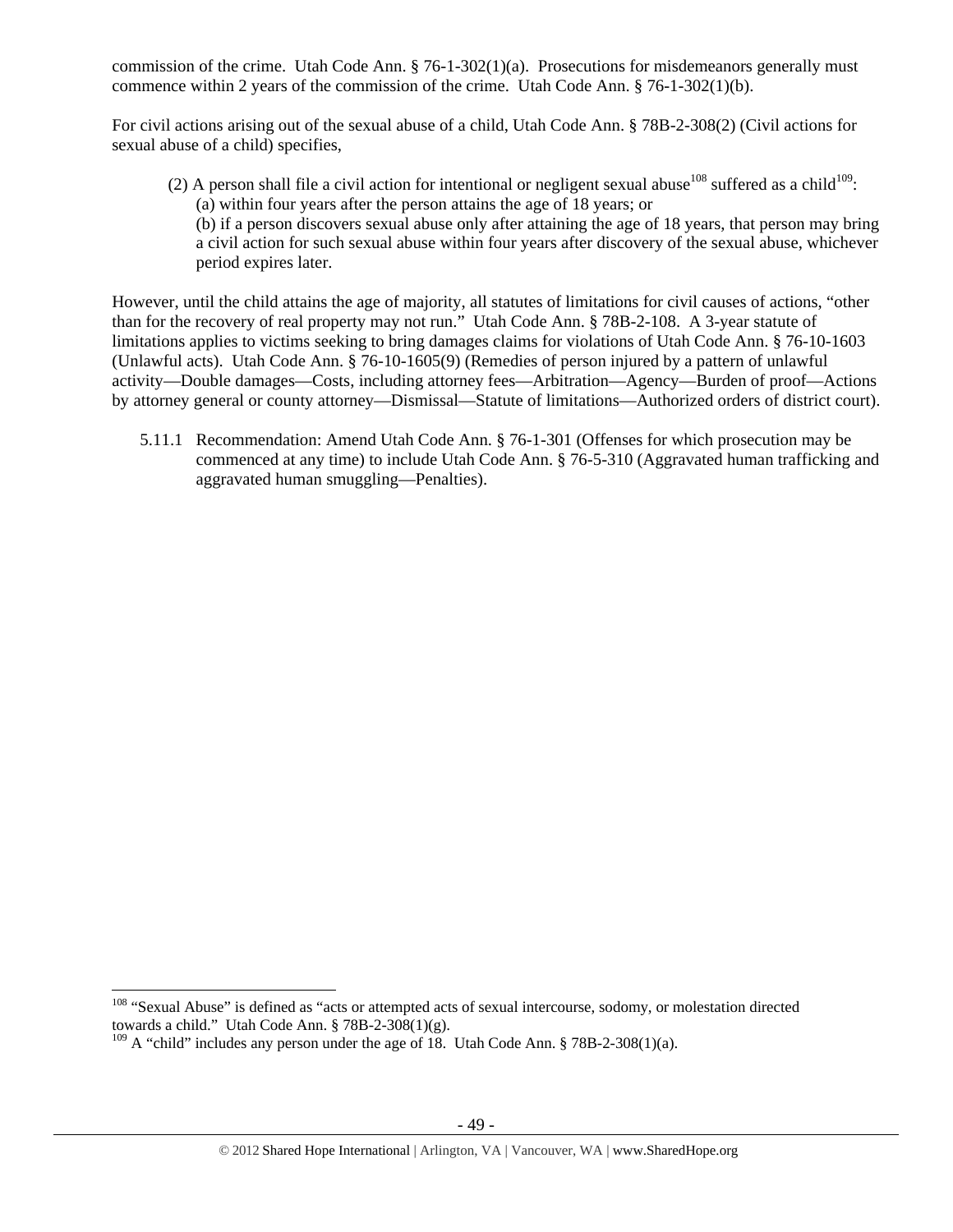commission of the crime. Utah Code Ann. § 76-1-302(1)(a). Prosecutions for misdemeanors generally must commence within 2 years of the commission of the crime. Utah Code Ann. § 76-1-302(1)(b).

For civil actions arising out of the sexual abuse of a child, Utah Code Ann. § 78B-2-308(2) (Civil actions for sexual abuse of a child) specifies,

(2) A person shall file a civil action for intentional or negligent sexual abuse<sup>108</sup> suffered as a child<sup>109</sup>: (a) within four years after the person attains the age of 18 years; or (b) if a person discovers sexual abuse only after attaining the age of 18 years, that person may bring

a civil action for such sexual abuse within four years after discovery of the sexual abuse, whichever period expires later.

However, until the child attains the age of majority, all statutes of limitations for civil causes of actions, "other than for the recovery of real property may not run." Utah Code Ann. § 78B-2-108. A 3-year statute of limitations applies to victims seeking to bring damages claims for violations of Utah Code Ann. § 76-10-1603 (Unlawful acts). Utah Code Ann. § 76-10-1605(9) (Remedies of person injured by a pattern of unlawful activity—Double damages—Costs, including attorney fees—Arbitration—Agency—Burden of proof—Actions by attorney general or county attorney—Dismissal—Statute of limitations—Authorized orders of district court).

5.11.1 Recommendation: Amend Utah Code Ann. § 76-1-301 (Offenses for which prosecution may be commenced at any time) to include Utah Code Ann. § 76-5-310 (Aggravated human trafficking and aggravated human smuggling—Penalties).

<sup>&</sup>lt;sup>108</sup> "Sexual Abuse" is defined as "acts or attempted acts of sexual intercourse, sodomy, or molestation directed towards a child." Utah Code Ann.  $\S$  78B-2-308(1)(g).

 $109$  A "child" includes any person under the age of 18. Utah Code Ann. § 78B-2-308(1)(a).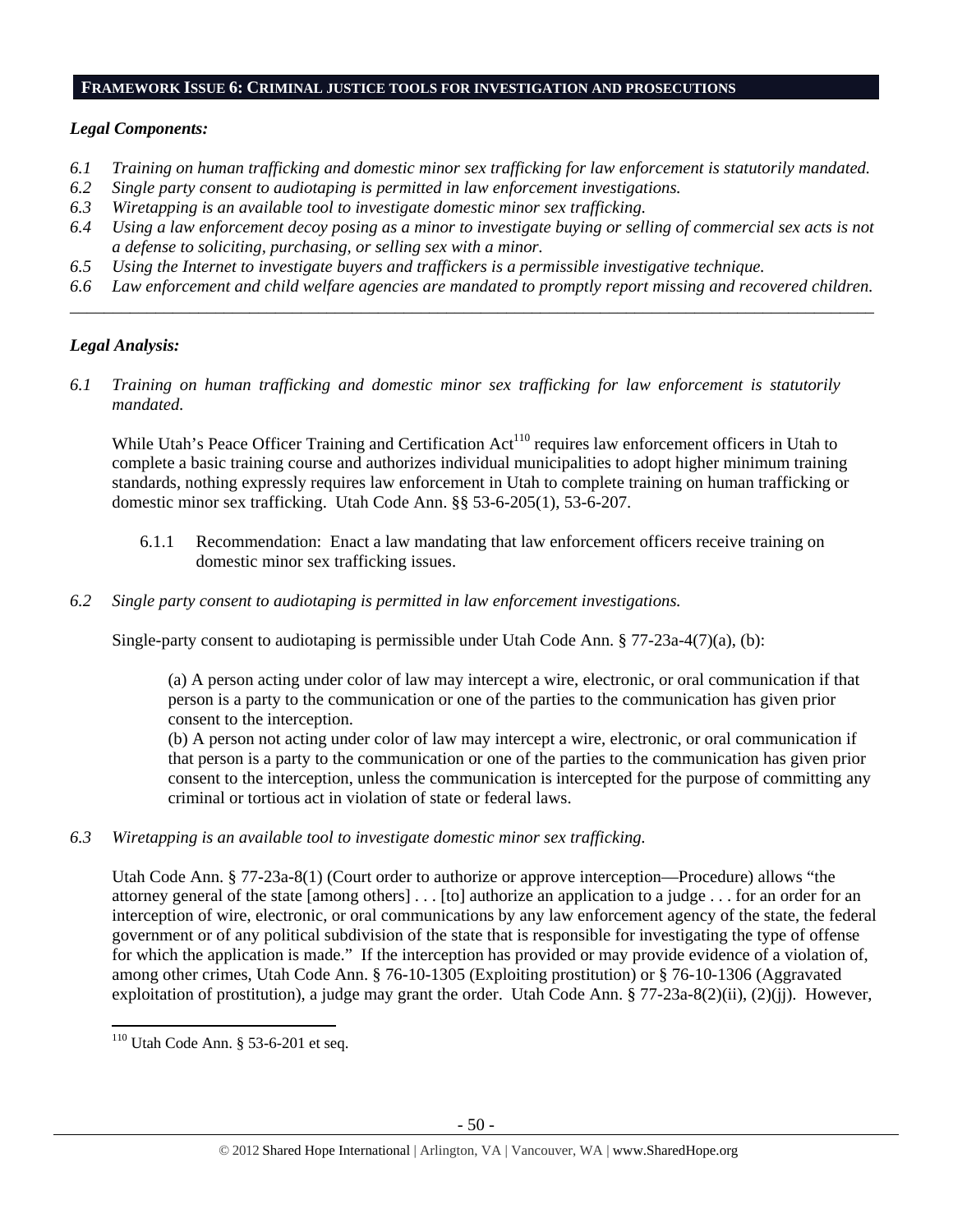#### **FRAMEWORK ISSUE 6: CRIMINAL JUSTICE TOOLS FOR INVESTIGATION AND PROSECUTIONS**

# *Legal Components:*

- *6.1 Training on human trafficking and domestic minor sex trafficking for law enforcement is statutorily mandated.*
- *6.2 Single party consent to audiotaping is permitted in law enforcement investigations.*
- *6.3 Wiretapping is an available tool to investigate domestic minor sex trafficking.*
- *6.4 Using a law enforcement decoy posing as a minor to investigate buying or selling of commercial sex acts is not a defense to soliciting, purchasing, or selling sex with a minor.*
- *6.5 Using the Internet to investigate buyers and traffickers is a permissible investigative technique.*
- *6.6 Law enforcement and child welfare agencies are mandated to promptly report missing and recovered children. \_\_\_\_\_\_\_\_\_\_\_\_\_\_\_\_\_\_\_\_\_\_\_\_\_\_\_\_\_\_\_\_\_\_\_\_\_\_\_\_\_\_\_\_\_\_\_\_\_\_\_\_\_\_\_\_\_\_\_\_\_\_\_\_\_\_\_\_\_\_\_\_\_\_\_\_\_\_\_\_\_\_\_\_\_\_\_\_\_\_\_\_\_\_*

# *Legal Analysis:*

*6.1 Training on human trafficking and domestic minor sex trafficking for law enforcement is statutorily mandated.* 

While Utah's Peace Officer Training and Certification Act<sup>110</sup> requires law enforcement officers in Utah to complete a basic training course and authorizes individual municipalities to adopt higher minimum training standards, nothing expressly requires law enforcement in Utah to complete training on human trafficking or domestic minor sex trafficking. Utah Code Ann. §§ 53-6-205(1), 53-6-207.

- 6.1.1 Recommendation: Enact a law mandating that law enforcement officers receive training on domestic minor sex trafficking issues.
- *6.2 Single party consent to audiotaping is permitted in law enforcement investigations.*

Single-party consent to audiotaping is permissible under Utah Code Ann. § 77-23a-4(7)(a), (b):

(a) A person acting under color of law may intercept a wire, electronic, or oral communication if that person is a party to the communication or one of the parties to the communication has given prior consent to the interception.

(b) A person not acting under color of law may intercept a wire, electronic, or oral communication if that person is a party to the communication or one of the parties to the communication has given prior consent to the interception, unless the communication is intercepted for the purpose of committing any criminal or tortious act in violation of state or federal laws.

*6.3 Wiretapping is an available tool to investigate domestic minor sex trafficking.* 

Utah Code Ann. § 77-23a-8(1) (Court order to authorize or approve interception—Procedure) allows "the attorney general of the state [among others] . . . [to] authorize an application to a judge . . . for an order for an interception of wire, electronic, or oral communications by any law enforcement agency of the state, the federal government or of any political subdivision of the state that is responsible for investigating the type of offense for which the application is made." If the interception has provided or may provide evidence of a violation of, among other crimes, Utah Code Ann. § 76-10-1305 (Exploiting prostitution) or § 76-10-1306 (Aggravated exploitation of prostitution), a judge may grant the order. Utah Code Ann. § 77-23a-8(2)(ii), (2)(jj). However,

 <sup>110</sup> Utah Code Ann. § 53-6-201 et seq.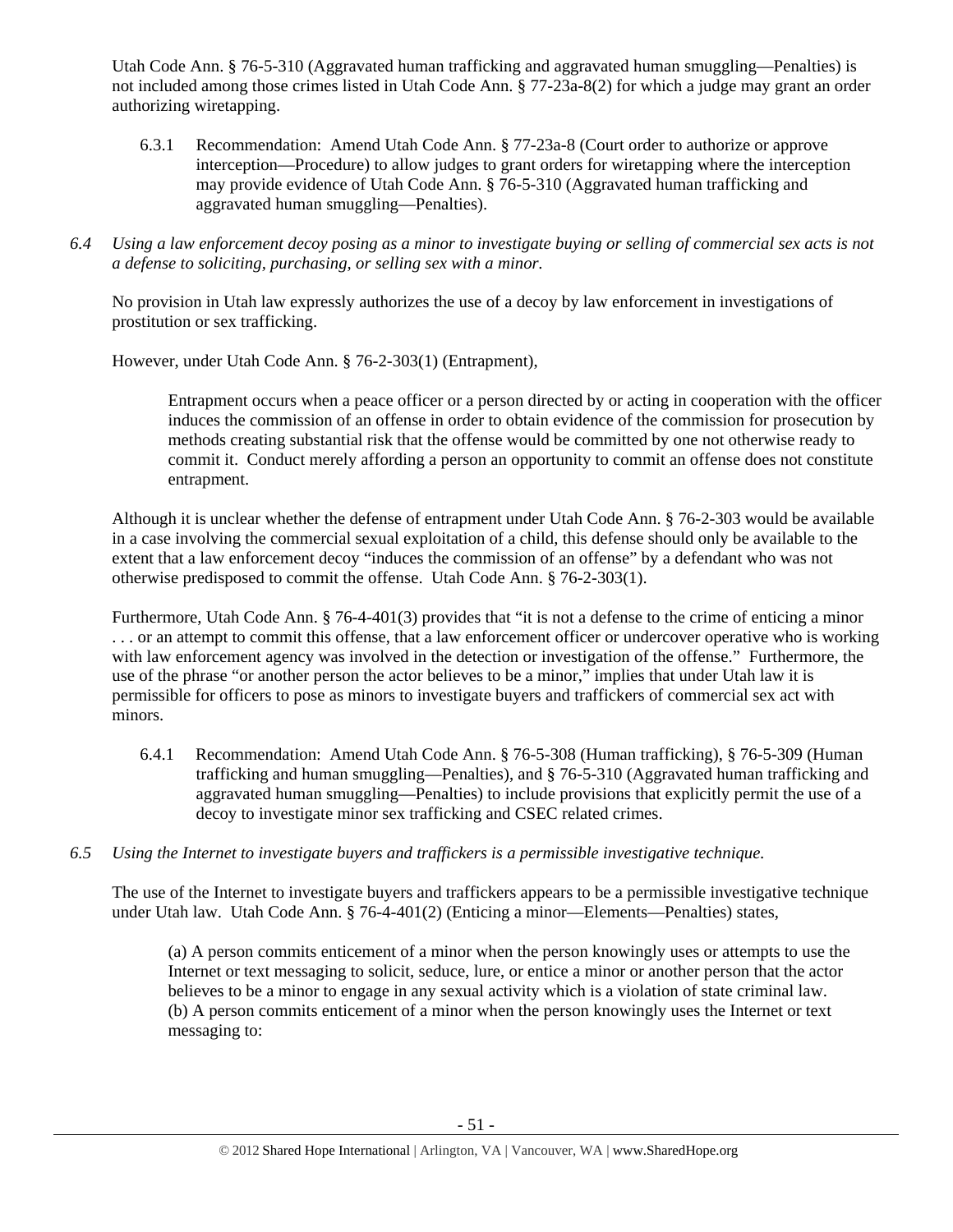Utah Code Ann. § 76-5-310 (Aggravated human trafficking and aggravated human smuggling—Penalties) is not included among those crimes listed in Utah Code Ann. § 77-23a-8(2) for which a judge may grant an order authorizing wiretapping.

- 6.3.1 Recommendation: Amend Utah Code Ann. § 77-23a-8 (Court order to authorize or approve interception—Procedure) to allow judges to grant orders for wiretapping where the interception may provide evidence of Utah Code Ann. § 76-5-310 (Aggravated human trafficking and aggravated human smuggling—Penalties).
- *6.4 Using a law enforcement decoy posing as a minor to investigate buying or selling of commercial sex acts is not a defense to soliciting, purchasing, or selling sex with a minor.*

No provision in Utah law expressly authorizes the use of a decoy by law enforcement in investigations of prostitution or sex trafficking.

However, under Utah Code Ann. § 76-2-303(1) (Entrapment),

Entrapment occurs when a peace officer or a person directed by or acting in cooperation with the officer induces the commission of an offense in order to obtain evidence of the commission for prosecution by methods creating substantial risk that the offense would be committed by one not otherwise ready to commit it. Conduct merely affording a person an opportunity to commit an offense does not constitute entrapment.

Although it is unclear whether the defense of entrapment under Utah Code Ann. § 76-2-303 would be available in a case involving the commercial sexual exploitation of a child, this defense should only be available to the extent that a law enforcement decoy "induces the commission of an offense" by a defendant who was not otherwise predisposed to commit the offense. Utah Code Ann. § 76-2-303(1).

Furthermore, Utah Code Ann. § 76-4-401(3) provides that "it is not a defense to the crime of enticing a minor . . . or an attempt to commit this offense, that a law enforcement officer or undercover operative who is working with law enforcement agency was involved in the detection or investigation of the offense." Furthermore, the use of the phrase "or another person the actor believes to be a minor," implies that under Utah law it is permissible for officers to pose as minors to investigate buyers and traffickers of commercial sex act with minors.

- 6.4.1 Recommendation: Amend Utah Code Ann. § 76-5-308 (Human trafficking), § 76-5-309 (Human trafficking and human smuggling—Penalties), and § 76-5-310 (Aggravated human trafficking and aggravated human smuggling—Penalties) to include provisions that explicitly permit the use of a decoy to investigate minor sex trafficking and CSEC related crimes.
- *6.5 Using the Internet to investigate buyers and traffickers is a permissible investigative technique.*

The use of the Internet to investigate buyers and traffickers appears to be a permissible investigative technique under Utah law. Utah Code Ann. § 76-4-401(2) (Enticing a minor—Elements—Penalties) states,

(a) A person commits enticement of a minor when the person knowingly uses or attempts to use the Internet or text messaging to solicit, seduce, lure, or entice a minor or another person that the actor believes to be a minor to engage in any sexual activity which is a violation of state criminal law. (b) A person commits enticement of a minor when the person knowingly uses the Internet or text messaging to: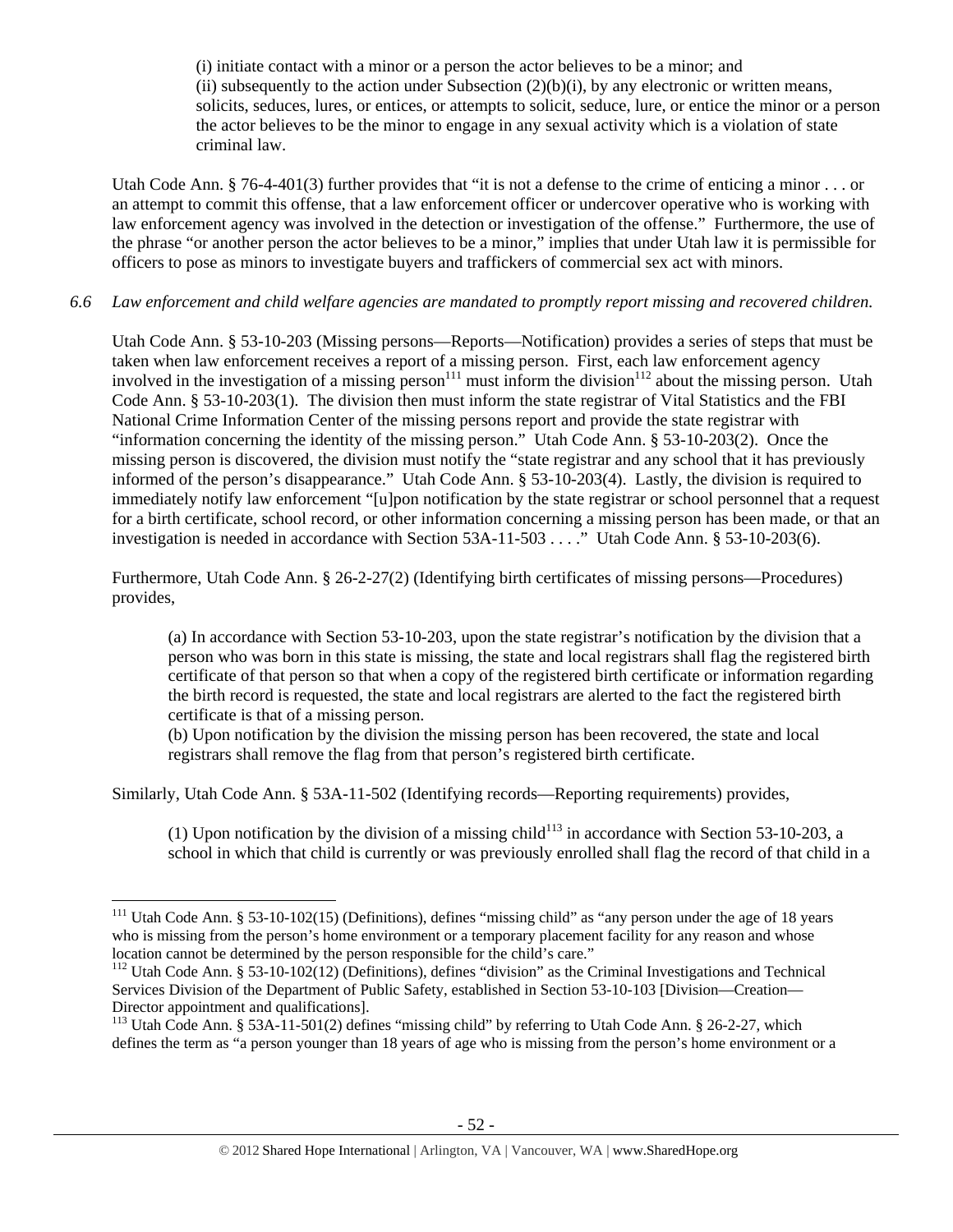(i) initiate contact with a minor or a person the actor believes to be a minor; and (ii) subsequently to the action under Subsection  $(2)(b)(i)$ , by any electronic or written means, solicits, seduces, lures, or entices, or attempts to solicit, seduce, lure, or entice the minor or a person the actor believes to be the minor to engage in any sexual activity which is a violation of state criminal law.

Utah Code Ann. § 76-4-401(3) further provides that "it is not a defense to the crime of enticing a minor  $\ldots$  or an attempt to commit this offense, that a law enforcement officer or undercover operative who is working with law enforcement agency was involved in the detection or investigation of the offense." Furthermore, the use of the phrase "or another person the actor believes to be a minor," implies that under Utah law it is permissible for officers to pose as minors to investigate buyers and traffickers of commercial sex act with minors.

# *6.6 Law enforcement and child welfare agencies are mandated to promptly report missing and recovered children.*

Utah Code Ann. § 53-10-203 (Missing persons—Reports—Notification) provides a series of steps that must be taken when law enforcement receives a report of a missing person. First, each law enforcement agency involved in the investigation of a missing person<sup>111</sup> must inform the division<sup>112</sup> about the missing person. Utah Code Ann. § 53-10-203(1). The division then must inform the state registrar of Vital Statistics and the FBI National Crime Information Center of the missing persons report and provide the state registrar with "information concerning the identity of the missing person." Utah Code Ann. § 53-10-203(2). Once the missing person is discovered, the division must notify the "state registrar and any school that it has previously informed of the person's disappearance." Utah Code Ann. § 53-10-203(4). Lastly, the division is required to immediately notify law enforcement "[u]pon notification by the state registrar or school personnel that a request for a birth certificate, school record, or other information concerning a missing person has been made, or that an investigation is needed in accordance with Section 53A-11-503 . . . ." Utah Code Ann. § 53-10-203(6).

Furthermore, Utah Code Ann. § 26-2-27(2) (Identifying birth certificates of missing persons—Procedures) provides,

(a) In accordance with Section 53-10-203, upon the state registrar's notification by the division that a person who was born in this state is missing, the state and local registrars shall flag the registered birth certificate of that person so that when a copy of the registered birth certificate or information regarding the birth record is requested, the state and local registrars are alerted to the fact the registered birth certificate is that of a missing person.

(b) Upon notification by the division the missing person has been recovered, the state and local registrars shall remove the flag from that person's registered birth certificate.

Similarly, Utah Code Ann. § 53A-11-502 (Identifying records—Reporting requirements) provides,

(1) Upon notification by the division of a missing child<sup>113</sup> in accordance with Section 53-10-203, a school in which that child is currently or was previously enrolled shall flag the record of that child in a

 <sup>111</sup> Utah Code Ann. § 53-10-102(15) (Definitions), defines "missing child" as "any person under the age of 18 years who is missing from the person's home environment or a temporary placement facility for any reason and whose location cannot be determined by the person responsible for the child's care."

<sup>&</sup>lt;sup>112</sup> Utah Code Ann. § 53-10-102(12) (Definitions), defines "division" as the Criminal Investigations and Technical Services Division of the Department of Public Safety, established in Section 53-10-103 [Division—Creation— Director appointment and qualifications].

<sup>&</sup>lt;sup>113</sup> Utah Code Ann. § 53A-11-501(2) defines "missing child" by referring to Utah Code Ann. § 26-2-27, which defines the term as "a person younger than 18 years of age who is missing from the person's home environment or a